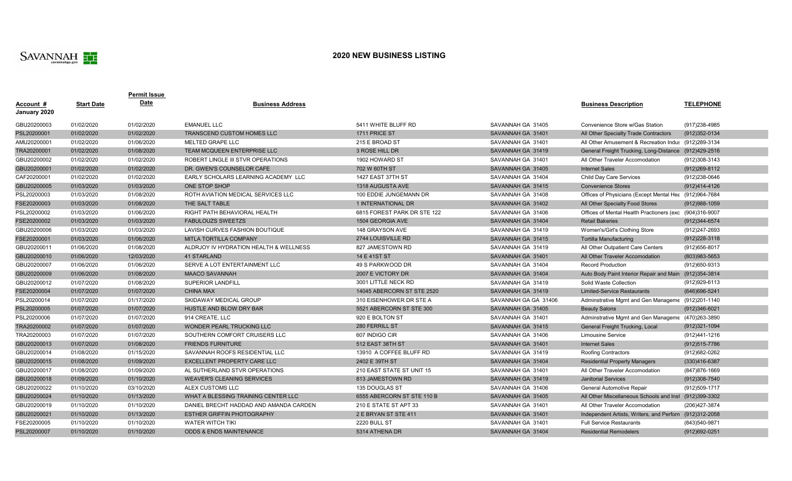

## **2020 NEW BUSINESS LISTING**

| Account #    | <b>Start Date</b> | Permit Issue<br>Date | <b>Business Address</b>                |                             |                      | <b>Business Description</b>                             | <b>TELEPHONE</b>  |
|--------------|-------------------|----------------------|----------------------------------------|-----------------------------|----------------------|---------------------------------------------------------|-------------------|
| January 2020 |                   |                      |                                        |                             |                      |                                                         |                   |
| GBU20200003  | 01/02/2020        | 01/02/2020           | <b>EMANUEL LLC</b>                     | 5411 WHITE BLUFF RD         | SAVANNAH GA 31405    | Convenience Store w/Gas Station                         | (917) 238-4985    |
| PSL20200001  | 01/02/2020        | 01/02/2020           | TRANSCEND CUSTOM HOMES LLC             | 1711 PRICE ST               | SAVANNAH GA 31401    | All Other Specialty Trade Contractors                   | (912) 352-0134    |
| AMU20200001  | 01/02/2020        | 01/06/2020           | <b>MELTED GRAPE LLC</b>                | 215 E BROAD ST              | SAVANNAH GA 31401    | All Other Amusement & Recreation Indus (912)289-3134    |                   |
| TRA20200001  | 01/02/2020        | 01/08/2020           | TEAM MCQUEEN ENTERPRISE LLC            | 3 ROSE HILL DR              | SAVANNAH GA 31419    | General Freight Trucking, Long-Distance (912)429-2516   |                   |
| GBU20200002  | 01/02/2020        | 01/02/2020           | ROBERT LINGLE III STVR OPERATIONS      | 1902 HOWARD ST              | SAVANNAH GA 31401    | All Other Traveler Accomodation                         | (912)308-3143     |
| GBU20200001  | 01/02/2020        | 01/02/2020           | DR. GWEN'S COUNSELOR CAFE              | 702 W 60TH ST               | SAVANNAH GA 31405    | <b>Internet Sales</b>                                   | (912) 269-8112    |
| CAF20200001  | 01/02/2020        | 01/02/2020           | EARLY SCHOLARS LEARNING ACADEMY LLC    | 1427 EAST 37TH ST           | SAVANNAH GA 31404    | Child Day Care Services                                 | (912)238-0646     |
| GBU20200005  | 01/03/2020        | 01/03/2020           | ONE STOP SHOP                          | 1318 AUGUSTA AVE            | SAVANNAH GA 31415    | <b>Convenience Stores</b>                               | (912)414-4126     |
| PSL20200003  | 01/03/2020        | 01/08/2020           | ROTH AVIATION MEDICAL SERVICES LLC     | 100 EDDIE JUNGEMANN DR      | SAVANNAH GA 31408    | Offices of Physicians (Except Mental Hea (912)964-7684  |                   |
| FSE20200003  | 01/03/2020        | 01/08/2020           | THE SALT TABLE                         | 1 INTERNATIONAL DR          | SAVANNAH GA 31402    | All Other Specialty Food Stores                         | $(912)988-1059$   |
| PSL20200002  | 01/03/2020        | 01/06/2020           | RIGHT PATH BEHAVIORAL HEALTH           | 6815 FOREST PARK DR STE 122 | SAVANNAH GA 31406    | Offices of Mental Health Practioners (exc (904)316-9007 |                   |
| FSE20200002  | 01/03/2020        | 01/03/2020           | <b>FABULOUZS SWEETZS</b>               | 1504 GEORGIA AVE            | SAVANNAH GA 31404    | <b>Retail Bakeries</b>                                  | (912)344-6574     |
| GBU20200006  | 01/03/2020        | 01/03/2020           | LAVISH CURVES FASHION BOUTIQUE         | 148 GRAYSON AVE             | SAVANNAH GA 31419    | Women's/Girl's Clothing Store                           | (912)247-2693     |
| FSE20200001  | 01/03/2020        | 01/06/2020           | MITLA TORTILLA COMPANY                 | 2744 LOUISVILLE RD          | SAVANNAH GA 31415    | Tortilla Manufacturing                                  | (912) 228-3118    |
| GBU20200011  | 01/06/2020        | 01/08/2020           | ALDRJOY IV HYDRATION HEALTH & WELLNESS | 827 JAMESTOWN RD            | SAVANNAH GA 31419    | All Other Outpatient Care Centers                       | $(912)656 - 8017$ |
| GBU20200010  | 01/06/2020        | 12/03/2020           | 41 STARLAND                            | 14 E 41ST ST                | SAVANNAH GA 31401    | All Other Traveler Accomodation                         | (803) 983-5653    |
| GBU20200007  | 01/06/2020        | 01/06/2020           | SERVE A LOT ENTERTAINMENT LLC          | 49 S PARKWOOD DR            | SAVANNAH GA 31404    | <b>Record Production</b>                                | (912) 650-9313    |
| GBU20200009  | 01/06/2020        | 01/08/2020           | <b>MAACO SAVANNAH</b>                  | 2007 E VICTORY DR           | SAVANNAH GA 31404    | Auto Body Paint Interior Repair and Main (912)354-3814  |                   |
| GBU20200012  | 01/07/2020        | 01/08/2020           | <b>SUPERIOR LANDFILL</b>               | 3001 LITTLE NECK RD         | SAVANNAH GA 31419    | Solid Waste Collection                                  | (912) 929-6113    |
| FSE20200004  | 01/07/2020        | 01/07/2020           | <b>CHINA MAX</b>                       | 14045 ABERCORN ST STE 2520  | SAVANNAH GA 31419    | <b>Limited-Service Restaurants</b>                      | (646) 696-5241    |
| PSL20200014  | 01/07/2020        | 01/17/2020           | SKIDAWAY MEDICAL GROUP                 | 310 EISENHOWER DR STE A     | SAVANNAH GA GA 31406 | Adminstrative Mgmt and Gen Manageme (912)201-1140       |                   |
| PSL20200005  | 01/07/2020        | 01/07/2020           | HUSTLE AND BLOW DRY BAR                | 5521 ABERCORN ST STE 300    | SAVANNAH GA 31405    | <b>Beauty Salons</b>                                    | $(912)346-6021$   |
| PSL20200006  | 01/07/2020        | 01/07/2020           | 914 CREATE, LLC                        | 920 E BOLTON ST             | SAVANNAH GA 31401    | Adminstrative Mgmt and Gen Manageme (470)263-3890       |                   |
| TRA20200002  | 01/07/2020        | 01/07/2020           | WONDER PEARL TRUCKING LLC              | 280 FERRILL ST              | SAVANNAH GA 31415    | <b>General Freight Trucking, Local</b>                  | $(912)321-1094$   |
| TRA20200003  | 01/07/2020        | 01/07/2020           | SOUTHERN COMFORT CRUISERS LLC          | 607 INDIGO CIR              | SAVANNAH GA 31406    | <b>Limousine Service</b>                                | (912)441-1216     |
| GBU20200013  | 01/07/2020        | 01/08/2020           | <b>FRIENDS FURNITURE</b>               | 512 EAST 38TH ST            | SAVANNAH GA 31401    | <b>Internet Sales</b>                                   | (912) 515-7786    |
| GBU20200014  | 01/08/2020        | 01/15/2020           | SAVANNAH ROOFS RESIDENTIAL LLC         | 13910 A COFFEE BLUFF RD     | SAVANNAH GA 31419    | <b>Roofing Contractors</b>                              | (912) 682-0262    |
| GBU20200015  | 01/08/2020        | 01/09/2020           | EXCELLENT PROPERTY CARE LLC            | 2402 E 39TH ST              | SAVANNAH GA 31404    | <b>Residential Property Managers</b>                    | (330)416-6387     |
| GBU20200017  | 01/08/2020        | 01/09/2020           | AL SUTHERLAND STVR OPERATIONS          | 210 EAST STATE ST UNIT 15   | SAVANNAH GA 31401    | All Other Traveler Accomodation                         | (847) 876-1669    |
| GBU20200018  | 01/09/2020        | 01/10/2020           | <b>WEAVER'S CLEANING SERVICES</b>      | 813 JAMESTOWN RD            | SAVANNAH GA 31419    | <b>Janitorial Services</b>                              | (912)308-7540     |
| GBU20200022  | 01/10/2020        | 03/10/2020           | ALEX CUSTOMS LLC                       | 135 DOUGLAS ST              | SAVANNAH GA 31406    | General Automotive Repair                               | (912)509-1717     |
| GBU20200024  | 01/10/2020        | 01/13/2020           | WHAT A BLESSING TRAINING CENTER LLC    | 6555 ABERCORN ST STE 110 B  | SAVANNAH GA 31405    | All Other Miscellaneous Schools and Inst (912)399-3302  |                   |
| GBU20200019  | 01/10/2020        | 01/10/2020           | DANIEL BRECHT HADDAD AND AMANDA CARDEN | 210 E STATE ST APT 33       | SAVANNAH GA 31401    | All Other Traveler Accomodation                         | (206) 427-3874    |
| GBU20200021  | 01/10/2020        | 01/13/2020           | <b>ESTHER GRIFFIN PHOTOGRAPHY</b>      | 2 E BRYAN ST STE 411        | SAVANNAH GA 31401    | Independent Artists, Writers, and Perforn (912)312-2058 |                   |
| FSE20200005  | 01/10/2020        | 01/10/2020           | <b>WATER WITCH TIKI</b>                | 2220 BULL ST                | SAVANNAH GA 31401    | <b>Full Service Restaurants</b>                         | (843) 540-9871    |
| PSL20200007  | 01/10/2020        | 01/10/2020           | <b>ODDS &amp; ENDS MAINTENANCE</b>     | 5314 ATHENA DR              | SAVANNAH GA 31404    | <b>Residential Remodelers</b>                           | (912) 692-0251    |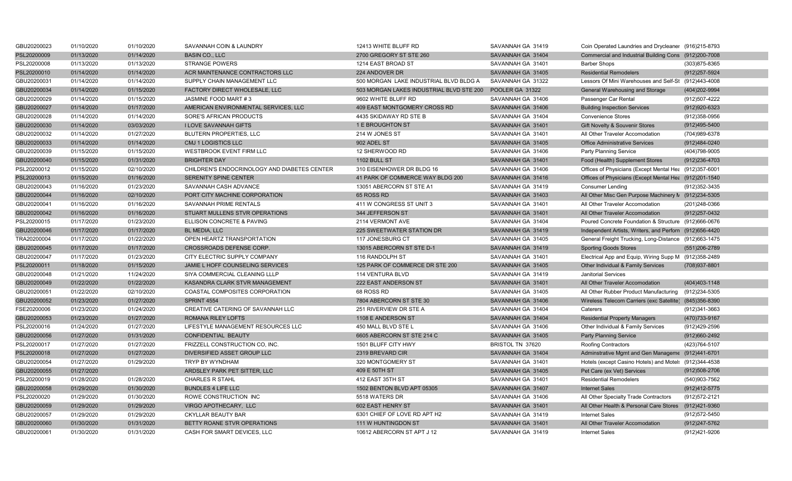| GBU20200023 | 01/10/2020 | 01/10/2020 | SAVANNAH COIN & LAUNDRY                      | 12413 WHITE BLUFF RD                     | SAVANNAH GA 31419 | Coin Operated Laundries and Drycleaner (916)215-8793    |                   |
|-------------|------------|------------|----------------------------------------------|------------------------------------------|-------------------|---------------------------------------------------------|-------------------|
| PSL20200009 | 01/13/2020 | 01/14/2020 | <b>BASIN CO., LLC</b>                        | 2700 GREGORY ST STE 260                  | SAVANNAH GA 31404 | Commercial and Industrial Building Cons (912)200-7008   |                   |
| PSL20200008 | 01/13/2020 | 01/13/2020 | <b>STRANGE POWERS</b>                        | 1214 EAST BROAD ST                       | SAVANNAH GA 31401 | <b>Barber Shops</b>                                     | (303)875-8365     |
| PSL20200010 | 01/14/2020 | 01/14/2020 | ACR MAINTENANCE CONTRACTORS LLC              | 224 ANDOVER DR                           | SAVANNAH GA 31405 | <b>Residential Remodelers</b>                           | (912) 257-5924    |
| GBU20200031 | 01/14/2020 | 01/14/2020 | SUPPLY CHAIN MANAGEMENT LLC                  | 500 MORGAN LAKE INDUSTRIAL BLVD BLDG A   | SAVANNAH GA 31322 | Lessors Of Mini Warehouses and Self-St (912)443-4008    |                   |
| GBU20200034 | 01/14/2020 | 01/15/2020 | <b>FACTORY DIRECT WHOLESALE, LLC</b>         | 503 MORGAN LAKES INDUSTRIAL BLVD STE 200 | POOLER GA 31322   | General Warehousing and Storage                         | (404)202-9994     |
| GBU20200029 | 01/14/2020 | 01/15/2020 | JASMINE FOOD MART #3                         | 9602 WHITE BLUFF RD                      | SAVANNAH GA 31406 | Passenger Car Rental                                    | (912)507-4222     |
| GBU20200027 | 01/14/2020 | 01/17/2020 | AMERICAN ENVIRONMENTAL SERVICES, LLC         | 409 EAST MONTGOMERY CROSS RD             | SAVANNAH GA 31406 | <b>Building Inspection Services</b>                     | (912) 920-6323    |
| GBU20200028 | 01/14/2020 | 01/14/2020 | SORE'S AFRICAN PRODUCTS                      | 4435 SKIDAWAY RD STE B                   | SAVANNAH GA 31404 | <b>Convenience Stores</b>                               | (912)358-0956     |
| GBU20200030 | 01/14/2020 | 03/03/2020 | <b>I LOVE SAVANNAH GIFTS</b>                 | 1 E BROUGHTON ST                         | SAVANNAH GA 31401 | Gift Novelty & Souvenir Stores                          | (912)495-5400     |
| GBU20200032 | 01/14/2020 | 01/27/2020 | <b>BLUTERN PROPERTIES, LLC</b>               | 214 W JONES ST                           | SAVANNAH GA 31401 | All Other Traveler Accomodation                         | (704)989-6378     |
| GBU20200033 | 01/14/2020 | 01/14/2020 | <b>CMJ 1 LOGISTICS LLC</b>                   | 902 ADEL ST                              | SAVANNAH GA 31405 | <b>Office Administrative Services</b>                   | (912)484-0240     |
| GBU20200039 | 01/15/2020 | 01/15/2020 | <b>WESTBROOK EVENT FIRM LLC</b>              | 12 SHERWOOD RD                           | SAVANNAH GA 31406 | <b>Party Planning Service</b>                           | (404)798-9005     |
| GBU20200040 | 01/15/2020 | 01/31/2020 | <b>BRIGHTER DAY</b>                          | <b>1102 BULL ST</b>                      | SAVANNAH GA 31401 | Food (Health) Supplement Stores                         | (912) 236-4703    |
| PSL20200012 | 01/15/2020 | 02/10/2020 | CHILDREN'S ENDOCRINOLOGY AND DIABETES CENTER | 310 EISENHOWER DR BLDG 16                | SAVANNAH GA 31406 | Offices of Physicians (Except Mental Hea (912)357-6001  |                   |
| PSL20200013 | 01/15/2020 | 01/16/2020 | SERENITY SPINE CENTER                        | 41 PARK OF COMMERCE WAY BLDG 200         | SAVANNAH GA 31416 | Offices of Physicians (Except Mental Hea (912)201-1540  |                   |
| GBU20200043 | 01/16/2020 | 01/23/2020 | SAVANNAH CASH ADVANCE                        | 13051 ABERCORN ST STE A1                 | SAVANNAH GA 31419 | <b>Consumer Lending</b>                                 | (912) 352-3435    |
| GBU20200044 | 01/16/2020 | 02/10/2020 | PORT CITY MACHINE CORPORATION                | 65 ROSS RD                               | SAVANNAH GA 31403 | All Other Misc Gen Purpose Machinery N (912)234-5305    |                   |
| GBU20200041 | 01/16/2020 | 01/16/2020 | SAVANNAH PRIME RENTALS                       | 411 W CONGRESS ST UNIT 3                 | SAVANNAH GA 31401 | All Other Traveler Accomodation                         | (201)248-0366     |
| GBU20200042 | 01/16/2020 | 01/16/2020 | STUART MULLENS STVR OPERATIONS               | 344 JEFFERSON ST                         | SAVANNAH GA 31401 | All Other Traveler Accomodation                         | (912) 257-0432    |
| PSL20200015 | 01/17/2020 | 01/23/2020 | ELLISON CONCRETE & PAVING                    | 2114 VERMONT AVE                         | SAVANNAH GA 31404 | Poured Concrete Foundation & Structure (912)666-0676    |                   |
| GBU20200046 | 01/17/2020 | 01/17/2020 | BL MEDIA, LLC                                | 225 SWEETWATER STATION DR                | SAVANNAH GA 31419 | Independent Artists, Writers, and Perforn (912)656-4420 |                   |
| TRA20200004 | 01/17/2020 | 01/22/2020 | OPEN HEARTZ TRANSPORTATION                   | 117 JONESBURG CT                         | SAVANNAH GA 31405 | General Freight Trucking, Long-Distance (912)663-1475   |                   |
| GBU20200045 | 01/17/2020 | 01/17/2020 | CROSSROADS DEFENSE CORP.                     | 13015 ABERCORN ST STE D-1                | SAVANNAH GA 31419 | <b>Sporting Goods Stores</b>                            | $(551)206 - 2789$ |
| GBU20200047 | 01/17/2020 | 01/23/2020 | CITY ELECTRIC SUPPLY COMPANY                 | 116 RANDOLPH ST                          | SAVANNAH GA 31401 | Electrical App and Equip, Wiring Supp M (912)358-2489   |                   |
| PSL20200011 | 01/18/2020 | 01/15/2020 | JAMIE L HOFF COUNSELING SERVICES             | 125 PARK OF COMMERCE DR STE 200          | SAVANNAH GA 31405 | Other Individual & Family Services                      | (708) 937-8801    |
| GBU20200048 | 01/21/2020 | 11/24/2020 | SIYA COMMERCIAL CLEANING LLLP                | 114 VENTURA BLVD                         | SAVANNAH GA 31419 | <b>Janitorial Services</b>                              |                   |
| GBU20200049 | 01/22/2020 | 01/22/2020 | KASANDRA CLARK STVR MANAGEMENT               | 222 EAST ANDERSON ST                     | SAVANNAH GA 31401 | All Other Traveler Accomodation                         | (404) 403-1148    |
| GBU20200051 | 01/22/2020 | 02/10/2020 | COASTAL COMPOSITES CORPORATION               | 68 ROSS RD                               | SAVANNAH GA 31405 | All Other Rubber Product Manufacturing (912)234-5305    |                   |
| GBU20200052 | 01/23/2020 | 01/27/2020 | SPRINT 4554                                  | 7804 ABERCORN ST STE 30                  | SAVANNAH GA 31406 | Wireless Telecom Carriers (exc Satellite) (845)356-8390 |                   |
| FSE20200006 | 01/23/2020 | 01/24/2020 | CREATIVE CATERING OF SAVANNAH LLC            | 251 RIVERVIEW DR STE A                   | SAVANNAH GA 31404 | Caterers                                                | (912) 341-3663    |
| GBU20200053 | 01/23/2020 | 01/27/2020 | ROMANA RILEY LOFTS                           | 1108 E ANDERSON ST                       | SAVANNAH GA 31404 | <b>Residential Property Managers</b>                    | (470) 733-9167    |
| PSL20200016 | 01/24/2020 | 01/27/2020 | LIFESTYLE MANAGEMENT RESOURCES LLC           | 450 MALL BLVD STE L                      | SAVANNAH GA 31406 | Other Individual & Family Services                      | (912)429-2596     |
| GBU20200056 | 01/27/2020 | 01/31/2020 | CONFIDENTIAL BEAUTY                          | 6605 ABERCORN ST STE 214 C               | SAVANNAH GA 31405 | <b>Party Planning Service</b>                           | (912)660-2492     |
| PSL20200017 | 01/27/2020 | 01/27/2020 | FRIZZELL CONSTRUCTION CO, INC.               | 1501 BLUFF CITY HWY                      | BRISTOL TN 37620  | <b>Roofing Contractors</b>                              | (423) 764-5107    |
| PSL20200018 | 01/27/2020 | 01/27/2020 | DIVERSIFIED ASSET GROUP LLC                  | 2319 BREVARD CIR                         | SAVANNAH GA 31404 | Adminstrative Mgmt and Gen Manageme (912)441-6701       |                   |
| GBU20200054 | 01/27/2020 | 01/29/2020 | <b>TRYP BY WYNDHAM</b>                       | 320 MONTGOMERY ST                        | SAVANNAH GA 31401 | Hotels (except Casino Hotels) and Motel: (912)344-4538  |                   |
| GBU20200055 | 01/27/2020 |            | ARDSLEY PARK PET SITTER, LLC                 | 409 E 50TH ST                            | SAVANNAH GA 31405 | Pet Care (ex Vet) Services                              | $(912)508 - 2706$ |
| PSL20200019 | 01/28/2020 | 01/28/2020 | <b>CHARLES R STAHL</b>                       | 412 EAST 35TH ST                         | SAVANNAH GA 31401 | <b>Residential Remodelers</b>                           | (540)903-7562     |
| GBU20200058 | 01/29/2020 | 01/30/2020 | <b>BUNDLES 4 LIFE LLC</b>                    | 1502 BENTON BLVD APT 05305               | SAVANNAH GA 31407 | <b>Internet Sales</b>                                   | (912)412-5775     |
| PSL20200020 | 01/29/2020 | 01/30/2020 | ROWE CONSTRUCTION INC                        | 5518 WATERS DR                           | SAVANNAH GA 31406 | All Other Specialty Trade Contractors                   | (912) 572-2121    |
| GBU20200059 | 01/29/2020 | 01/29/2020 | VIRGO APOTHECARY, LLC                        | 602 EAST HENRY ST                        | SAVANNAH GA 31401 | All Other Health & Personal Care Stores (912)421-9360   |                   |
| GBU20200057 | 01/29/2020 | 01/29/2020 | <b>CKYLLAR BEAUTY BAR</b>                    | 6301 CHIEF OF LOVE RD APT H2             | SAVANNAH GA 31419 | <b>Internet Sales</b>                                   | (912) 572-5450    |
| GBU20200060 | 01/30/2020 | 01/31/2020 | BETTY ROANE STVR OPERATIONS                  | 111 W HUNTINGDON ST                      | SAVANNAH GA 31401 | All Other Traveler Accomodation                         | (912)247-5762     |
| GBU20200061 | 01/30/2020 | 01/31/2020 | CASH FOR SMART DEVICES, LLC                  | 10612 ABERCORN ST APT J 12               | SAVANNAH GA 31419 | <b>Internet Sales</b>                                   | (912)421-9206     |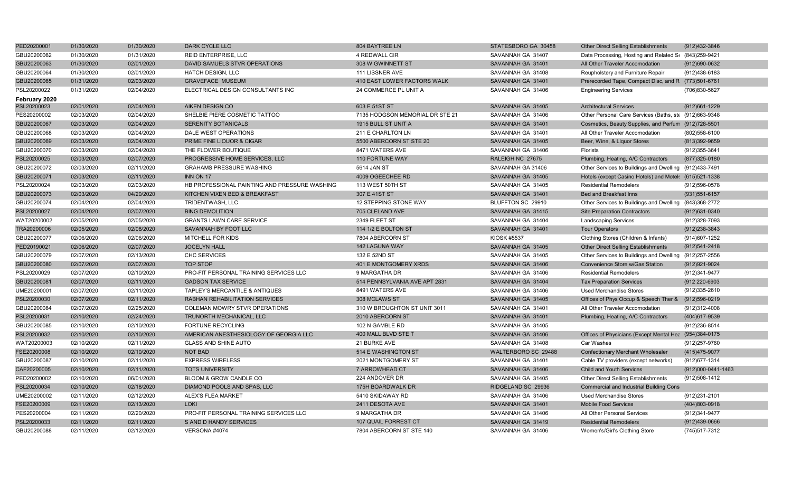| PED20200001   | 01/30/2020 | 01/30/2020 | DARK CYCLE LLC                                | 804 BAYTREE LN                  | STATESBORO GA 30458 | <b>Other Direct Selling Establishments</b>             | (912)432-3846      |
|---------------|------------|------------|-----------------------------------------------|---------------------------------|---------------------|--------------------------------------------------------|--------------------|
| GBU20200062   | 01/30/2020 | 01/31/2020 | <b>REID ENTERPRISE, LLC</b>                   | 4 REDWALL CIR                   | SAVANNAH GA 31407   | Data Processing, Hosting and Related S( (843)259-9421  |                    |
| GBU20200063   | 01/30/2020 | 02/01/2020 | DAVID SAMUELS STVR OPERATIONS                 | 308 W GWINNETT ST               | SAVANNAH GA 31401   | All Other Traveler Accomodation                        | (912)690-0632      |
| GBU20200064   | 01/30/2020 | 02/01/2020 | <b>HATCH DESIGN, LLC</b>                      | 111 LISSNER AVE                 | SAVANNAH GA 31408   | Reupholstery and Furniture Repair                      | (912)438-6183      |
| GBU20200065   | 01/31/2020 | 02/03/2020 | <b>GRAVEFACE MUSEUM</b>                       | 410 EAST LOWER FACTORS WALK     | SAVANNAH GA 31401   | Prerecorded Tape, Compact Disc, and R (773)501-6761    |                    |
| PSL20200022   | 01/31/2020 | 02/04/2020 | ELECTRICAL DESIGN CONSULTANTS INC             | 24 COMMERCE PL UNIT A           | SAVANNAH GA 31406   | <b>Engineering Services</b>                            | (706)830-5627      |
| February 2020 |            |            |                                               |                                 |                     |                                                        |                    |
| PSL20200023   | 02/01/2020 | 02/04/2020 | AIKEN DESIGN CO                               | 603 E 51ST ST                   | SAVANNAH GA 31405   | <b>Architectural Services</b>                          | (912)661-1229      |
| PES20200002   | 02/03/2020 | 02/04/2020 | SHELBIE PIERE COSMETIC TATTOO                 | 7135 HODGSON MEMORIAL DR STE 21 | SAVANNAH GA 31406   | Other Personal Care Services (Baths, ste (912)663-9348 |                    |
| GBU20200067   | 02/03/2020 | 02/04/2020 | <b>SERENITY BOTANICALS</b>                    | 1915 BULL ST UNIT A             | SAVANNAH GA 31401   | Cosmetics, Beauty Supplies, and Perfum (912)728-5501   |                    |
| GBU20200068   | 02/03/2020 | 02/04/2020 | DALE WEST OPERATIONS                          | 211 E CHARLTON LN               | SAVANNAH GA 31401   | All Other Traveler Accomodation                        | (802) 558-6100     |
| GBU20200069   | 02/03/2020 | 02/04/2020 | PRIME FINE LIOUOR & CIGAR                     | 5500 ABERCORN ST STE 20         | SAVANNAH GA 31405   | Beer, Wine, & Liquor Stores                            | $(813)392 - 9659$  |
| GBU20200070   | 02/03/2020 | 02/04/2020 | THE FLOWER BOUTIQUE                           | 8471 WATERS AVE                 | SAVANNAH GA 31406   | Florists                                               | $(912)355-3641$    |
| PSL20200025   | 02/03/2020 | 02/07/2020 | PROGRESSIVE HOME SERVICES, LLC                | 110 FORTUNE WAY                 | RALEIGH NC 27675    | Plumbing, Heating, A/C Contractors                     | (877) 325-0180     |
| GBU20200072   | 02/03/2020 | 02/11/2020 | <b>GRAHAMS PRESSURE WASHING</b>               | 5614 JAN ST                     | SAVANNAH GA 31406   | Other Services to Buildings and Dwelling (912)433-7491 |                    |
| GBU20200071   | 02/03/2020 | 02/11/2020 | INN ON 17                                     | 4009 OGEECHEE RD                | SAVANNAH GA 31405   | Hotels (except Casino Hotels) and Motel: (615)521-1338 |                    |
| PSL20200024   | 02/03/2020 | 02/03/2020 | HB PROFESSIONAL PAINTING AND PRESSURE WASHING | 113 WEST 50TH ST                | SAVANNAH GA 31405   | <b>Residential Remodelers</b>                          | (912)596-0578      |
| GBU20200073   | 02/03/2020 | 04/20/2020 | KITCHEN VIXEN BED & BREAKFAST                 | 307 E 41ST ST                   | SAVANNAH GA 31401   | Bed and Breakfast Inns                                 | $(931)551-6157$    |
| GBU20200074   | 02/04/2020 | 02/04/2020 | TRIDENTWASH, LLC                              | 12 STEPPING STONE WAY           | BLUFFTON SC 29910   | Other Services to Buildings and Dwelling (843)368-2772 |                    |
| PSL20200027   | 02/04/2020 | 02/07/2020 | <b>BING DEMOLITION</b>                        | 705 CLELAND AVE                 | SAVANNAH GA 31415   | <b>Site Preparation Contractors</b>                    | (912)631-0340      |
| WAT20200002   | 02/05/2020 | 02/05/2020 | <b>GRANTS LAWN CARE SERVICE</b>               | 2349 FLEET ST                   | SAVANNAH GA 31404   | <b>Landscaping Services</b>                            | (912)328-7093      |
| TRA20200006   | 02/05/2020 | 02/08/2020 | SAVANNAH BY FOOT LLC                          | 114 1/2 E BOLTON ST             | SAVANNAH GA 31401   | <b>Tour Operators</b>                                  | $(912)238 - 3843$  |
| GBU20200077   | 02/06/2020 | 02/06/2020 | MITCHELL FOR KIDS                             | 7804 ABERCORN ST                | <b>KIOSK #5537</b>  | Clothing Stores (Children & Infants)                   | (914) 607-1252     |
| PED20190021   | 02/06/2020 | 02/07/2020 | <b>JOCELYN HALL</b>                           | 142 LAGUNA WAY                  | SAVANNAH GA 31405   | <b>Other Direct Selling Establishments</b>             | $(912)541 - 2418$  |
| GBU20200079   | 02/07/2020 | 02/13/2020 | <b>CHC SERVICES</b>                           | 132 E 52ND ST                   | SAVANNAH GA 31405   | Other Services to Buildings and Dwelling (912)257-2556 |                    |
| GBU20200080   | 02/07/2020 | 02/07/2020 | <b>TOP STOP</b>                               | 401 E MONTGOMERY XRDS           | SAVANNAH GA 31406   | Convenience Store w/Gas Station                        | (912) 921-9024     |
| PSL20200029   | 02/07/2020 | 02/10/2020 | PRO-FIT PERSONAL TRAINING SERVICES LLC        | 9 MARGATHA DR                   | SAVANNAH GA 31406   | <b>Residential Remodelers</b>                          | (912)341-9477      |
| GBU20200081   | 02/07/2020 | 02/11/2020 | <b>GADSON TAX SERVICE</b>                     | 514 PENNSYLVANIA AVE APT 2831   | SAVANNAH GA 31404   | <b>Tax Preparation Services</b>                        | (912 220-6903      |
| UME20200001   | 02/07/2020 | 02/11/2020 | TAPLEY'S MERCANTILE & ANTIQUES                | 8491 WATERS AVE                 | SAVANNAH GA 31406   | <b>Used Merchandise Stores</b>                         | (912) 335-2610     |
| PSL20200030   | 02/07/2020 | 02/11/2020 | RABHAN REHABILITATION SERVICES                | 308 MCLAWS ST                   | SAVANNAH GA 31405   | Offices of Phys Occup & Speech Ther & (912)596-0219    |                    |
| GBU20200084   | 02/07/2020 | 02/25/2020 | <b>COLEMAN MOWRY STVR OPERATIONS</b>          | 310 W BROUGHTON ST UNIT 3011    | SAVANNAH GA 31401   | All Other Traveler Accomodation                        | (912)312-4008      |
| PSL20200031   | 02/10/2020 | 02/24/2020 | TRUNORTH MECHANICAL, LLC                      | 2010 ABERCORN ST                | SAVANNAH GA 31401   | Plumbing, Heating, A/C Contractors                     | (404)617-9539      |
| GBU20200085   | 02/10/2020 | 02/10/2020 | <b>FORTUNE RECYCLING</b>                      | 102 N GAMBLE RD                 | SAVANNAH GA 31405   |                                                        | (912)236-8514      |
| PSL20200032   | 02/10/2020 | 02/10/2020 | AMERICAN ANESTHESIOLOGY OF GEORGIA LLC        | 400 MALL BLVD STE T             | SAVANNAH GA 31406   | Offices of Physicians (Except Mental Hea (954)384-0175 |                    |
| WAT20200003   | 02/10/2020 | 02/11/2020 | <b>GLASS AND SHINE AUTO</b>                   | 21 BURKE AVE                    | SAVANNAH GA 31408   | Car Washes                                             | (912)257-9760      |
| FSE20200008   | 02/10/2020 | 02/10/2020 | <b>NOT BAD</b>                                | 514 E WASHINGTON ST             | WALTERBORO SC 29488 | <b>Confectionary Merchant Wholesaler</b>               | (415) 475-9077     |
| GBU20200087   | 02/10/2020 | 02/11/2020 | <b>EXPRESS WIRELESS</b>                       | 2021 MONTGOMERY ST              | SAVANNAH GA 31401   | Cable TV providers (except networks)                   | (912) 677-1314     |
| CAF20200005   | 02/10/2020 | 02/11/2020 | <b>TOTS UNIVERSITY</b>                        | 7 ARROWHEAD CT                  | SAVANNAH GA 31406   | <b>Child and Youth Services</b>                        | (912)000-0441-1463 |
| PED20200002   | 02/10/2020 | 06/01/2020 | BLOOM & GROW CANDLE CO                        | 224 ANDOVER DR                  | SAVANNAH GA 31405   | Other Direct Selling Establishments                    | (912)508-1412      |
| PSL20200034   | 02/10/2020 | 02/18/2020 | DIAMOND POOLS AND SPAS, LLC                   | 175H BOARDWALK DR               | RIDGELAND SC 29936  | <b>Commercial and Industrial Building Cons</b>         |                    |
| UME20200002   | 02/11/2020 | 02/12/2020 | <b>ALEX'S FLEA MARKET</b>                     | 5410 SKIDAWAY RD                | SAVANNAH GA 31406   | <b>Used Merchandise Stores</b>                         | (912)231-2101      |
| FSE20200009   | 02/11/2020 | 02/13/2020 | <b>LOKI</b>                                   | 2411 DESOTA AVE                 | SAVANNAH GA 31401   | <b>Mobile Food Services</b>                            | (404)803-0918      |
| PES20200004   | 02/11/2020 | 02/20/2020 | PRO-FIT PERSONAL TRAINING SERVICES LLC        | 9 MARGATHA DR                   | SAVANNAH GA 31406   | All Other Personal Services                            | (912) 341-9477     |
| PSL20200033   | 02/11/2020 | 02/11/2020 | S AND D HANDY SERVICES                        | 107 QUAIL FORREST CT            | SAVANNAH GA 31419   | <b>Residential Remodelers</b>                          | (912)439-0666      |
| GBU20200088   | 02/11/2020 | 02/12/2020 | VERSONA #4074                                 | 7804 ABERCORN ST STE 140        | SAVANNAH GA 31406   | Women's/Girl's Clothing Store                          | (745) 517-7312     |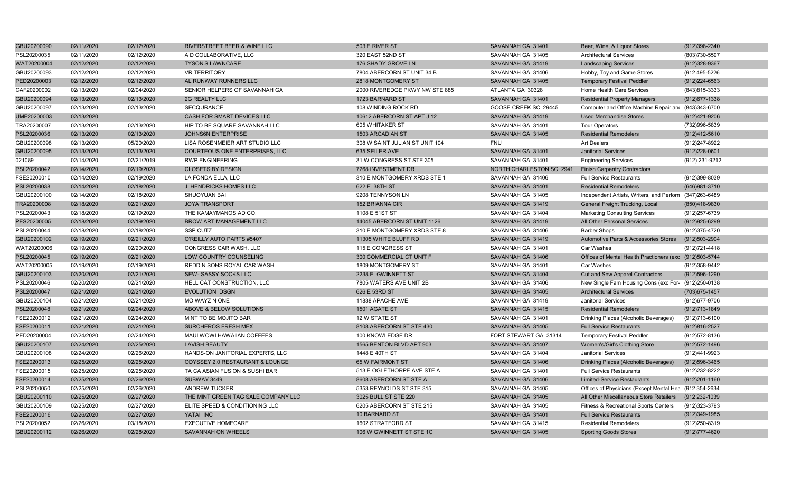| GBU20200090 | 02/11/2020 | 02/12/2020 | RIVERSTREET BEER & WINE LLC         | 503 E RIVER ST                 | SAVANNAH GA 31401        | Beer, Wine, & Liquor Stores                             | (912)398-2340     |
|-------------|------------|------------|-------------------------------------|--------------------------------|--------------------------|---------------------------------------------------------|-------------------|
| PSL20200035 | 02/11/2020 | 02/12/2020 | A D COLLABORATIVE, LLC              | 320 EAST 52ND ST               | SAVANNAH GA 31405        | <b>Architectural Services</b>                           | (803)730-5597     |
| WAT20200004 | 02/12/2020 | 02/12/2020 | <b>TYSON'S LAWNCARE</b>             | 176 SHADY GROVE LN             | SAVANNAH GA 31419        | <b>Landscaping Services</b>                             | (912)328-9367     |
| GBU20200093 | 02/12/2020 | 02/12/2020 | <b>VR TERRITORY</b>                 | 7804 ABERCORN ST UNIT 34 B     | SAVANNAH GA 31406        | Hobby, Toy and Game Stores                              | (912 495-5226     |
| PED20200003 | 02/12/2020 | 02/12/2020 | AL RUNWAY RUNNERS LLC               | 2818 MONTGOMERY ST             | SAVANNAH GA 31405        | <b>Temporary Festival Peddler</b>                       | $(912)224 - 6563$ |
| CAF20200002 | 02/13/2020 | 02/04/2020 | SENIOR HELPERS OF SAVANNAH GA       | 2000 RIVEREDGE PKWY NW STE 885 | ATLANTA GA 30328         | Home Health Care Services                               | (843) 815-3333    |
| GBU20200094 | 02/13/2020 | 02/13/2020 | 2G REALTY LLC                       | 1723 BARNARD ST                | SAVANNAH GA 31401        | <b>Residential Property Managers</b>                    | (912) 677-1338    |
| GBU20200097 | 02/13/2020 | 02/13/2020 | <b>SECQURANCE</b>                   | 108 WINDING ROCK RD            | GOOSE CREEK SC 29445     | Computer and Office Machine Repair and (843)343-6700    |                   |
| UME20200003 | 02/13/2020 |            | CASH FOR SMART DEVICES LLC          | 10612 ABERCORN ST APT J 12     | SAVANNAH GA 31419        | <b>Used Merchandise Stores</b>                          | (912)421-9206     |
| TRA20200007 | 02/13/2020 | 02/13/2020 | HIP TO BE SQUARE SAVANNAH LLC       | 605 WHITAKER ST                | SAVANNAH GA 31401        | <b>Tour Operators</b>                                   | (732)996-5839     |
| PSL20200036 | 02/13/2020 | 02/13/2020 | <b>JOHNS6N ENTERPRISE</b>           | 1503 ARCADIAN ST               | SAVANNAH GA 31405        | <b>Residential Remodelers</b>                           | $(912)412 - 5610$ |
| GBU20200098 | 02/13/2020 | 05/20/2020 | LISA ROSENMEIER ART STUDIO LLC      | 308 W SAINT JULIAN ST UNIT 104 | <b>FNU</b>               | <b>Art Dealers</b>                                      | (912)247-8922     |
| GBU20200095 | 02/13/2020 | 02/13/2020 | COURTEOUS ONE ENTERPRISES, LLC      | 635 SEILER AVE                 | SAVANNAH GA 31401        | <b>Janitorial Services</b>                              | $(912)228-0601$   |
| 021089      | 02/14/2020 | 02/21/2019 | <b>RWP ENGINEERING</b>              | 31 W CONGRESS ST STE 305       | SAVANNAH GA 31401        | <b>Engineering Services</b>                             | (912) 231-9212    |
| PSL20200042 | 02/14/2020 | 02/19/2020 | <b>CLOSETS BY DESIGN</b>            | 7268 INVESTMENT DR             | NORTH CHARLESTON SC 2941 | <b>Finish Carpentry Contractors</b>                     |                   |
| FSE20200010 | 02/14/2020 | 02/19/2020 | LA FONDA ELLA, LLC                  | 310 E MONTGOMERY XRDS STE 1    | SAVANNAH GA 31406        | <b>Full Service Restaurants</b>                         | (912)399-8039     |
| PSL20200038 | 02/14/2020 | 02/18/2020 | J. HENDRICKS HOMES LLC              | 622 E. 38TH ST                 | SAVANNAH GA 31401        | <b>Residential Remodelers</b>                           | (646) 981-3710    |
| GBU20200100 | 02/14/2020 | 02/18/2020 | SHUOYUAN BAI                        | 9208 TENNYSON LN               | SAVANNAH GA 31405        | Independent Artists, Writers, and Perforn (347)263-6489 |                   |
| TRA20200008 | 02/18/2020 | 02/21/2020 | <b>JOYA TRANSPORT</b>               | 152 BRIANNA CIR                | SAVANNAH GA 31419        | General Freight Trucking, Local                         | (850)418-9830     |
| PSL20200043 | 02/18/2020 | 02/19/2020 | THE KAMAYMANOS AD CO.               | 1108 E 51ST ST                 | SAVANNAH GA 31404        | <b>Marketing Consulting Services</b>                    | (912) 257-6739    |
| PES20200005 | 02/18/2020 | 02/19/2020 | BROW ART MANAGEMENT LLC             | 14045 ABERCORN ST UNIT 1126    | SAVANNAH GA 31419        | All Other Personal Services                             | $(912)925 - 6299$ |
| PSL20200044 | 02/18/2020 | 02/18/2020 | SSP CUTZ                            | 310 E MONTGOMERY XRDS STE 8    | SAVANNAH GA 31406        | <b>Barber Shops</b>                                     | (912) 375-4720    |
| GBU20200102 | 02/19/2020 | 02/21/2020 | O'REILLY AUTO PARTS #5407           | 11305 WHITE BLUFF RD           | SAVANNAH GA 31419        | Automotive Parts & Accessories Stores                   | (912)503-2904     |
| WAT20200006 | 02/19/2020 | 02/20/2020 | CONGRESS CAR WASH, LLC              | 115 E CONGRESS ST              | SAVANNAH GA 31401        | Car Washes                                              | (912) 721-4418    |
| PSL20200045 | 02/19/2020 | 02/21/2020 | LOW COUNTRY COUNSELING              | 300 COMMERCIAL CT UNIT F       | SAVANNAH GA 31406        | Offices of Mental Health Practioners (exc (912)503-5744 |                   |
| WAT20200005 | 02/19/2020 | 02/19/2020 | REDD N SONS ROYAL CAR WASH          | 1809 MONTGOMERY ST             | SAVANNAH GA 31401        | Car Washes                                              | (912) 358-9442    |
| GBU20200103 | 02/20/2020 | 02/21/2020 | <b>SEW- SASSY SOCKS LLC</b>         | 2238 E. GWINNETT ST            | SAVANNAH GA 31404        | Cut and Sew Apparel Contractors                         | (912) 596-1290    |
| PSL20200046 | 02/20/2020 | 02/21/2020 | HELL CAT CONSTRUCTION, LLC          | 7805 WATERS AVE UNIT 2B        | SAVANNAH GA 31406        | New Single Fam Housing Cons (exc For- (912)250-0138     |                   |
| PSL20200047 | 02/21/2020 | 02/21/2020 | <b>EVOLUTION DSGN</b>               | 626 E 53RD ST                  | SAVANNAH GA 31405        | <b>Architectural Services</b>                           | (703) 675-1457    |
| GBU20200104 | 02/21/2020 | 02/21/2020 | MO WAYZ N ONE                       | 11838 APACHE AVE               | SAVANNAH GA 31419        | <b>Janitorial Services</b>                              | (912) 677-9706    |
| PSL20200048 | 02/21/2020 | 02/24/2020 | ABOVE & BELOW SOLUTIONS             | 1501 AGATE ST                  | SAVANNAH GA 31415        | <b>Residential Remodelers</b>                           | (912) 713-1849    |
| FSE20200012 | 02/21/2020 | 02/24/2020 | MINT TO BE MOJITO BAR               | 12 W STATE ST                  | SAVANNAH GA 31401        | Drinking Places (Alcoholic Beverages)                   | (912)713-6100     |
| FSE20200011 | 02/21/2020 | 02/21/2020 | SURCHEROS FRESH MEX                 | 8108 ABERCORN ST STE 430       | SAVANNAH GA 31405        | <b>Full Service Restaurants</b>                         | (912)816-2527     |
| PED20200004 | 02/24/2020 | 02/24/2020 | MAUI WOWI HAWAIIAN COFFEES          | 100 KNOWLEDGE DR               | FORT STEWART GA 31314    | <b>Temporary Festival Peddler</b>                       | (912) 572-8136    |
| GBU20200107 | 02/24/2020 | 02/25/2020 | <b>LAVISH BEAUTY</b>                | 1565 BENTON BLVD APT 903       | SAVANNAH GA 31407        | Women's/Girl's Clothing Store                           | (912) 572-1496    |
| GBU20200108 | 02/24/2020 | 02/26/2020 | HANDS-ON JANITORIAL EXPERTS, LLC    | 1448 E 40TH ST                 | SAVANNAH GA 31404        | <b>Janitorial Services</b>                              | (912)441-9923     |
| FSE20200013 | 02/25/2020 | 02/25/2020 | ODYSSEY 2.0 RESTAURANT & LOUNGE     | <b>65 W FAIRMONT ST</b>        | SAVANNAH GA 31406        | Drinking Places (Alcoholic Beverages)                   | (912) 596-3465    |
| FSE20200015 | 02/25/2020 | 02/25/2020 | TA CA ASIAN FUSION & SUSHI BAR      | 513 E OGLETHORPE AVE STE A     | SAVANNAH GA 31401        | <b>Full Service Restaurants</b>                         | (912) 232-8222    |
| FSE20200014 | 02/25/2020 | 02/26/2020 | SUBWAY 3449                         | 8608 ABERCORN ST STE A         | SAVANNAH GA 31406        | <b>Limited-Service Restaurants</b>                      | $(912)201 - 1160$ |
| PSL20200050 | 02/25/2020 | 02/26/2020 | <b>ANDREW TUCKER</b>                | 5353 REYNOLDS ST STE 315       | SAVANNAH GA 31405        | Offices of Physicians (Except Mental Hea (912 354-2634  |                   |
| GBU20200110 | 02/25/2020 | 02/27/2020 | THE MINT GREEN TAG SALE COMPANY LLC | 3025 BULL ST STE 220           | SAVANNAH GA 31405        | All Other Miscellaneous Store Retailers                 | (912 232-1039     |
| GBU20200109 | 02/25/2020 | 02/27/2020 | ELITE SPEED & CONDITIONING LLC      | 6205 ABERCORN ST STE 215       | SAVANNAH GA 31405        | Fitness & Recreational Sports Centers                   | (912)323-3793     |
| FSE20200016 | 02/26/2020 | 02/27/2020 | YATAI INC                           | 10 BARNARD ST                  | SAVANNAH GA 31401        | <b>Full Service Restaurants</b>                         | (912)349-1985     |
| PSL20200052 | 02/26/2020 | 03/18/2020 | <b>EXECUTIVE HOMECARE</b>           | 1602 STRATFORD ST              | SAVANNAH GA 31415        | <b>Residential Remodelers</b>                           | (912)250-8319     |
| GBU20200112 | 02/26/2020 | 02/28/2020 | SAVANNAH ON WHEELS                  | 106 W GWINNETT ST STE 1C       | SAVANNAH GA 31405        | <b>Sporting Goods Stores</b>                            | (912) 777-4620    |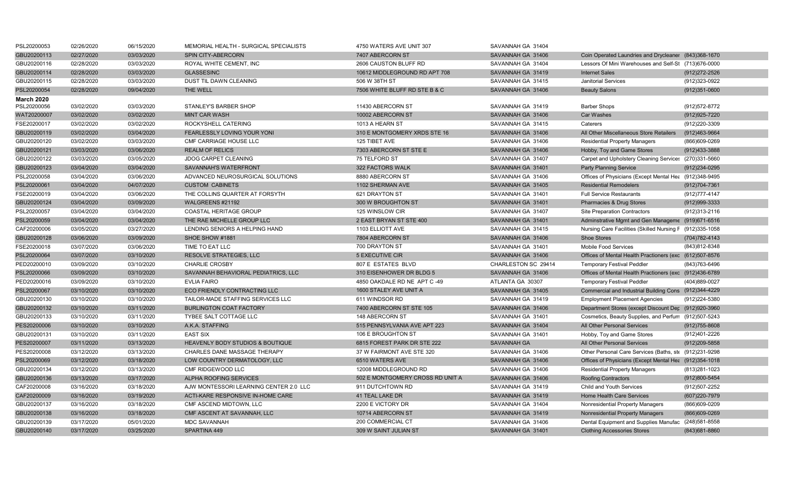| PSL20200053                      | 02/26/2020 | 06/15/2020 | MEMORIAL HEALTH - SURGICAL SPECIALISTS      | 4750 WATERS AVE UNIT 307         | SAVANNAH GA 31404   |                                                          |                   |
|----------------------------------|------------|------------|---------------------------------------------|----------------------------------|---------------------|----------------------------------------------------------|-------------------|
| GBU20200113                      | 02/27/2020 | 03/03/2020 | SPIN CITY-ABERCORN                          | 7407 ABERCORN ST                 | SAVANNAH GA 31406   | Coin Operated Laundries and Drycleaner (843)368-1670     |                   |
| GBU20200116                      | 02/28/2020 | 03/03/2020 | ROYAL WHITE CEMENT, INC                     | 2606 CAUSTON BLUFF RD            | SAVANNAH GA 31404   | Lessors Of Mini Warehouses and Self-St (713)676-0000     |                   |
| GBU20200114                      | 02/28/2020 | 03/03/2020 | <b>GLASSESINC</b>                           | 10612 MIDDLEGROUND RD APT 708    | SAVANNAH GA 31419   | <b>Internet Sales</b>                                    | (912) 272-2526    |
| GBU20200115                      | 02/28/2020 | 03/03/2020 | DUST TIL DAWN CLEANING                      | 506 W 38TH ST                    | SAVANNAH GA 31415   | <b>Janitorial Services</b>                               | (912)323-0922     |
| PSL20200054                      | 02/28/2020 | 09/04/2020 | THE WELL                                    | 7506 WHITE BLUFF RD STE B & C    | SAVANNAH GA 31406   | <b>Beauty Salons</b>                                     | $(912)351 - 0600$ |
| <b>March 2020</b><br>PSL20200056 | 03/02/2020 | 03/03/2020 | <b>STANLEY'S BARBER SHOP</b>                | 11430 ABERCORN ST                | SAVANNAH GA 31419   | <b>Barber Shops</b>                                      | (912) 572-8772    |
| WAT20200007                      | 03/02/2020 | 03/02/2020 | <b>MINT CAR WASH</b>                        | 10002 ABERCORN ST                | SAVANNAH GA 31406   | <b>Car Washes</b>                                        | (912) 925-7220    |
| FSE20200017                      | 03/02/2020 | 03/02/2020 | ROCKYSHELL CATERING                         | 1013 A HEARN ST                  | SAVANNAH GA 31415   | Caterers                                                 | (912)220-3309     |
| GBU20200119                      | 03/02/2020 | 03/04/2020 | FEARLESSLY LOVING YOUR YONI                 | 310 E MONTGOMERY XRDS STE 16     | SAVANNAH GA 31406   | All Other Miscellaneous Store Retailers                  | (912)463-9664     |
| GBU20200120                      | 03/02/2020 | 03/03/2020 | <b>CMF CARRIAGE HOUSE LLC</b>               | 125 TIBET AVE                    | SAVANNAH GA 31406   | <b>Residential Property Managers</b>                     | (866)609-0269     |
| GBU20200121                      | 03/03/2020 | 03/06/2020 | <b>REALM OF RELICS</b>                      | 7303 ABERCORN ST STE E           | SAVANNAH GA 31406   | Hobby, Toy and Game Stores                               | (912)433-3888     |
| GBU20200122                      | 03/03/2020 | 03/05/2020 | <b>JDOG CARPET CLEANING</b>                 | 75 TELFORD ST                    | SAVANNAH GA 31407   | Carpet and Upholstery Cleaning Services (270)331-5660    |                   |
|                                  |            |            |                                             |                                  |                     |                                                          |                   |
| GBU20200123                      | 03/04/2020 | 03/04/2020 | SAVANNAH'S WATERFRONT                       | 322 FACTORS WALK                 | SAVANNAH GA 31401   | <b>Party Planning Service</b>                            | (912)234-0295     |
| PSL20200058                      | 03/04/2020 | 03/06/2020 | ADVANCED NEUROSURGICAL SOLUTIONS            | 8880 ABERCORN ST                 | SAVANNAH GA 31406   | Offices of Physicians (Except Mental Hea (912)348-9495   |                   |
| PSL20200061                      | 03/04/2020 | 04/07/2020 | <b>CUSTOM CABINETS</b>                      | 1102 SHERMAN AVE                 | SAVANNAH GA 31405   | <b>Residential Remodelers</b>                            | (912) 704-7361    |
| FSE20200019                      | 03/04/2020 | 03/06/2020 | THE COLLINS QUARTER AT FORSYTH              | 621 DRAYTON ST                   | SAVANNAH GA 31401   | <b>Full Service Restaurants</b>                          | (912) 777-4147    |
| GBU20200124                      | 03/04/2020 | 03/09/2020 | WALGREENS #21192                            | 300 W BROUGHTON ST               | SAVANNAH GA 31401   | <b>Pharmacies &amp; Drug Stores</b>                      | (912) 999-3333    |
| PSL20200057                      | 03/04/2020 | 03/04/2020 | <b>COASTAL HERITAGE GROUP</b>               | 125 WINSLOW CIR                  | SAVANNAH GA 31407   | <b>Site Preparation Contractors</b>                      | (912) 313-2116    |
| PSL20200059                      | 03/04/2020 | 03/04/2020 | THE RAE MICHELLE GROUP LLC                  | 2 EAST BRYAN ST STE 400          | SAVANNAH GA 31401   | Adminstrative Mgmt and Gen Manageme (919)671-6516        |                   |
| CAF20200006                      | 03/05/2020 | 03/27/2020 | LENDING SENIORS A HELPING HAND              | 1103 ELLIOTT AVE                 | SAVANNAH GA 31415   | Nursing Care Facilities (Skilled Nursing F (912)335-1058 |                   |
| GBU20200128                      | 03/06/2020 | 03/09/2020 | SHOE SHOW #1881                             | 7804 ABERCORN ST                 | SAVANNAH GA 31406   | <b>Shoe Stores</b>                                       | (704) 782-4143    |
| FSE20200018                      | 03/07/2020 | 03/06/2020 | TIME TO EAT LLC                             | 700 DRAYTON ST                   | SAVANNAH GA 31401   | <b>Mobile Food Services</b>                              | (843)812-8348     |
| PSL20200064                      | 03/07/2020 | 03/10/2020 | <b>RESOLVE STRATEGIES, LLC</b>              | <b>5 EXECUTIVE CIR</b>           | SAVANNAH GA 31406   | Offices of Mental Health Practioners (exc (612)507-8576  |                   |
| PED20200010                      | 03/09/2020 | 03/10/2020 | <b>CHARLIE CROSBY</b>                       | 807 E ESTATES BLVD               | CHARLESTON SC 29414 | <b>Temporary Festival Peddler</b>                        | (843) 763-6496    |
| PSL20200066                      | 03/09/2020 | 03/10/2020 | SAVANNAH BEHAVIORAL PEDIATRICS, LLC         | 310 EISENHOWER DR BLDG 5         | SAVANNAH GA 31406   | Offices of Mental Health Practioners (exc (912)436-6789  |                   |
| PED20200016                      | 03/09/2020 | 03/10/2020 | <b>EVLIA FAIRO</b>                          | 4850 OAKDALE RD NE APT C-49      | ATLANTA GA 30307    | <b>Temporary Festival Peddler</b>                        | (404)889-0027     |
| PSL20200067                      | 03/10/2020 | 03/10/2020 | ECO FRIENDLY CONTRACTING LLC                | 1600 STALEY AVE UNIT A           | SAVANNAH GA 31405   | Commercial and Industrial Building Cons (912)344-4229    |                   |
| GBU20200130                      | 03/10/2020 | 03/10/2020 | TAILOR-MADE STAFFING SERVICES LLC           | 611 WINDSOR RD                   | SAVANNAH GA 31419   | <b>Employment Placement Agencies</b>                     | (912)224-5380     |
| GBU20200132                      | 03/10/2020 | 03/11/2020 | <b>BURLINGTON COAT FACTORY</b>              | 7400 ABERCORN ST STE 105         | SAVANNAH GA 31406   | Department Stores (except Discount Dep (912)920-3960     |                   |
| GBU20200133                      | 03/10/2020 | 03/11/2020 | TYBEE SALT COTTAGE LLC                      | 148 ABERCORN ST                  | SAVANNAH GA 31401   | Cosmetics, Beauty Supplies, and Perfum (912)507-5243     |                   |
| PES20200006                      | 03/10/2020 | 03/10/2020 | A.K.A. STAFFING                             | 515 PENNSYLVANIA AVE APT 223     | SAVANNAH GA 31404   | All Other Personal Services                              | $(912)755 - 8608$ |
| GBU20200131                      | 03/10/2020 | 03/11/2020 | <b>EAST SIX</b>                             | 106 E BROUGHTON ST               | SAVANNAH GA 31401   | Hobby, Toy and Game Stores                               | (912)401-2226     |
| PES20200007                      | 03/11/2020 | 03/13/2020 | <b>HEAVENLY BODY STUDIOS &amp; BOUTIQUE</b> | 6815 FOREST PARK DR STE 222      | <b>SAVANNAH GA</b>  | All Other Personal Services                              | (912) 209-5858    |
| PES20200008                      | 03/12/2020 | 03/13/2020 | CHARLES DANE MASSAGE THERAPY                | 37 W FAIRMONT AVE STE 320        | SAVANNAH GA 31406   | Other Personal Care Services (Baths, ste (912)231-9298   |                   |
| PSL20200069                      | 03/12/2020 | 03/18/2020 | LOW COUNTRY DERMATOLOGY, LLC                | 6510 WATERS AVE                  | SAVANNAH GA 31406   | Offices of Physicians (Except Mental Hea (912)354-1018   |                   |
| GBU20200134                      | 03/12/2020 | 03/13/2020 | CMF RIDGEWOOD LLC                           | 12008 MIDDLEGROUND RD            | SAVANNAH GA 31406   | <b>Residential Property Managers</b>                     | (813) 281-1023    |
| GBU20200136                      | 03/13/2020 | 03/17/2020 | ALPHA ROOFING SERVICES                      | 502 E MONTGOMERY CROSS RD UNIT A | SAVANNAH GA 31406   | <b>Roofing Contractors</b>                               | (912)800-5454     |
| CAF20200008                      | 03/16/2020 | 03/18/2020 | AJW MONTESSORI LEARNING CENTER 2.0 LLC      | 911 DUTCHTOWN RD                 | SAVANNAH GA 31419   | Child and Youth Services                                 | (912)507-2252     |
| CAF20200009                      | 03/16/2020 | 03/19/2020 | ACTI-KARE RESPONSIVE IN-HOME CARE           | 41 TEAL LAKE DR                  | SAVANNAH GA 31419   | Home Health Care Services                                | (607) 220-7979    |
| GBU20200137                      | 03/16/2020 | 03/18/2020 | CMF ASCEND MIDTOWN, LLC                     | 2200 E VICTORY DR                | SAVANNAH GA 31404   | Nonresidential Property Managers                         | (866)609-0209     |
| GBU20200138                      | 03/16/2020 | 03/18/2020 | CMF ASCENT AT SAVANNAH, LLC                 | 10714 ABERCORN ST                | SAVANNAH GA 31419   | Nonresidential Property Managers                         | (866)609-0269     |
| GBU20200139                      | 03/17/2020 | 05/01/2020 | <b>MDC SAVANNAH</b>                         | 200 COMMERCIAL CT                | SAVANNAH GA 31406   | Dental Equipment and Supplies Manufac (248)581-8558      |                   |
| GBU20200140                      | 03/17/2020 | 03/25/2020 | SPARTINA 449                                | 309 W SAINT JULIAN ST            | SAVANNAH GA 31401   | <b>Clothing Accessories Stores</b>                       | (843) 681-8860    |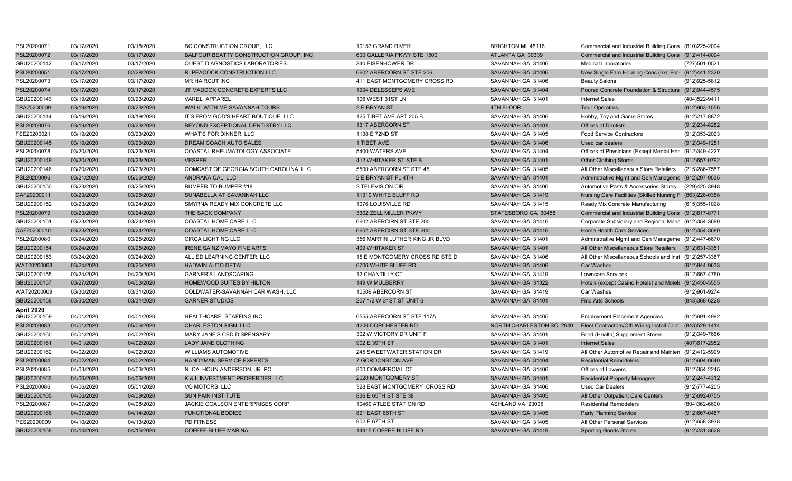| PSL20200071 | 03/17/2020 | 03/18/2020 | BC CONSTRUCTION GROUP, LLC             | 10153 GRAND RIVER              | BRIGHTON MI 48116        | Commercial and Industrial Building Cons (810)225-2004    |                   |
|-------------|------------|------------|----------------------------------------|--------------------------------|--------------------------|----------------------------------------------------------|-------------------|
| PSL20200072 | 03/17/2020 | 03/17/2020 | BALFOUR BEATTY CONSTRUCTION GROUP, INC | 600 GALLERIA PKWY STE 1500     | ATLANTA GA 30339         | Commercial and Industrial Building Cons (912)414-8094    |                   |
| GBU20200142 | 03/17/2020 | 03/17/2020 | QUEST DIAGNOSTICS LABORATORIES         | 340 EISENHOWER DR              | SAVANNAH GA 31406        | <b>Medical Laboratories</b>                              | (727)501-0521     |
| PSL20200051 | 03/17/2020 | 02/28/2020 | R. PEACOCK CONSTRUCTION LLC            | 6602 ABERCORN ST STE 206       | SAVANNAH GA 31406        | New Single Fam Housing Cons (exc For- (912)441-2320      |                   |
| PSL20200073 | 03/17/2020 | 03/17/2020 | <b>MR HAIRCUT INC</b>                  | 411 EAST MONTGOMERY CROSS RD   | SAVANNAH GA 31406        | <b>Beauty Salons</b>                                     | (912) 925-5812    |
| PSL20200074 | 03/17/2020 | 03/17/2020 | JT MADDOX CONCRETE EXPERTS LLC         | 1904 DELESSEPS AVE             | SAVANNAH GA 31404        | Poured Concrete Foundation & Structure (912)944-4575     |                   |
| GBU20200143 | 03/19/2020 | 03/23/2020 | <b>VAREL APPAREL</b>                   | 106 WEST 31ST LN               | SAVANNAH GA 31401        | <b>Internet Sales</b>                                    | (404) 522-9411    |
| TRA20200009 | 03/19/2020 | 03/23/2020 | WALK WITH ME SAVANNAH TOURS            | 2 E BRYAN ST                   | 4TH FLOOR                | <b>Tour Operators</b>                                    | $(912)963 - 1556$ |
| GBU20200144 | 03/19/2020 | 03/19/2020 | IT'S FROM GOD'S HEART BOUTIQUE, LLC    | 125 TIBET AVE APT 205 B        | SAVANNAH GA 31406        | Hobby, Toy and Game Stores                               | (912)217-8872     |
| PSL20200076 | 03/19/2020 | 03/23/2020 | BEYOND EXCEPTIONAL DENTISTRY LLC       | 1317 ABERCORN ST               | SAVANNAH GA 31401        | <b>Offices of Dentists</b>                               | (912)234-8282     |
| FSE20200021 | 03/19/2020 | 03/23/2020 | <b>WHAT'S FOR DINNER, LLC</b>          | 1138 E 72ND ST                 | SAVANNAH GA 31405        | <b>Food Service Contractors</b>                          | (912)353-2023     |
| GBU20200145 | 03/19/2020 | 03/23/2020 | DREAM COACH AUTO SALES                 | 1 TIBET AVE                    | SAVANNAH GA 31406        | Used car dealers                                         | (912) 349-1251    |
| PSL20200078 | 03/20/2020 | 03/23/2020 | COASTAL RHEUMATOLOGY ASSOCIATE         | 5400 WATERS AVE                | SAVANNAH GA 31404        | Offices of Physicians (Except Mental Hea (912)349-4227   |                   |
| GBU20200149 | 03/20/2020 | 03/23/2020 | <b>VESPER</b>                          | 412 WHITAKER ST STE B          | SAVANNAH GA 31401        | <b>Other Clothing Stores</b>                             | (912) 657-0792    |
| GBU20200146 | 03/20/2020 | 03/23/2020 | COMCAST OF GEORGIA SOUTH CAROLINA, LLC | 5500 ABERCORN ST STE 45        | SAVANNAH GA 31405        | All Other Miscellaneous Store Retailers                  | (215) 286-7557    |
| PSL20200096 | 03/21/2020 | 05/06/2020 | ANDRAKA CALI LLC                       | 2 E BRYAN ST FL 4TH            | SAVANNAH GA 31401        | Adminstrative Mgmt and Gen Manageme (912)297-9535        |                   |
| GBU20200150 | 03/23/2020 | 03/25/2020 | BUMPER TO BUMPER #18                   | 2 TELEVISION CIR               | SAVANNAH GA 31406        | Automotive Parts & Accessories Stores                    | (229)425-3948     |
| CAF20200011 | 03/23/2020 | 03/25/2020 | SUNABELLA AT SAVANNAH LLC              | 11310 WHITE BLUFF RD           | SAVANNAH GA 31419        | Nursing Care Facilities (Skilled Nursing F (863)226-0358 |                   |
| GBU20200152 | 03/23/2020 | 03/24/2020 | SMYRNA READY MIX CONCRETE LLC          | 1076 LOUISVILLE RD             | SAVANNAH GA 31415        | Ready Mix Concrete Manufacturing                         | (615) 355-1028    |
| PSL20200079 | 03/23/2020 | 03/24/2020 | THE SACK COMPANY                       | 3302 ZELL MILLER PKWY          | STATESBORO GA 30458      | Commercial and Industrial Building Cons (912)817-8771    |                   |
| GBU20200151 | 03/23/2020 | 03/24/2020 | COASTAL HOME CARE LLC                  | 6602 ABERCIRN ST STE 200       | SAVANNAH GA 31416        | Corporate Subsidiary and Regional Mana (912)354-3680     |                   |
| CAF20200010 | 03/23/2020 | 03/24/2020 | <b>COASTAL HOME CARE LLC</b>           | 6602 ABERCIRN ST STE 200       | SAVANNAH GA 31416        | <b>Home Health Care Services</b>                         | $(912)354 - 3680$ |
| PSL20200080 | 03/24/2020 | 03/25/2020 | <b>CIRCA LIGHTING LLC</b>              | 356 MARTIN LUTHER KING JR BLVD | SAVANNAH GA 31401        | Adminstrative Mgmt and Gen Manageme (912)447-6670        |                   |
| GBU20200154 | 03/24/2020 | 03/25/2020 | <b>IRENE SAINZ MAYO FINE ARTS</b>      | 409 WHITAKER ST                | SAVANNAH GA 31401        | All Other Miscellaneous Store Retailers                  | (912) 631-3351    |
| GBU20200153 | 03/24/2020 | 03/24/2020 | ALLIED LEARNING CENTER, LLC            | 15 E MONTGOMERY CROSS RD STE D | SAVANNAH GA 31406        | All Other Miscellaneous Schools and Inst (912)257-3387   |                   |
| WAT20200008 | 03/24/2020 | 03/25/2020 | <b>HADWIN AUTO DETAIL</b>              | 6706 WHITE BLUFF RD            | SAVANNAH GA 31406        | Car Washes                                               | (912)844-9633     |
| GBU20200155 | 03/24/2020 | 04/20/2020 | <b>GARNER'S LANDSCAPING</b>            | 12 CHANTILLY CT                | SAVANNAH GA 31419        | <b>Lawncare Services</b>                                 | (912) 667-4760    |
| GBU20200157 | 03/27/2020 | 04/03/2020 | HOMEWOOD SUITES BY HILTON              | 149 W MULBERRY                 | SAVANNAH GA 31322        | Hotels (except Casino Hotels) and Motel: (912)450-5555   |                   |
| WAT20200009 | 03/30/2020 | 03/31/2020 | COLDWATER-SAVANNAH CAR WASH, LLC       | 10509 ABERCORN ST              | SAVANNAH GA 31419        | Car Washes                                               | (912) 961-9274    |
| GBU20200158 | 03/30/2020 | 03/31/2020 | <b>GARNER STUDIOS</b>                  | 207 1/2 W 31ST ST UNIT 6       | SAVANNAH GA 31401        | <b>Fine Arts Schools</b>                                 | (843)368-6228     |
| April 2020  |            |            |                                        |                                |                          |                                                          |                   |
| GBU20200159 | 04/01/2020 | 04/01/2020 | HEALTHCARE STAFFING INC                | 6555 ABERCORN ST STE 117A      | SAVANNAH GA 31405        | <b>Employment Placement Agencies</b>                     | (912)691-4992     |
| PSL20200083 | 04/01/2020 | 05/06/2020 | <b>CHARLESTON SIGN LLC</b>             | 4200 DORCHESTER RD             | NORTH CHARLESTON SC 2940 | Elect Contractors/Oth Wiring Install Cont (843)529-1414  |                   |
| GBU20200160 | 04/01/2020 | 04/02/2020 | MARY JANE'S CBD DISPENSARY             | 302 W VICTORY DR UNIT F        | SAVANNAH GA 31401        | Food (Health) Supplement Stores                          | (912)349-7666     |
| GBU20200161 | 04/01/2020 | 04/02/2020 | LADY JANE CLOTHING                     | 902 E 39TH ST                  | SAVANNAH GA 31401        | <b>Internet Sales</b>                                    | (407) 617-2952    |
| GBU20200162 | 04/02/2020 | 04/02/2020 | <b>WILLIAMS AUTOMOTIVE</b>             | 245 SWEETWATER STATION DR      | SAVANNAH GA 31419        | All Other Automotive Repair and Mainten (912)412-5999    |                   |
| PSL20200084 | 04/02/2020 | 04/02/2020 | HANDYMAN SERVICE EXPERTS               | 7 GORDONSTON AVE               | SAVANNAH GA 31404        | <b>Residential Remodelers</b>                            | $(912)604 - 0640$ |
| PSL20200085 | 04/03/2020 | 04/03/2020 | N. CALHOUN ANDERSON, JR. PC            | 800 COMMERCIAL CT              | SAVANNAH GA 31406        | Offices of Lawyers                                       | (912) 354-2245    |
| GBU20200163 | 04/06/2020 | 04/06/2020 | K & L INVESTMENT PROPERTIES LLC        | 2020 MONTGOMERY ST             | SAVANNAH GA 31401        | <b>Residential Property Managers</b>                     | (912)247-4312     |
| PSL20200086 | 04/06/2020 | 05/01/2020 | VQ MOTORS, LLC                         | 328 EAST MONTGOMERY CROSS RD   | SAVANNAH GA 31406        | <b>Used Car Dealers</b>                                  | (912)777-4205     |
| GBU20200165 | 04/06/2020 | 04/09/2020 | SUN PAIN INSTITUTE                     | 836 E 65TH ST STE 38           | SAVANNAH GA 31405        | All Other Outpatient Care Centers                        | (912) 692-0755    |
| PSL20200087 | 04/07/2020 | 04/08/2020 | JACKIE COALSON ENTERPRISES CORP        | 10469 ATLEE STATION RD         | ASHLAND VA 23005         | <b>Residential Remodelers</b>                            | (804)362-6600     |
| GBU20200166 | 04/07/2020 | 04/14/2020 | <b>FUNCTIONAL BODIES</b>               | 821 EAST 66TH ST               | SAVANNAH GA 31405        | <b>Party Planning Service</b>                            | (912) 667-0487    |
| PES20200009 | 04/10/2020 | 04/13/2020 | <b>PD FITNESS</b>                      | 902 E 67TH ST                  | SAVANNAH GA 31405        | All Other Personal Services                              | (912) 658-3938    |
| GBU20200168 | 04/14/2020 | 04/15/2020 | <b>COFFEE BLUFF MARINA</b>             | 14915 COFFEE BLUFF RD          | SAVANNAH GA 31419        | <b>Sporting Goods Stores</b>                             | (912)231-3628     |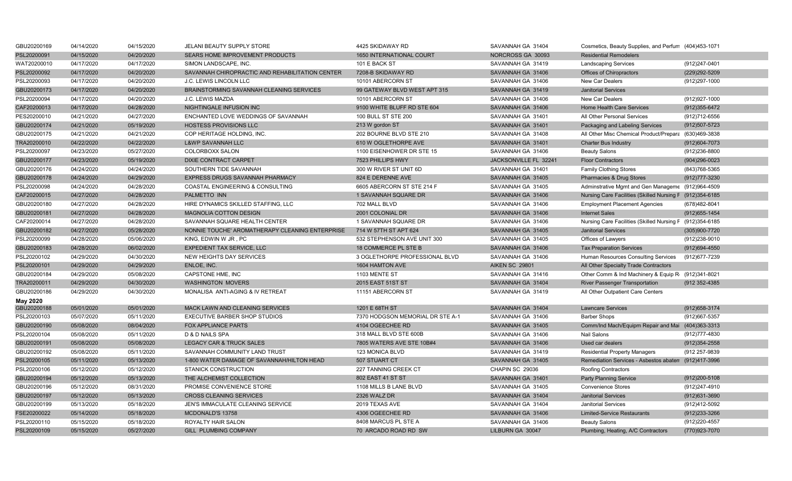| GBU20200169 | 04/14/2020 | 04/15/2020 | JELANI BEAUTY SUPPLY STORE                      | 4425 SKIDAWAY RD                 | SAVANNAH GA 31404     | Cosmetics, Beauty Supplies, and Perfum (404)453-1071     |                   |
|-------------|------------|------------|-------------------------------------------------|----------------------------------|-----------------------|----------------------------------------------------------|-------------------|
| PSL20200091 | 04/15/2020 | 04/20/2020 | SEARS HOME IMPROVEMENT PRODUCTS                 | 1650 INTERNATIONAL COURT         | NORCROSS GA 30093     | <b>Residential Remodelers</b>                            |                   |
| WAT20200010 | 04/17/2020 | 04/17/2020 | SIMON LANDSCAPE, INC.                           | 101 E BACK ST                    | SAVANNAH GA 31419     | <b>Landscaping Services</b>                              | (912)247-0401     |
| PSL20200092 | 04/17/2020 | 04/20/2020 | SAVANNAH CHIROPRACTIC AND REHABILITATION CENTER | 7208-B SKIDAWAY RD               | SAVANNAH GA 31406     | Offices of Chiropractors                                 | (229) 292-5209    |
| PSL20200093 | 04/17/2020 | 04/20/2020 | <b>J.C. LEWIS LINCOLN LLC</b>                   | 10101 ABERCORN ST                | SAVANNAH GA 31406     | <b>New Car Dealers</b>                                   | (912)297-1000     |
| GBU20200173 | 04/17/2020 | 04/20/2020 | BRAINSTORMING SAVANNAH CLEANING SERVICES        | 99 GATEWAY BLVD WEST APT 315     | SAVANNAH GA 31419     | <b>Janitorial Services</b>                               |                   |
| PSL20200094 | 04/17/2020 | 04/20/2020 | J.C. LEWIS MAZDA                                | 10101 ABERCORN ST                | SAVANNAH GA 31406     | <b>New Car Dealers</b>                                   | (912) 927-1000    |
| CAF20200013 | 04/17/2020 | 04/28/2020 | NIGHTINGALE INFUSION INC                        | 9100 WHITE BLUFF RD STE 604      | SAVANNAH GA 31406     | <b>Home Health Care Services</b>                         | $(912)355-6472$   |
| PES20200010 | 04/21/2020 | 04/27/2020 | ENCHANTED LOVE WEDDINGS OF SAVANNAH             | 100 BULL ST STE 200              | SAVANNAH GA 31401     | All Other Personal Services                              | (912)712-6556     |
| GBU20200174 | 04/21/2020 | 05/19/2020 | <b>HOSTESS PROVISIONS LLC</b>                   | 213 W gordon ST                  | SAVANNAH GA 31401     | Packaging and Labeling Services                          | (912) 507-5723    |
| GBU20200175 | 04/21/2020 | 04/21/2020 | COP HERITAGE HOLDING, INC.                      | 202 BOURNE BLVD STE 210          | SAVANNAH GA 31408     | All Other Misc Chemical Product/Prepara                  | (630)469-3838     |
| TRA20200010 | 04/22/2020 | 04/22/2020 | <b>L&amp;WP SAVANNAH LLC</b>                    | 610 W OGLETHORPE AVE             | SAVANNAH GA 31401     | Charter Bus Industry                                     | (912)604-7073     |
| PSL20200097 | 04/23/2020 | 05/27/2020 | COLORBOXX SALON                                 | 1100 EISENHOWER DR STE 15        | SAVANNAH GA 31406     | <b>Beauty Salons</b>                                     | (912)236-8800     |
| GBU20200177 | 04/23/2020 | 05/19/2020 | DIXIE CONTRACT CARPET                           | 7523 PHILLIPS HWY                | JACKSONVILLE FL 32241 | <b>Floor Contractors</b>                                 | $(904)296 - 0023$ |
| GBU20200176 | 04/24/2020 | 04/24/2020 | SOUTHERN TIDE SAVANNAH                          | 300 W RIVER ST UNIT 6D           | SAVANNAH GA 31401     | <b>Family Clothing Stores</b>                            | (843) 768-5365    |
| GBU20200178 | 04/24/2020 | 04/29/2020 | EXPRESS DRUGS SAVANNAH PHARMACY                 | 824 E DERENNE AVE                | SAVANNAH GA 31405     | Pharmacies & Drug Stores                                 | (912) 777-3230    |
| PSL20200098 | 04/24/2020 | 04/28/2020 | COASTAL ENGINEERING & CONSULTING                | 6605 ABERCORN ST STE 214 F       | SAVANNAH GA 31405     | Adminstrative Mgmt and Gen Manageme (912)964-4509        |                   |
| CAF20200015 | 04/27/2020 | 04/28/2020 | <b>PALMETTO INN</b>                             | 1 SAVANNAH SQUARE DR             | SAVANNAH GA 31406     | Nursing Care Facilities (Skilled Nursing F (912)354-6185 |                   |
| GBU20200180 | 04/27/2020 | 04/28/2020 | HIRE DYNAMICS SKILLED STAFFING, LLC             | 702 MALL BLVD                    | SAVANNAH GA 31406     | <b>Employment Placement Agencies</b>                     | (678) 482-8041    |
| GBU20200181 | 04/27/2020 | 04/28/2020 | MAGNOLIA COTTON DESIGN                          | 2001 COLONIAL DR                 | SAVANNAH GA 31406     | <b>Internet Sales</b>                                    | (912) 655-1454    |
| CAF20200014 | 04/27/2020 | 04/28/2020 | SAVANNAH SQUARE HEALTH CENTER                   | 1 SAVANNAH SQUARE DR             | SAVANNAH GA 31406     | Nursing Care Facilities (Skilled Nursing F (912)354-6185 |                   |
| GBU20200182 | 04/27/2020 | 05/28/2020 | NONNIE TOUCHE' AROMATHERAPY CLEANING ENTERPRISE | 714 W 57TH ST APT 624            | SAVANNAH GA 31405     | <b>Janitorial Services</b>                               | (305)900-7720     |
| PSL20200099 | 04/28/2020 | 05/06/2020 | KING, EDWIN W JR, PC                            | 532 STEPHENSON AVE UNIT 300      | SAVANNAH GA 31405     | Offices of Lawyers                                       | (912)238-9010     |
| GBU20200183 | 04/28/2020 | 06/02/2020 | <b>EXPEDIENT TAX SERVICE, LLC</b>               | 18 COMMERCE PL STE B             | SAVANNAH GA 31406     | <b>Tax Preparation Services</b>                          | $(912)694 - 4550$ |
| PSL20200102 | 04/29/2020 | 04/30/2020 | NEW HEIGHTS DAY SERVICES                        | 3 OGLETHORPE PROFESSIONAL BLVD   | SAVANNAH GA 31406     | Human Resources Consulting Services                      | (912) 677-7239    |
| PSL20200101 | 04/29/2020 | 04/29/2020 | ENLOE, INC.                                     | 1604 HAMTON AVE                  | <b>AIKEN SC 29801</b> | All Other Specialty Trade Contractors                    |                   |
| GBU20200184 | 04/29/2020 | 05/08/2020 | CAPSTONE HME, INC                               | 1103 MENTE ST                    | SAVANNAH GA 31416     | Other Comm & Ind Machinery & Equip R (912)341-8021       |                   |
| TRA20200011 | 04/29/2020 | 04/30/2020 | <b>WASHINGTON MOVERS</b>                        | 2015 EAST 51ST ST                | SAVANNAH GA 31404     | <b>River Passenger Transportation</b>                    | (912 352-4385     |
| GBU20200186 | 04/29/2020 | 04/30/2020 | MONALISA ANTI-AGING & IV RETREAT                | 11151 ABERCORN ST                | SAVANNAH GA 31419     | All Other Outpatient Care Centers                        |                   |
| May 2020    |            |            |                                                 |                                  |                       |                                                          |                   |
| GBU20200188 | 05/01/2020 | 05/01/2020 | MACK LAWN AND CLEANING SERVICES                 | 1201 E 68TH ST                   | SAVANNAH GA 31404     | <b>Lawncare Services</b>                                 | (912) 658-3174    |
| PSL20200103 | 05/07/2020 | 05/11/2020 | EXECUTIVE BARBER SHOP STUDIOS                   | 7370 HODGSON MEMORIAL DR STE A-1 | SAVANNAH GA 31406     | <b>Barber Shops</b>                                      | (912) 667-5357    |
| GBU20200190 | 05/08/2020 | 08/04/2020 | <b>FOX APPLIANCE PARTS</b>                      | 4104 OGEECHEE RD                 | SAVANNAH GA 31405     | Comm/Ind Mach/Equipm Repair and Mai (404)363-3313        |                   |
| PSL20200104 | 05/08/2020 | 05/11/2020 | D & D NAILS SPA                                 | 318 MALL BLVD STE 600B           | SAVANNAH GA 31406     | Nail Salons                                              | (912) 777-4830    |
| GBU20200191 | 05/08/2020 | 05/08/2020 | LEGACY CAR & TRUCK SALES                        | 7805 WATERS AVE STE 10B#4        | SAVANNAH GA 31406     | Used car dealers                                         | $(912)354 - 2558$ |
| GBU20200192 | 05/08/2020 | 05/11/2020 | SAVANNAH COMMUNITY LAND TRUST                   | 123 MONICA BLVD                  | SAVANNAH GA 31419     | <b>Residential Property Managers</b>                     | (912 257-9839     |
| PSL20200105 | 05/11/2020 | 05/13/2020 | 1-800 WATER DAMAGE OF SAVANNAH/HILTON HEAD      | 507 STUART CT                    | SAVANNAH GA 31405     | Remediation Services - Asbestos abaten (912)417-3996     |                   |
| PSL20200106 | 05/12/2020 | 05/12/2020 | <b>STANICK CONSTRUCTION</b>                     | 227 TANNING CREEK CT             | CHAPIN SC 29036       | Roofing Contractors                                      |                   |
| GBU20200194 | 05/12/2020 | 05/13/2020 | THE ALCHEMIST COLLECTION                        | 802 EAST 41 ST ST                | SAVANNAH GA 31401     | <b>Party Planning Service</b>                            | $(912)200 - 5108$ |
| GBU20200196 | 05/12/2020 | 08/31/2020 | PROMISE CONVENIENCE STORE                       | 1108 MILLS B LANE BLVD           | SAVANNAH GA 31405     | <b>Convenience Stores</b>                                | (912)247-4910     |
| GBU20200197 | 05/12/2020 | 05/13/2020 | <b>CROSS CLEANING SERVICES</b>                  | 2326 WALZ DR                     | SAVANNAH GA 31404     | <b>Janitorial Services</b>                               | (912) 631-3690    |
| GBU20200199 | 05/13/2020 | 05/18/2020 | JEN'S IMMACULATE CLEANING SERVICE               | 2019 TEXAS AVE                   | SAVANNAH GA 31404     | <b>Janitorial Services</b>                               | (912)412-5092     |
| FSE20200022 | 05/14/2020 | 05/18/2020 | MCDONALD'S 13758                                | 4306 OGEECHEE RD                 | SAVANNAH GA 31406     | <b>Limited-Service Restaurants</b>                       | (912)233-3266     |
| PSL20200110 | 05/15/2020 | 05/18/2020 | ROYALTY HAIR SALON                              | 8408 MARCUS PL STE A             | SAVANNAH GA 31406     | <b>Beauty Salons</b>                                     | (912)220-4557     |
| PSL20200109 | 05/15/2020 | 05/27/2020 | <b>GILL PLUMBING COMPANY</b>                    | 70 ARCADO ROAD RD SW             | LILBURN GA 30047      | Plumbing, Heating, A/C Contractors                       | (770)923-7070     |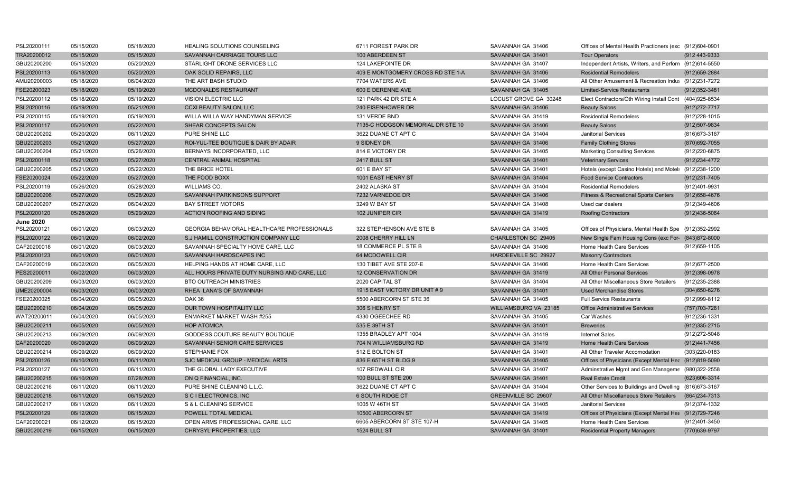| PSL20200111      | 05/15/2020 | 05/18/2020 | HEALING SOLUTIONS COUNSELING                       | 6711 FOREST PARK DR               | SAVANNAH GA 31406          | Offices of Mental Health Practioners (exc (912)604-0901 |                   |
|------------------|------------|------------|----------------------------------------------------|-----------------------------------|----------------------------|---------------------------------------------------------|-------------------|
| TRA20200012      | 05/15/2020 | 05/15/2020 | SAVANNAH CARRIAGE TOURS LLC                        | 100 ABERDEEN ST                   | SAVANNAH GA 31401          | <b>Tour Operators</b>                                   | (912 443-9333     |
| GBU20200200      | 05/15/2020 | 05/20/2020 | STARLIGHT DRONE SERVICES LLC                       | 124 LAKEPOINTE DR                 | SAVANNAH GA 31407          | Independent Artists, Writers, and Perforn (912)614-5550 |                   |
| PSL20200113      | 05/18/2020 | 05/20/2020 | OAK SOLID REPAIRS, LLC                             | 409 E MONTGOMERY CROSS RD STE 1-A | SAVANNAH GA 31406          | <b>Residential Remodelers</b>                           | $(912)659-2884$   |
| AMU20200003      | 05/18/2020 | 06/04/2020 | THE ART BASH STUDIO                                | 7704 WATERS AVE                   | SAVANNAH GA 31406          | All Other Amusement & Recreation Indus (912)231-7272    |                   |
| FSE20200023      | 05/18/2020 | 05/19/2020 | <b>MCDONALDS RESTAURANT</b>                        | 600 E DERENNE AVE                 | SAVANNAH GA 31405          | <b>Limited-Service Restaurants</b>                      | (912) 352-3481    |
| PSL20200112      | 05/18/2020 | 05/19/2020 | <b>VISION ELECTRIC LLC</b>                         | 121 PARK 42 DR STE A              | LOCUST GROVE GA 30248      | Elect Contractors/Oth Wiring Install Cont (404)925-8534 |                   |
| PSL20200116      | 05/19/2020 | 05/21/2020 | <b>CCXI BEAUTY SALON, LLC</b>                      | 240 EISENHOWER DR                 | SAVANNAH GA 31406          | <b>Beauty Salons</b>                                    | (912) 272-7717    |
| PSL20200115      | 05/19/2020 | 05/19/2020 | WILLA WILLA WAY HANDYMAN SERVICE                   | 131 VERDE BND                     | SAVANNAH GA 31419          | <b>Residential Remodelers</b>                           | (912) 228-1015    |
| PSL20200117      | 05/20/2020 | 05/22/2020 | SHEAR CONCEPTS SALON                               | 7135-C HODGSON MEMORIAL DR STE 10 | SAVANNAH GA 31406          | <b>Beauty Salons</b>                                    | (912)507-9834     |
| GBU20200202      | 05/20/2020 | 06/11/2020 | PURE SHINE LLC                                     | 3622 DUANE CT APT C               | SAVANNAH GA 31404          | <b>Janitorial Services</b>                              | (816) 673-3167    |
| GBU20200203      | 05/21/2020 | 05/27/2020 | ROI-YUL-TEE BOUTIQUE & DAIR BY ADAIR               | 9 SIDNEY DR                       | SAVANNAH GA 31406          | <b>Family Clothing Stores</b>                           | (870) 692-7055    |
| GBU20200204      | 05/21/2020 | 05/26/2020 | BERNAYS INCORPORATED, LLC                          | 814 E VICTORY DR                  | SAVANNAH GA 31405          | <b>Marketing Consulting Services</b>                    | (912)220-6875     |
| PSL20200118      | 05/21/2020 | 05/27/2020 | <b>CENTRAL ANIMAL HOSPITAL</b>                     | <b>2417 BULL ST</b>               | SAVANNAH GA 31401          | <b>Veterinary Services</b>                              | (912) 234-4772    |
| GBU20200205      | 05/21/2020 | 05/22/2020 | THE BRICE HOTEL                                    | 601 E BAY ST                      | SAVANNAH GA 31401          | Hotels (except Casino Hotels) and Motel: (912)238-1200  |                   |
| FSE20200024      | 05/22/2020 | 05/27/2020 | THE FOOD BOXX                                      | 1001 EAST HENRY ST                | SAVANNAH GA 31404          | <b>Food Service Contractors</b>                         | (912) 231-7405    |
| PSL20200119      | 05/26/2020 | 05/28/2020 | WILLIAMS CO.                                       | 2402 ALASKA ST                    | SAVANNAH GA 31404          | <b>Residential Remodelers</b>                           | (912)401-9931     |
| GBU20200206      | 05/27/2020 | 05/28/2020 | SAVANNAH PARKINSONS SUPPORT                        | 7232 VARNEDOE DR                  | SAVANNAH GA 31406          | <b>Fitness &amp; Recreational Sports Centers</b>        | (912) 658-4676    |
| GBU20200207      | 05/27/2020 | 06/04/2020 | <b>BAY STREET MOTORS</b>                           | 3249 W BAY ST                     | SAVANNAH GA 31408          | Used car dealers                                        | (912)349-4606     |
| PSL20200120      | 05/28/2020 | 05/29/2020 | ACTION ROOFING AND SIDING                          | 102 JUNIPER CIR                   | SAVANNAH GA 31419          | <b>Roofing Contractors</b>                              | (912)436-5064     |
| <b>June 2020</b> |            |            |                                                    |                                   |                            |                                                         |                   |
| PSL20200121      | 06/01/2020 | 06/03/2020 | <b>GEORGIA BEHAVIORAL HEALTHCARE PROFESSIONALS</b> | 322 STEPHENSON AVE STE B          | SAVANNAH GA 31405          | Offices of Physicians, Mental Health Spe (912)352-2992  |                   |
| PSL20200122      | 06/01/2020 | 06/02/2020 | S.J HAMILL CONSTRUCTION COMPANY LLC                | 2008 CHERRY HILL LN               | CHARLESTON SC 29405        | New Single Fam Housing Cons (exc For- (843) 872-8000    |                   |
| CAF20200018      | 06/01/2020 | 06/03/2020 | SAVANNAH SPECIALTY HOME CARE, LLC                  | 18 COMMERCE PL STE B              | SAVANNAH GA 31406          | Home Health Care Services                               | (912) 659-1105    |
| PSL20200123      | 06/01/2020 | 06/01/2020 | SAVANNAH HARDSCAPES INC                            | 64 MCDOWELL CIR                   | HARDEEVILLE SC 29927       | <b>Masonry Contractors</b>                              |                   |
| CAF20200019      | 06/02/2020 | 06/05/2020 | HELPING HANDS AT HOME CARE, LLC                    | 130 TIBET AVE STE 207-E           | SAVANNAH GA 31406          | Home Health Care Services                               | (912) 677-2500    |
| PES20200011      | 06/02/2020 | 06/03/2020 | ALL HOURS PRIVATE DUTY NURSING AND CARE, LLC       | <b>12 CONSERVATION DR</b>         | SAVANNAH GA 31419          | All Other Personal Services                             | (912)398-0978     |
| GBU20200209      | 06/03/2020 | 06/03/2020 | <b>BTO OUTREACH MINISTRIES</b>                     | 2020 CAPITAL ST                   | SAVANNAH GA 31404          | All Other Miscellaneous Store Retailers                 | (912)235-2388     |
| UME20200004      | 06/03/2020 | 06/03/2020 | RHEA LANA'S OF SAVANNAH                            | 1915 EAST VICTORY DR UNIT #9      | SAVANNAH GA 31401          | <b>Used Merchandise Stores</b>                          | (304) 650-6276    |
| FSE20200025      | 06/04/2020 | 06/05/2020 | OAK 36                                             | 5500 ABERCORN ST STE 36           | SAVANNAH GA 31405          | <b>Full Service Restaurants</b>                         | (912) 999-8112    |
| GBU20200210      | 06/04/2020 | 06/05/2020 | OUR TOWN HOSPITALITY LLC                           | 306 S HENRY ST                    | WILLIAMSBURG VA 23185      | <b>Office Administrative Services</b>                   | (757) 703-7261    |
| WAT20200011      | 06/04/2020 | 06/05/2020 | <b>ENMARKET MARKET WASH #255</b>                   | 4330 OGEECHEE RD                  | SAVANNAH GA 31405          | Car Washes                                              | (912) 236-1331    |
| GBU20200211      | 06/05/2020 | 06/05/2020 | <b>HOP ATOMICA</b>                                 | 535 E 39TH ST                     | SAVANNAH GA 31401          | <b>Breweries</b>                                        | $(912)335 - 2715$ |
| GBU20200213      | 06/09/2020 | 06/09/2020 | GODDESS COUTURE BEAUTY BOUTIQUE                    | 1355 BRADLEY APT 1004             | SAVANNAH GA 31419          | <b>Internet Sales</b>                                   | (912) 272-5048    |
| CAF20200020      | 06/09/2020 | 06/09/2020 | SAVANNAH SENIOR CARE SERVICES                      | 704 N WILLIAMSBURG RD             | SAVANNAH GA 31419          | Home Health Care Services                               | (912)441-7456     |
| GBU20200214      | 06/09/2020 | 06/09/2020 | STEPHANIE FOX                                      | 512 E BOLTON ST                   | SAVANNAH GA 31401          | All Other Traveler Accomodation                         | (303)220-0183     |
| PSL20200126      | 06/10/2020 | 06/11/2020 | SJC MEDICAL GROUP - MEDICAL ARTS                   | 836 E 65TH ST BLDG 9              | SAVANNAH GA 31405          | Offices of Physicians (Except Mental Hea (912)819-5090  |                   |
| PSL20200127      | 06/10/2020 | 06/11/2020 | THE GLOBAL LADY EXECUTIVE                          | 107 REDWALL CIR                   | SAVANNAH GA 31407          | Adminstrative Mgmt and Gen Manageme (980)322-2558       |                   |
| GBU20200215      | 06/10/2020 | 07/28/2020 | ON Q FINANCIAL, INC.                               | <b>100 BULL ST STE 200</b>        | SAVANNAH GA 31401          | <b>Real Estate Credit</b>                               | (623) 606-3314    |
| GBU20200216      | 06/11/2020 | 06/11/2020 | PURE SHINE CLEANING L.L.C.                         | 3622 DUANE CT APT C               | SAVANNAH GA 31404          | Other Services to Buildings and Dwelling (816)673-3167  |                   |
| GBU20200218      | 06/11/2020 | 06/15/2020 | S C I ELECTRONICS, INC                             | <b>6 SOUTH RIDGE CT</b>           | <b>GREENVILLE SC 29607</b> | All Other Miscellaneous Store Retailers (864)234-7313   |                   |
| GBU20200217      | 06/11/2020 | 06/11/2020 | S & L CLEANING SERVICE                             | 1005 W 46TH ST                    | SAVANNAH GA 31405          | <b>Janitorial Services</b>                              | (912) 374-1332    |
| PSL20200129      | 06/12/2020 | 06/15/2020 | POWELL TOTAL MEDICAL                               | 10500 ABERCORN ST                 | SAVANNAH GA 31419          | Offices of Physicians (Except Mental Hea (912)729-7246  |                   |
| CAF20200021      | 06/12/2020 | 06/15/2020 | OPEN ARMS PROFESSIONAL CARE. LLC                   | 6605 ABERCORN ST STE 107-H        | SAVANNAH GA 31405          | Home Health Care Services                               | (912)401-3450     |
| GBU20200219      | 06/15/2020 | 06/15/2020 | CHRYSYL PROPERTIES, LLC                            | 1524 BULL ST                      | SAVANNAH GA 31401          | <b>Residential Property Managers</b>                    | (770)639-9797     |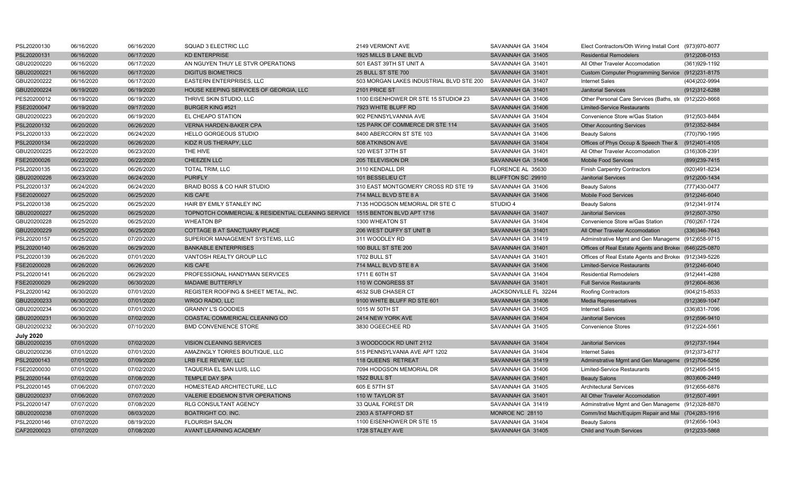| PSL20200130      | 06/16/2020 | 06/16/2020 | SQUAD 3 ELECTRIC LLC                               | 2149 VERMONT AVE                         | SAVANNAH GA 31404     | Elect Contractors/Oth Wiring Install Cont (973)970-8077 |                   |
|------------------|------------|------------|----------------------------------------------------|------------------------------------------|-----------------------|---------------------------------------------------------|-------------------|
| PSL20200131      | 06/16/2020 | 06/17/2020 | <b>KD ENTERPRISE</b>                               | 1925 MILLS B LANE BLVD                   | SAVANNAH GA 31405     | <b>Residential Remodelers</b>                           | $(912)208-0153$   |
| GBU20200220      | 06/16/2020 | 06/17/2020 | AN NGUYEN THUY LE STVR OPERATIONS                  | 501 EAST 39TH ST UNIT A                  | SAVANNAH GA 31401     | All Other Traveler Accomodation                         | (361) 929-1192    |
| GBU20200221      | 06/16/2020 | 06/17/2020 | <b>DIGITUS BIOMETRICS</b>                          | <b>25 BULL ST STE 700</b>                | SAVANNAH GA 31401     | Custom Computer Programming Service (912)231-8175       |                   |
| GBU20200222      | 06/16/2020 | 06/17/2020 | <b>EASTERN ENTERPRISES, LLC</b>                    | 503 MORGAN LAKES INDUSTRIAL BLVD STE 200 | SAVANNAH GA 31407     | <b>Internet Sales</b>                                   | (404)202-9994     |
| GBU20200224      | 06/19/2020 | 06/19/2020 | HOUSE KEEPING SERVICES OF GEORGIA, LLC             | 2101 PRICE ST                            | SAVANNAH GA 31401     | <b>Janitorial Services</b>                              | (912)312-6288     |
| PES20200012      | 06/19/2020 | 06/19/2020 | THRIVE SKIN STUDIO. LLC                            | 1100 EISENHOWER DR STE 15 STUDIO# 23     | SAVANNAH GA 31406     | Other Personal Care Services (Baths, ste (912)220-8668  |                   |
| FSE20200047      | 06/19/2020 | 09/17/2020 | <b>BURGER KING #521</b>                            | 7923 WHITE BLUFF RD                      | SAVANNAH GA 31406     | <b>Limited-Service Restaurants</b>                      |                   |
| GBU20200223      | 06/20/2020 | 06/19/2020 | EL CHEAPO STATION                                  | 902 PENNSYLVANNIA AVE                    | SAVANNAH GA 31404     | Convenience Store w/Gas Station                         | (912) 503-8484    |
| PSL20200132      | 06/20/2020 | 06/26/2020 | <b>VERNA HARDEN-BAKER CPA</b>                      | 125 PARK OF COMMERCE DR STE 114          | SAVANNAH GA 31405     | <b>Other Accounting Services</b>                        | (912) 352-8484    |
| PSL20200133      | 06/22/2020 | 06/24/2020 | <b>HELLO GORGEOUS STUDIO</b>                       | 8400 ABERCORN ST STE 103                 | SAVANNAH GA 31406     | <b>Beauty Salons</b>                                    | (770)790-1995     |
| PSL20200134      | 06/22/2020 | 06/26/2020 | KIDZ R US THERAPY, LLC                             | 508 ATKINSON AVE                         | SAVANNAH GA 31404     | Offices of Phys Occup & Speech Ther & (912)401-4105     |                   |
| GBU20200225      | 06/22/2020 | 06/23/2020 | THE HIVE                                           | 120 WEST 37TH ST                         | SAVANNAH GA 31401     | All Other Traveler Accomodation                         | (316)308-2391     |
| FSE20200026      | 06/22/2020 | 06/22/2020 | CHEEZEN LLC                                        | 205 TELEVISION DR                        | SAVANNAH GA 31406     | <b>Mobile Food Services</b>                             | (899) 239-7415    |
| PSL20200135      | 06/23/2020 | 06/26/2020 | <b>TOTAL TRIM, LLC</b>                             | 3110 KENDALL DR                          | FLORENCE AL 35630     | <b>Finish Carpentry Contractors</b>                     | (920)491-8234     |
| GBU20200226      | 06/23/2020 | 06/24/2020 | <b>PURIFLY</b>                                     | 101 BESSELIEU CT                         | BLUFFTON SC 29910     | <b>Janitorial Services</b>                              | (912) 200-1434    |
| PSL20200137      | 06/24/2020 | 06/24/2020 | BRAID BOSS & CO HAIR STUDIO                        | 310 EAST MONTGOMERY CROSS RD STE 19      | SAVANNAH GA 31406     | <b>Beauty Salons</b>                                    | (777)430-0477     |
| FSE20200027      | 06/25/2020 | 06/25/2020 | <b>KIS CAFE</b>                                    | 714 MALL BLVD STE 8 A                    | SAVANNAH GA 31406     | <b>Mobile Food Services</b>                             | (912)246-6040     |
| PSL20200138      | 06/25/2020 | 06/25/2020 | HAIR BY EMILY STANLEY INC                          | 7135 HODGSON MEMORIAL DR STE C           | STUDIO 4              | <b>Beauty Salons</b>                                    | (912) 341-9174    |
| GBU20200227      | 06/25/2020 | 06/25/2020 | TOPNOTCH COMMERCIAL & RESIDENTIAL CLEANING SERVICE | 1515 BENTON BLVD APT 1716                | SAVANNAH GA 31407     | <b>Janitorial Services</b>                              | (912) 507-3750    |
| GBU20200228      | 06/25/2020 | 06/25/2020 | <b>WHEATON BP</b>                                  | 1300 WHEATON ST                          | SAVANNAH GA 31404     | Convenience Store w/Gas Station                         | (760)267-1724     |
| GBU20200229      | 06/25/2020 | 06/25/2020 | COTTAGE B AT SANCTUARY PLACE                       | 206 WEST DUFFY ST UNIT B                 | SAVANNAH GA 31401     | All Other Traveler Accomodation                         | (336) 346-7643    |
| PSL20200157      | 06/25/2020 | 07/20/2020 | SUPERIOR MANAGEMENT SYSTEMS, LLC                   | 311 WOODLEY RD                           | SAVANNAH GA 31419     | Adminstrative Mgmt and Gen Manageme (912)658-9715       |                   |
| PSL20200140      | 06/26/2020 | 06/29/2020 | <b>BANKABLE ENTERPRISES</b>                        | <b>100 BULL ST STE 200</b>               | SAVANNAH GA 31401     | Offices of Real Estate Agents and Broker (646)225-0870  |                   |
| PSL20200139      | 06/26/2020 | 07/01/2020 | VANTOSH REALTY GROUP LLC                           | 1702 BULL ST                             | SAVANNAH GA 31401     | Offices of Real Estate Agents and Broker (912)349-5226  |                   |
| FSE20200028      | 06/26/2020 | 06/26/2020 | <b>KIS CAFE</b>                                    | 714 MALL BLVD STE 8 A                    | SAVANNAH GA 31406     | <b>Limited-Service Restaurants</b>                      | $(912)246-6040$   |
| PSL20200141      | 06/26/2020 | 06/29/2020 | PROFESSIONAL HANDYMAN SERVICES                     | 1711 E 60TH ST                           | SAVANNAH GA 31404     | <b>Residential Remodelers</b>                           | (912)441-4288     |
| FSE20200029      | 06/29/2020 | 06/30/2020 | <b>MADAME BUTTERFLY</b>                            | 110 W CONGRESS ST                        | SAVANNAH GA 31401     | <b>Full Service Restaurants</b>                         | $(912)604 - 8636$ |
| PSL20200142      | 06/30/2020 | 07/01/2020 | REGISTER ROOFING & SHEET METAL. INC.               | 4632 SUB CHASER CT                       | JACKSONVILLE FL 32244 | <b>Roofing Contractors</b>                              | (904)215-8533     |
| GBU20200233      | 06/30/2020 | 07/01/2020 | <b>WRGO RADIO, LLC</b>                             | 9100 WHITE BLUFF RD STE 601              | SAVANNAH GA 31406     | <b>Media Representatives</b>                            | (912)369-1047     |
| GBU20200234      | 06/30/2020 | 07/01/2020 | <b>GRANNY L'S GOODIES</b>                          | 1015 W 50TH ST                           | SAVANNAH GA 31405     | <b>Internet Sales</b>                                   | (336)831-7096     |
| GBU20200231      | 06/30/2020 | 07/02/2020 | COASTAL COMMERICAL CLEANING CO                     | 2414 NEW YORK AVE                        | SAVANNAH GA 31404     | <b>Janitorial Services</b>                              | (912) 596-9410    |
| GBU20200232      | 06/30/2020 | 07/10/2020 | <b>BMD CONVENIENCE STORE</b>                       | 3830 OGEECHEE RD                         | SAVANNAH GA 31405     | <b>Convenience Stores</b>                               | (912) 224-5561    |
| <b>July 2020</b> |            |            |                                                    |                                          |                       |                                                         |                   |
| GBU20200235      | 07/01/2020 | 07/02/2020 | <b>VISION CLEANING SERVICES</b>                    | 3 WOODCOCK RD UNIT 2112                  | SAVANNAH GA 31404     | <b>Janitorial Services</b>                              | (912) 737-1944    |
| GBU20200236      | 07/01/2020 | 07/01/2020 | AMAZINGLY TORRES BOUTIQUE, LLC                     | 515 PENNSYLVANIA AVE APT 1202            | SAVANNAH GA 31404     | <b>Internet Sales</b>                                   | (912) 373-6717    |
| PSL20200143      | 07/01/2020 | 07/09/2020 | LRB FILE REVIEW, LLC                               | <b>118 QUEENS RETREAT</b>                | SAVANNAH GA 31419     | Adminstrative Mgmt and Gen Manageme (912)704-5256       |                   |
| FSE20200030      | 07/01/2020 | 07/02/2020 | TAQUERIA EL SAN LUIS, LLC                          | 7094 HODGSON MEMORIAL DR                 | SAVANNAH GA 31406     | Limited-Service Restaurants                             | (912)495-5415     |
| PSL20200144      | 07/02/2020 | 07/08/2020 | TEMPLE DAY SPA                                     | 1522 BULL ST                             | SAVANNAH GA 31401     | <b>Beauty Salons</b>                                    | (803)606-2449     |
| PSL20200145      | 07/06/2020 | 07/07/2020 | HOMESTEAD ARCHITECTURE, LLC                        | 605 E 57TH ST                            | SAVANNAH GA 31405     | <b>Architectural Services</b>                           | (912) 656-6876    |
| GBU20200237      | 07/06/2020 | 07/07/2020 | VALERIE EDGEMON STVR OPERATIONS                    | 110 W TAYLOR ST                          | SAVANNAH GA 31401     | All Other Traveler Accomodation                         | (912)507-4991     |
| PSL20200147      | 07/07/2020 | 07/08/2020 | RLG CONSULTANT AGENCY                              | 33 QUAIL FOREST DR                       | SAVANNAH GA 31419     | Adminstrative Mgmt and Gen Manageme (912)328-8870       |                   |
| GBU20200238      | 07/07/2020 | 08/03/2020 | <b>BOATRIGHT CO. INC.</b>                          | 2303 A STAFFORD ST                       | MONROE NC 28110       | Comm/Ind Mach/Equipm Repair and Mai (704)283-1916       |                   |
| PSL20200146      | 07/07/2020 | 08/19/2020 | <b>FLOURISH SALON</b>                              | 1100 EISENHOWER DR STE 15                | SAVANNAH GA 31404     | <b>Beauty Salons</b>                                    | (912) 656-1043    |
| CAF20200023      | 07/07/2020 | 07/08/2020 | AVANT LEARNING ACADEMY                             | 1728 STALEY AVE                          | SAVANNAH GA 31405     | <b>Child and Youth Services</b>                         | $(912)233 - 5868$ |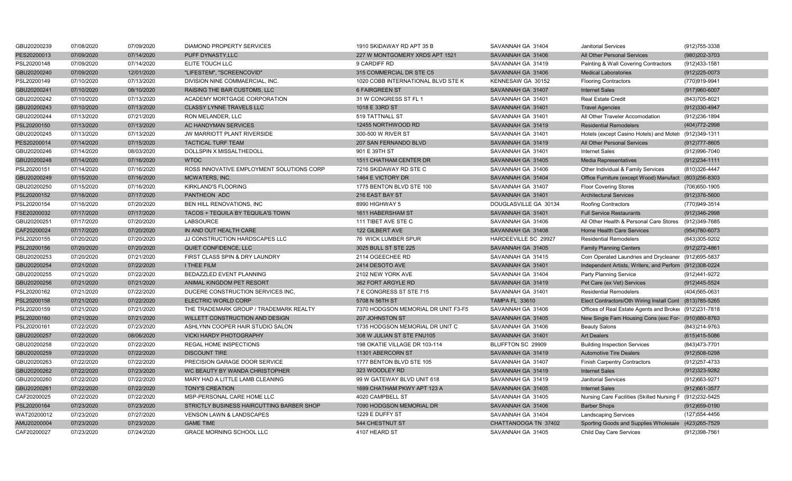| GBU20200239 | 07/08/2020 | 07/09/2020 | DIAMOND PROPERTY SERVICES                 | 1910 SKIDAWAY RD APT 35 B           | SAVANNAH GA 31404     | <b>Janitorial Services</b>                               | (912) 755-3338    |
|-------------|------------|------------|-------------------------------------------|-------------------------------------|-----------------------|----------------------------------------------------------|-------------------|
| PES20200013 | 07/09/2020 | 07/14/2020 | PUFF DYNASTY, LLC                         | 227 W MONTGOMERY XRDS APT 1521      | SAVANNAH GA 31406     | All Other Personal Services                              | (980) 202-3703    |
| PSL20200148 | 07/09/2020 | 07/14/2020 | ELITE TOUCH LLC                           | 9 CARDIFF RD                        | SAVANNAH GA 31419     | Painting & Wall Covering Contractors                     | (912)433-1581     |
| GBU20200240 | 07/09/2020 | 12/01/2020 | "LIFESTEM", "SCREENCOVID"                 | 315 COMMERCIAL DR STE C5            | SAVANNAH GA 31406     | <b>Medical Laboratories</b>                              | $(912)225-0073$   |
| PSL20200149 | 07/10/2020 | 07/13/2020 | DIVISION NINE COMMAERCIAL, INC.           | 1020 COBB INTERNATIONAL BLVD STE K  | KENNESAW GA 30152     | <b>Flooring Contractors</b>                              | (770)919-9941     |
| GBU20200241 | 07/10/2020 | 08/10/2020 | RAISING THE BAR CUSTOMS, LLC              | <b>6 FAIRGREEN ST</b>               | SAVANNAH GA 31407     | <b>Internet Sales</b>                                    | $(917)960 - 6007$ |
| GBU20200242 | 07/10/2020 | 07/13/2020 | ACADEMY MORTGAGE CORPORATION              | 31 W CONGRESS ST FL 1               | SAVANNAH GA 31401     | <b>Real Estate Credit</b>                                | (843) 705-8021    |
| GBU20200243 | 07/10/2020 | 07/13/2020 | <b>CLASSY LYNNE TRAVELS LLC</b>           | 1018 E 33RD ST                      | SAVANNAH GA 31401     | <b>Travel Agencies</b>                                   | (912)330-4947     |
| GBU20200244 | 07/13/2020 | 07/21/2020 | RON MELANDER, LLC                         | 519 TATTNALL ST                     | SAVANNAH GA 31401     | All Other Traveler Accomodation                          | (912) 236-1894    |
| PSL20200150 | 07/13/2020 | 07/13/2020 | AC HANDYMAN SERVICES                      | 12455 NORTHWOOD RD                  | SAVANNAH GA 31419     | <b>Residential Remodelers</b>                            | (404) 772-2998    |
| GBU20200245 | 07/13/2020 | 07/13/2020 | JW MARRIOTT PLANT RIVERSIDE               | 300-500 W RIVER ST                  | SAVANNAH GA 31401     | Hotels (except Casino Hotels) and Motel: (912)349-1311   |                   |
| PES20200014 | 07/14/2020 | 07/15/2020 | <b>TACTICAL TURF TEAM</b>                 | 207 SAN FERNANDO BLVD               | SAVANNAH GA 31419     | All Other Personal Services                              | (912) 777-8605    |
| GBU20200246 | 07/14/2020 | 08/03/2020 | DOLLSPIN X MISSALTHEDOLL                  | 901 E 39TH ST                       | SAVANNAH GA 31401     | <b>Internet Sales</b>                                    | (912) 996-7040    |
| GBU20200248 | 07/14/2020 | 07/16/2020 | <b>WTOC</b>                               | 1511 CHATHAM CENTER DR              | SAVANNAH GA 31405     | <b>Media Representatives</b>                             | $(912)234 - 1111$ |
| PSL20200151 | 07/14/2020 | 07/16/2020 | ROSS INNOVATIVE EMPLOYMENT SOLUTIONS CORP | 7216 SKIDAWAY RD STE C              | SAVANNAH GA 31406     | Other Individual & Family Services                       | (810)326-4447     |
| GBU20200249 | 07/15/2020 | 07/16/2020 | MCWATERS, INC.                            | 1464 E VICTORY DR                   | SAVANNAH GA 31404     | Office Furniture (except Wood) Manufact (803)256-8303    |                   |
| GBU20200250 | 07/15/2020 | 07/16/2020 | KIRKLAND'S FLOORING                       | 1775 BENTON BLVD STE 100            | SAVANNAH GA 31407     | <b>Floor Covering Stores</b>                             | (706) 650-1905    |
| PSL20200152 | 07/16/2020 | 07/17/2020 | PANTHEON ADC                              | 216 EAST BAY ST                     | SAVANNAH GA 31401     | <b>Architectural Services</b>                            | $(912)376 - 5600$ |
| PSL20200154 | 07/16/2020 | 07/20/2020 | BEN HILL RENOVATIONS, INC                 | 8990 HIGHWAY 5                      | DOUGLASVILLE GA 30134 | Roofing Contractors                                      | (770)949-3514     |
| FSE20200032 | 07/17/2020 | 07/17/2020 | TACOS + TEQUILA BY TEQUILA'S TOWN         | 1611 HABERSHAM ST                   | SAVANNAH GA 31401     | <b>Full Service Restaurants</b>                          | (912)346-2998     |
| GBU20200251 | 07/17/2020 | 07/20/2020 | <b>LABSOURCE</b>                          | 111 TIBET AVE STE C                 | SAVANNAH GA 31406     | All Other Health & Personal Care Stores (912)349-7685    |                   |
| CAF20200024 | 07/17/2020 | 07/20/2020 | IN AND OUT HEALTH CARE                    | 122 GILBERT AVE                     | SAVANNAH GA 31408     | Home Health Care Services                                | (954) 780-6073    |
| PSL20200155 | 07/20/2020 | 07/20/2020 | JJ CONSTRUCTION HARDSCAPES LLC            | 76 WICK LUMBER SPUR                 | HARDEEVILLE SC 29927  | <b>Residential Remodelers</b>                            | (843)305-9202     |
| PSL20200156 | 07/20/2020 | 07/20/2020 | QUIET CONFIDENCE, LLC                     | 3025 BULL ST STE 225                | SAVANNAH GA 31405     | <b>Family Planning Centers</b>                           | (912) 272-4861    |
| GBU20200253 | 07/20/2020 | 07/21/2020 | FIRST CLASS SPIN & DRY LAUNDRY            | 2114 OGEECHEE RD                    | SAVANNAH GA 31415     | Coin Operated Laundries and Drycleaner (912)695-5837     |                   |
| GBU20200254 | 07/21/2020 | 07/22/2020 | <b>I THEE FILM</b>                        | 2414 DESOTO AVE                     | SAVANNAH GA 31401     | Independent Artists, Writers, and Perforn (912)308-0224  |                   |
| GBU20200255 | 07/21/2020 | 07/22/2020 | BEDAZZLED EVENT PLANNING                  | 2102 NEW YORK AVE                   | SAVANNAH GA 31404     | <b>Party Planning Service</b>                            | (912)441-9272     |
| GBU20200256 | 07/21/2020 | 07/21/2020 | ANIMAL KINGDOM PET RESORT                 | 362 FORT ARGYLE RD                  | SAVANNAH GA 31419     | Pet Care (ex Vet) Services                               | (912)445-5524     |
| PSL20200162 | 07/21/2020 | 07/22/2020 | DUCERE CONSTRUCTION SERVICES INC.         | 7 E CONGRESS ST STE 715             | SAVANNAH GA 31401     | <b>Residential Remodelers</b>                            | (404) 565-0631    |
| PSL20200158 | 07/21/2020 | 07/22/2020 | <b>ELECTRIC WORLD CORP</b>                | 5708 N 56TH ST                      | <b>TAMPA FL 33610</b> | Elect Contractors/Oth Wiring Install Cont (813)785-5265  |                   |
| PSL20200159 | 07/21/2020 | 07/21/2020 | THE TRADEMARK GROUP / TRADEMARK REALTY    | 7370 HODGSON MEMORIAL DR UNIT F3-F5 | SAVANNAH GA 31406     | Offices of Real Estate Agents and Broker (912)231-7818   |                   |
| PSL20200160 | 07/21/2020 | 07/21/2020 | WILLETT CONSTRUCTION AND DESIGN           | 207 JOHNSTON ST                     | SAVANNAH GA 31405     | New Single Fam Housing Cons (exc For- (910)880-8763      |                   |
| PSL20200161 | 07/22/2020 | 07/23/2020 | ASHLYNN COOPER HAIR STUDIO SALON          | 1735 HODGSON MEMORIAL DR UNIT C     | SAVANNAH GA 31406     | <b>Beauty Salons</b>                                     | (843)214-9763     |
| GBU20200257 | 07/22/2020 | 08/06/2020 | <b>VICKI HARDY PHOTOGRAPHY</b>            | 308 W JULIAN ST STE FNU105          | SAVANNAH GA 31401     | <b>Art Dealers</b>                                       | (615)415-5086     |
| GBU20200258 | 07/22/2020 | 07/22/2020 | REGAL HOME INSPECTIONS                    | 198 OKATIE VILLAGE DR 103-114       | BLUFFTON SC 29909     | <b>Building Inspection Services</b>                      | (843)473-7701     |
| GBU20200259 | 07/22/2020 | 07/22/2020 | <b>DISCOUNT TIRE</b>                      | 11301 ABERCORN ST                   | SAVANNAH GA 31419     | <b>Automotive Tire Dealers</b>                           | $(912)508 - 0298$ |
| GBU20200263 | 07/22/2020 | 07/22/2020 | PRECISION GARAGE DOOR SERVICE             | 1777 BENTON BLVD STE 105            | SAVANNAH GA 31407     | <b>Finish Carpentry Contractors</b>                      | (912) 257-4733    |
| GBU20200262 | 07/22/2020 | 07/23/2020 | WC BEAUTY BY WANDA CHRISTOPHER            | 323 WOODLEY RD                      | SAVANNAH GA 31419     | <b>Internet Sales</b>                                    | (912) 323-9282    |
| GBU20200260 | 07/22/2020 | 07/22/2020 | MARY HAD A LITTLE LAMB CLEANING           | 99 W GATEWAY BLVD UNIT 618          | SAVANNAH GA 31419     | <b>Janitorial Services</b>                               | (912) 663-9271    |
| GBU20200261 | 07/22/2020 | 07/22/2020 | <b>TONY'S CREATION</b>                    | 1699 CHATHAM PKWY APT 123 A         | SAVANNAH GA 31405     | <b>Internet Sales</b>                                    | (912) 661-3577    |
| CAF20200025 | 07/22/2020 | 07/22/2020 | MSP-PERSONAL CARE HOME LLC                | 4020 CAMPBELL ST                    | SAVANNAH GA 31405     | Nursing Care Facilities (Skilled Nursing F (912)232-5425 |                   |
| PSL20200164 | 07/23/2020 | 07/23/2020 | STRICTLY BUSINESS HAIRCUTTING BARBER SHOP | 7090 HODGSON MEMORIAL DR            | SAVANNAH GA 31406     | <b>Barber Shops</b>                                      | (912) 659-0190    |
| WAT20200012 | 07/23/2020 | 07/27/2020 | <b>VENSON LAWN &amp; LANDSCAPES</b>       | 1229 E DUFFY ST                     | SAVANNAH GA 31404     | <b>Landscaping Services</b>                              | (127) 554-4456    |
| AMU20200004 | 07/23/2020 | 07/23/2020 | <b>GAME TIME</b>                          | 544 CHESTNUT ST                     | CHATTANOOGA TN 37402  | Sporting Goods and Supplies Wholesale (423)265-7529      |                   |
| CAF20200027 | 07/23/2020 | 07/24/2020 | <b>GRACE MORNING SCHOOL LLC</b>           | 4107 HEARD ST                       | SAVANNAH GA 31405     | Child Day Care Services                                  | (912)398-7561     |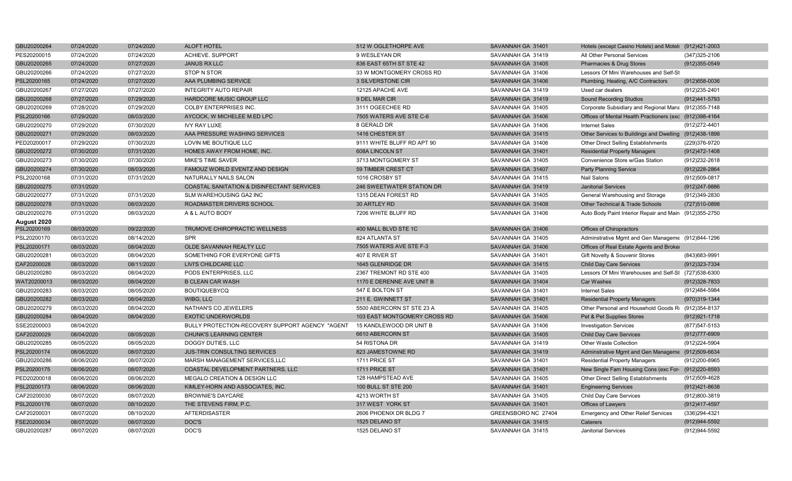| GBU20200264 | 07/24/2020 | 07/24/2020 | <b>ALOFT HOTEL</b>                              | 512 W OGLETHORPE AVE         | SAVANNAH GA 31401   | Hotels (except Casino Hotels) and Motel: (912)421-2003  |                   |
|-------------|------------|------------|-------------------------------------------------|------------------------------|---------------------|---------------------------------------------------------|-------------------|
| PES20200015 | 07/24/2020 | 07/24/2020 | ACHIEVE. SUPPORT                                | 9 WESLEYAN DR                | SAVANNAH GA 31419   | All Other Personal Services                             | $(347)325 - 2106$ |
| GBU20200265 | 07/24/2020 | 07/27/2020 | <b>JANUS RX LLC</b>                             | 836 EAST 65TH ST STE 42      | SAVANNAH GA 31405   | Pharmacies & Drug Stores                                | $(912)355-0549$   |
| GBU20200266 | 07/24/2020 | 07/27/2020 | <b>STOP N STOR</b>                              | 33 W MONTGOMERY CROSS RD     | SAVANNAH GA 31406   | Lessors Of Mini Warehouses and Self-St                  |                   |
| PSL20200165 | 07/24/2020 | 07/27/2020 | AAA PLUMBING SERVICE                            | 3 SILVERSTONE CIR            | SAVANNAH GA 31406   | Plumbing, Heating, A/C Contractors                      | $(912)658 - 0036$ |
| GBU20200267 | 07/27/2020 | 07/27/2020 | <b>INTEGRITY AUTO REPAIR</b>                    | 12125 APACHE AVE             | SAVANNAH GA 31419   | Used car dealers                                        | (912) 235-2401    |
| GBU20200268 | 07/27/2020 | 07/29/2020 | HARDCORE MUSIC GROUP LLC                        | 9 DEL MAR CIR                | SAVANNAH GA 31419   | <b>Sound Recording Studios</b>                          | (912)441-5793     |
| GBU20200269 | 07/28/2020 | 07/29/2020 | <b>COLBY ENTERPRISES INC.</b>                   | 3111 OGEECHEE RD             | SAVANNAH GA 31405   | Corporate Subsidiary and Regional Mana (912)355-7148    |                   |
| PSL20200166 | 07/29/2020 | 08/03/2020 | AYCOCK, W MICHELEE M.ED LPC                     | 7505 WATERS AVE STE C-6      | SAVANNAH GA 31406   | Offices of Mental Health Practioners (exc (912)398-4164 |                   |
| GBU20200270 | 07/29/2020 | 07/30/2020 | <b>IVY RAY LUXE</b>                             | 8 GERALD DR                  | SAVANNAH GA 31406   | <b>Internet Sales</b>                                   | (912) 272-4401    |
| GBU20200271 | 07/29/2020 | 08/03/2020 | AAA PRESSURE WASHING SERVICES                   | 1416 CHESTER ST              | SAVANNAH GA 31415   | Other Services to Buildings and Dwelling (912)438-1898  |                   |
| PED20200017 | 07/29/2020 | 07/30/2020 | LOVIN ME BOUTIQUE LLC                           | 9111 WHITE BLUFF RD APT 90   | SAVANNAH GA 31406   | Other Direct Selling Establishments                     | (229)376-9720     |
| GBU20200272 | 07/30/2020 | 07/31/2020 | HOMES AWAY FROM HOME, INC.                      | 608A LINCOLN ST              | SAVANNAH GA 31401   | <b>Residential Property Managers</b>                    | (912) 472-1408    |
| GBU20200273 | 07/30/2020 | 07/30/2020 | MIKE'S TIME SAVER                               | 3713 MONTGOMERY ST           | SAVANNAH GA 31405   | Convenience Store w/Gas Station                         | (912) 232-2618    |
| GBU20200274 | 07/30/2020 | 08/03/2020 | FAMOUZ WORLD EVENTZ AND DESIGN                  | 59 TIMBER CREST CT           | SAVANNAH GA 31407   | <b>Party Planning Service</b>                           | (912) 228-2864    |
| PSL20200168 | 07/31/2020 | 07/31/2020 | NATURALLY NAILS SALON                           | 1016 CROSBY ST               | SAVANNAH GA 31415   | Nail Salons                                             | (912)509-0817     |
| GBU20200275 | 07/31/2020 |            | COASTAL SANITATION & DISINFECTANT SERVICES      | 246 SWEETWATER STATION DR    | SAVANNAH GA 31419   | <b>Janitorial Services</b>                              | (912)247-9886     |
| GBU20200277 | 07/31/2020 | 07/31/2020 | SLM WAREHOUSING GA2 INC                         | 1315 DEAN FOREST RD          | SAVANNAH GA 31405   | General Warehousing and Storage                         | (912)349-2830     |
| GBU20200278 | 07/31/2020 | 08/03/2020 | ROADMASTER DRIVERS SCHOOL                       | 30 ARTLEY RD                 | SAVANNAH GA 31408   | Other Technical & Trade Schools                         | (727)510-0898     |
| GBU20200276 | 07/31/2020 | 08/03/2020 | A & L AUTO BODY                                 | 7206 WHITE BLUFF RD          | SAVANNAH GA 31406   | Auto Body Paint Interior Repair and Main (912)355-2750  |                   |
| August 2020 |            |            |                                                 |                              |                     |                                                         |                   |
| PSL20200169 | 08/03/2020 | 09/22/2020 | TRUMOVE CHIROPRACTIC WELLNESS                   | 400 MALL BLVD STE 1C         | SAVANNAH GA 31406   | Offices of Chiropractors                                |                   |
| PSL20200170 | 08/03/2020 | 08/14/2020 | <b>SPR</b>                                      | 824 ATLANTA ST               | SAVANNAH GA 31405   | Adminstrative Mgmt and Gen Manageme (912)844-1296       |                   |
| PSL20200171 | 08/03/2020 | 08/04/2020 | OLDE SAVANNAH REALTY LLC                        | 7505 WATERS AVE STE F-3      | SAVANNAH GA 31406   | Offices of Real Estate Agents and Broker                |                   |
| GBU20200281 | 08/03/2020 | 08/04/2020 | SOMETHING FOR EVERYONE GIFTS                    | 407 E RIVER ST               | SAVANNAH GA 31401   | Gift Novelty & Souvenir Stores                          | (843) 683-9991    |
| CAF20200028 | 08/03/2020 | 08/11/2020 | <b>LIVI'S CHILDCARE LLC</b>                     | 1645 GLENRIDGE DR            | SAVANNAH GA 31415   | <b>Child Day Care Services</b>                          | (912) 323-7334    |
| GBU20200280 | 08/03/2020 | 08/04/2020 | PODS ENTERPRISES. LLC                           | 2367 TREMONT RD STE 400      | SAVANNAH GA 31405   | Lessors Of Mini Warehouses and Self-St (727)538-6300    |                   |
| WAT20200013 | 08/03/2020 | 08/04/2020 | <b>B CLEAN CAR WASH</b>                         | 1170 E DERENNE AVE UNIT B    | SAVANNAH GA 31404   | Car Washes                                              | $(912)328 - 7833$ |
| GBU20200283 | 08/03/2020 | 08/05/2020 | <b>BOUTIQUEBYCQ</b>                             | 547 E BOLTON ST              | SAVANNAH GA 31401   | <b>Internet Sales</b>                                   | (912)484-5984     |
| GBU20200282 | 08/03/2020 | 08/04/2020 | WIBG, LLC                                       | 211 E. GWINNETT ST           | SAVANNAH GA 31401   | <b>Residential Property Managers</b>                    | (970)319-1344     |
| GBU20200279 | 08/03/2020 | 08/04/2020 | NATHAN'S CO JEWELERS                            | 5500 ABERCORN ST STE 23 A    | SAVANNAH GA 31405   | Other Personal and Household Goods R (912)354-8137      |                   |
| GBU20200284 | 08/04/2020 | 08/04/2020 | <b>EXOTIC UNDERWORLDS</b>                       | 103 EAST MONTGOMERY CROSS RD | SAVANNAH GA 31406   | Pet & Pet Supplies Stores                               | (912) 921-1718    |
| SSE20200003 | 08/04/2020 |            | BULLY PROTECTION-RECOVERY SUPPORT AGENCY "AGENT | 15 KANDLEWOOD DR UNIT B      | SAVANNAH GA 31406   | <b>Investigation Services</b>                           | (877) 547-5153    |
| CAF20200029 | 08/04/2020 | 08/05/2020 | <b>CHUNK'S LEARNING CENTER</b>                  | 6610 ABERCORN ST             | SAVANNAH GA 31405   | <b>Child Day Care Services</b>                          | (912) 777-6909    |
| GBU20200285 | 08/05/2020 | 08/05/2020 | DOGGY DUTIES, LLC                               | 54 RISTONA DR                | SAVANNAH GA 31419   | Other Waste Collection                                  | (912)224-5904     |
| PSL20200174 | 08/06/2020 | 08/07/2020 | <b>JUS-TRIN CONSULTING SERVICES</b>             | 823 JAMESTOWNE RD            | SAVANNAH GA 31419   | Adminstrative Mgmt and Gen Manageme (912)509-6634       |                   |
| GBU20200286 | 08/06/2020 | 08/07/2020 | MARSH MANAGEMENT SERVICES, LLC                  | 1711 PRICE ST                | SAVANNAH GA 31401   | <b>Residential Property Managers</b>                    | (912) 200-8965    |
| PSL20200175 | 08/06/2020 | 08/07/2020 | COASTAL DEVELOPMENT PARTNERS, LLC               | 1711 PRICE ST                | SAVANNAH GA 31401   | New Single Fam Housing Cons (exc For- (912)220-8593     |                   |
| PED20200018 | 08/06/2020 | 08/06/2020 | MEGALO CREATION & DESIGN LLC                    | 128 HAMPSTEAD AVE            | SAVANNAH GA 31405   | Other Direct Selling Establishments                     | (912)509-4628     |
| PSL20200173 | 08/06/2020 | 08/06/2020 | KIMLEY-HORN AND ASSOCIATES, INC.                | <b>100 BULL ST STE 200</b>   | SAVANNAH GA 31401   | <b>Engineering Services</b>                             | (912)421-8638     |
| CAF20200030 | 08/07/2020 | 08/07/2020 | <b>BROWNIE'S DAYCARE</b>                        | 4213 WORTH ST                | SAVANNAH GA 31405   | <b>Child Day Care Services</b>                          | (912)800-3819     |
| PSL20200176 | 08/07/2020 | 08/10/2020 | THE STEVENS FIRM, P.C.                          | 317 WEST YORK ST             | SAVANNAH GA 31401   | Offices of Lawyers                                      | (912)417-4597     |
| CAF20200031 | 08/07/2020 | 08/10/2020 | AFTERDISASTER                                   | 2606 PHOENIX DR BLDG 7       | GREENSBORO NC 27404 | <b>Emergency and Other Relief Services</b>              | (336)294-4321     |
| FSE20200034 | 08/07/2020 | 08/07/2020 | DOC'S                                           | 1525 DELANO ST               | SAVANNAH GA 31415   | Caterers                                                | (912) 944-5592    |
| GBU20200287 | 08/07/2020 | 08/07/2020 | DOC'S                                           | 1525 DELANO ST               | SAVANNAH GA 31415   | <b>Janitorial Services</b>                              | (912) 944-5592    |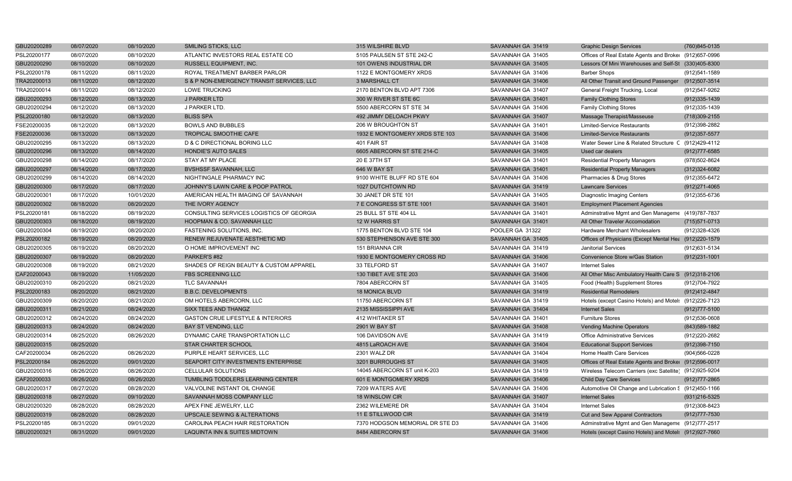| GBU20200289 | 08/07/2020 | 08/10/2020 | <b>SMILING STICKS, LLC</b>                   | 315 WILSHIRE BLVD               | SAVANNAH GA 31419 | <b>Graphic Design Services</b>                          | (760)845-0135     |
|-------------|------------|------------|----------------------------------------------|---------------------------------|-------------------|---------------------------------------------------------|-------------------|
| PSL20200177 | 08/07/2020 | 08/10/2020 | ATLANTIC INVESTORS REAL ESTATE CO            | 5105 PAULSEN ST STE 242-C       | SAVANNAH GA 31405 | Offices of Real Estate Agents and Broker (912)657-0996  |                   |
| GBU20200290 | 08/10/2020 | 08/10/2020 | <b>RUSSELL EQUIPMENT, INC.</b>               | 101 OWENS INDUSTRIAL DR         | SAVANNAH GA 31405 | Lessors Of Mini Warehouses and Self-St (330)405-8300    |                   |
| PSL20200178 | 08/11/2020 | 08/11/2020 | ROYAL TREATMENT BARBER PARLOR                | 1122 E MONTGOMERY XRDS          | SAVANNAH GA 31406 | <b>Barber Shops</b>                                     | (912)541-1589     |
| TRA20200013 | 08/11/2020 | 08/12/2020 | S & P NON-EMERGENCY TRANSIT SERVICES, LLC    | <b>3 MARSHALL CT</b>            | SAVANNAH GA 31406 | All Other Transit and Ground Passenger (912)507-3514    |                   |
| TRA20200014 | 08/11/2020 | 08/12/2020 | <b>LOWE TRUCKING</b>                         | 2170 BENTON BLVD APT 7306       | SAVANNAH GA 31407 | General Freight Trucking, Local                         | (912)547-9262     |
| GBU20200293 | 08/12/2020 | 08/13/2020 | J PARKER LTD                                 | 300 W RIVER ST STE 6C           | SAVANNAH GA 31401 | <b>Family Clothing Stores</b>                           | $(912)335 - 1439$ |
| GBU20200294 | 08/12/2020 | 08/13/2020 | J PARKER LTD.                                | 5500 ABERCORN ST STE 34         | SAVANNAH GA 31406 | <b>Family Clothing Stores</b>                           | (912) 335-1439    |
| PSL20200180 | 08/12/2020 | 08/13/2020 | <b>BLISS SPA</b>                             | 492 JIMMY DELOACH PKWY          | SAVANNAH GA 31407 | Massage Therapist/Masseuse                              | (718) 309-2155    |
| FSE20200035 | 08/12/2020 | 08/13/2020 | <b>BOWLS AND BUBBLES</b>                     | 206 W BROUGHTON ST              | SAVANNAH GA 31401 | <b>Limited-Service Restaurants</b>                      | (912)398-2882     |
| FSE20200036 | 08/13/2020 | 08/13/2020 | TROPICAL SMOOTHIE CAFE                       | 1932 E MONTGOMERY XRDS STE 103  | SAVANNAH GA 31406 | <b>Limited-Service Restaurants</b>                      | (912) 357-5577    |
| GBU20200295 | 08/13/2020 | 08/13/2020 | D & C DIRECTIONAL BORING LLC                 | 401 FAIR ST                     | SAVANNAH GA 31408 | Water Sewer Line & Related Structure C (912)429-4112    |                   |
| GBU20200296 | 08/13/2020 | 08/14/2020 | HONDIE'S AUTO SALES                          | 6605 ABERCORN ST STE 214-C      | SAVANNAH GA 31405 | Used car dealers                                        | (912) 777-6585    |
| GBU20200298 | 08/14/2020 | 08/17/2020 | STAY AT MY PLACE                             | 20 E 37TH ST                    | SAVANNAH GA 31401 | <b>Residential Property Managers</b>                    | (978)502-8624     |
| GBU20200297 | 08/14/2020 | 08/17/2020 | <b>BVSHSSF SAVANNAH, LLC</b>                 | 646 W BAY ST                    | SAVANNAH GA 31401 | <b>Residential Property Managers</b>                    | (312) 324-6082    |
| GBU20200299 | 08/14/2020 | 08/14/2020 | NIGHTINGALE PHARMACY INC                     | 9100 WHITE BLUFF RD STE 604     | SAVANNAH GA 31406 | Pharmacies & Drug Stores                                | (912) 355-6472    |
| GBU20200300 | 08/17/2020 | 08/17/2020 | JOHNNY'S LAWN CARE & POOP PATROL             | 1027 DUTCHTOWN RD               | SAVANNAH GA 31419 | <b>Lawncare Services</b>                                | $(912)271-4065$   |
| GBU20200301 | 08/17/2020 | 10/01/2020 | AMERICAN HEALTH IMAGING OF SAVANNAH          | 30 JANET DR STE 101             | SAVANNAH GA 31405 | <b>Diagnostic Imaging Centers</b>                       | (912) 355-6736    |
| GBU20200302 | 08/18/2020 | 08/20/2020 | THE IVORY AGENCY                             | 7 E CONGRESS ST STE 1001        | SAVANNAH GA 31401 | <b>Employment Placement Agencies</b>                    |                   |
| PSL20200181 | 08/18/2020 | 08/19/2020 | CONSULTING SERVICES LOGISTICS OF GEORGIA     | 25 BULL ST STE 404 LL           | SAVANNAH GA 31401 | Adminstrative Mgmt and Gen Manageme (419)787-7837       |                   |
| GBU20200303 | 08/18/2020 | 08/19/2020 | HOOPMAN & CO. SAVANNAH LLC                   | 12 W HARRIS ST                  | SAVANNAH GA 31401 | All Other Traveler Accomodation                         | (715) 571-0713    |
| GBU20200304 | 08/19/2020 | 08/20/2020 | FASTENING SOLUTIONS, INC.                    | 1775 BENTON BLVD STE 104        | POOLER GA 31322   | Hardware Merchant Wholesalers                           | (912)328-4326     |
| PSL20200182 | 08/19/2020 | 08/20/2020 | RENEW REJUVENATE AESTHETIC MD                | 530 STEPHENSON AVE STE 300      | SAVANNAH GA 31405 | Offices of Physicians (Except Mental Hea (912)220-1579  |                   |
| GBU20200305 | 08/19/2020 | 08/20/2020 | O HOME IMPROVEMENT INC                       | 151 BRIANNA CIR                 | SAVANNAH GA 31419 | <b>Janitorial Services</b>                              | (912) 631-5134    |
| GBU20200307 | 08/19/2020 | 08/20/2020 | PARKER'S #82                                 | 1930 E MONTGOMERY CROSS RD      | SAVANNAH GA 31406 | Convenience Store w/Gas Station                         | (912)231-1001     |
| GBU20200308 | 08/19/2020 | 08/21/2020 | SHADES OF REIGN BEAUTY & CUSTOM APPAREL      | 33 TELFORD ST                   | SAVANNAH GA 31407 | <b>Internet Sales</b>                                   |                   |
| CAF20200043 | 08/19/2020 | 11/05/2020 | <b>FBS SCREENING LLC</b>                     | 130 TIBET AVE STE 203           | SAVANNAH GA 31406 | All Other Misc Ambulatory Health Care S (912)318-2106   |                   |
| GBU20200310 | 08/20/2020 | 08/21/2020 | <b>TLC SAVANNAH</b>                          | 7804 ABERCORN ST                | SAVANNAH GA 31405 | Food (Health) Supplement Stores                         | (912)704-7922     |
| PSL20200183 | 08/20/2020 | 08/21/2020 | <b>B.B.C. DEVELOPMENTS</b>                   | <b>18 MONICA BLVD</b>           | SAVANNAH GA 31419 | <b>Residential Remodelers</b>                           | (912)412-4847     |
| GBU20200309 | 08/20/2020 | 08/21/2020 | OM HOTELS ABERCORN, LLC                      | 11750 ABERCORN ST               | SAVANNAH GA 31419 | Hotels (except Casino Hotels) and Motel: (912)226-7123  |                   |
| GBU20200311 | 08/21/2020 | 08/24/2020 | SIXX TEES AND THANGZ                         | 2135 MISSISSIPPI AVE            | SAVANNAH GA 31404 | <b>Internet Sales</b>                                   | $(912)777 - 5100$ |
| GBU20200312 | 08/24/2020 | 08/24/2020 | <b>GASTON CRUE LIFESTYLE &amp; INTERIORS</b> | 412 WHITAKER ST                 | SAVANNAH GA 31401 | <b>Furniture Stores</b>                                 | $(912)536-0608$   |
| GBU20200313 | 08/24/2020 | 08/24/2020 | <b>BAY ST VENDING, LLC</b>                   | 2901 W BAY ST                   | SAVANNAH GA 31408 | <b>Vending Machine Operators</b>                        | (843) 589-1882    |
| GBU20200314 | 08/25/2020 | 08/26/2020 | DYNAMIC CARE TRANSPORTATION LLC              | 106 DAVIDSON AVE                | SAVANNAH GA 31419 | <b>Office Administrative Services</b>                   | (912) 220-2682    |
| GBU20200315 | 08/25/2020 |            | <b>STAR CHARTER SCHOOL</b>                   | 4815 LaROACH AVE                | SAVANNAH GA 31404 | <b>Educational Support Services</b>                     | $(912)398 - 7150$ |
| CAF20200034 | 08/26/2020 | 08/26/2020 | PURPLE HEART SERVICES, LLC                   | 2301 WALZ DR                    | SAVANNAH GA 31404 | Home Health Care Services                               | (904)566-0228     |
| PSL20200184 | 08/26/2020 | 09/01/2020 | SEAPORT CITY INVESTMENTS ENTERPRISE          | 3201 BURROUGHS ST               | SAVANNAH GA 31405 | Offices of Real Estate Agents and Broker (912)596-0017  |                   |
| GBU20200316 | 08/26/2020 | 08/26/2020 | CELLULAR SOLUTIONS                           | 14045 ABERCORN ST unit K-203    | SAVANNAH GA 31419 | Wireless Telecom Carriers (exc Satellite) (912)925-9204 |                   |
| CAF20200033 | 08/26/2020 | 08/26/2020 | TUMBLING TODDLERS LEARNING CENTER            | 601 E MONTGOMERY XRDS           | SAVANNAH GA 31406 | <b>Child Day Care Services</b>                          | (912) 777-2865    |
| GBU20200317 | 08/27/2020 | 08/28/2020 | VALVOLINE INSTANT OIL CHANGE                 | 7209 WATERS AVE                 | SAVANNAH GA 31406 | Automotive Oil Change and Lubrication 5 (912)450-1166   |                   |
| GBU20200318 | 08/27/2020 | 09/10/2020 | SAVANNAH MOSS COMPANY LLC                    | 18 WINSLOW CIR                  | SAVANNAH GA 31407 | <b>Internet Sales</b>                                   | (931)216-5325     |
| GBU20200320 | 08/28/2020 | 08/28/2020 | APEX FINE JEWELRY, LLC                       | 2362 WILEMERE DR                | SAVANNAH GA 31404 | <b>Internet Sales</b>                                   | (912)308-8423     |
| GBU20200319 | 08/28/2020 | 08/28/2020 | UPSCALE SEWING & ALTERATIONS                 | 11 E STILLWOOD CIR              | SAVANNAH GA 31419 | Cut and Sew Apparel Contractors                         | $(912)777 - 7530$ |
| PSL20200185 | 08/31/2020 | 09/01/2020 | CAROLINA PEACH HAIR RESTORATION              | 7370 HODGSON MEMORIAL DR STE D3 | SAVANNAH GA 31406 | Adminstrative Mgmt and Gen Manageme (912)777-2517       |                   |
| GBU20200321 | 08/31/2020 | 09/01/2020 | <b>LAQUINTA INN &amp; SUITES MIDTOWN</b>     | 8484 ABERCORN ST                | SAVANNAH GA 31406 | Hotels (except Casino Hotels) and Motel: (912)927-7660  |                   |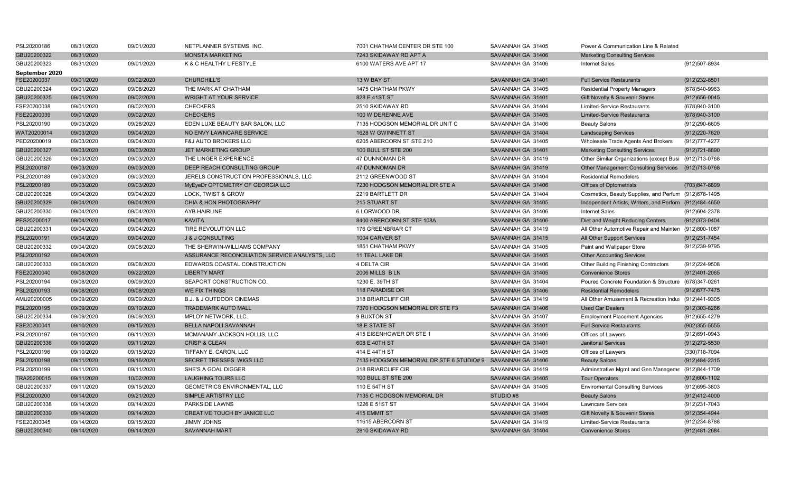| PSL20200186    | 08/31/2020 | 09/01/2020 | NETPLANNER SYSTEMS, INC.                       | 7001 CHATHAM CENTER DR STE 100                             | SAVANNAH GA 31405 | Power & Communication Line & Related                    |                   |
|----------------|------------|------------|------------------------------------------------|------------------------------------------------------------|-------------------|---------------------------------------------------------|-------------------|
| GBU20200322    | 08/31/2020 |            | <b>MONSTA MARKETING</b>                        | 7243 SKIDAWAY RD APT A                                     | SAVANNAH GA 31406 | <b>Marketing Consulting Services</b>                    |                   |
| GBU20200323    | 08/31/2020 | 09/01/2020 | K & C HEALTHY LIFESTYLE                        | 6100 WATERS AVE APT 17                                     | SAVANNAH GA 31406 | <b>Internet Sales</b>                                   | (912)507-8934     |
| September 2020 |            |            |                                                |                                                            |                   |                                                         |                   |
| FSE20200037    | 09/01/2020 | 09/02/2020 | <b>CHURCHILL'S</b>                             | 13 W BAY ST                                                | SAVANNAH GA 31401 | <b>Full Service Restaurants</b>                         | (912)232-8501     |
| GBU20200324    | 09/01/2020 | 09/08/2020 | THE MARK AT CHATHAM                            | 1475 CHATHAM PKWY                                          | SAVANNAH GA 31405 | <b>Residential Property Managers</b>                    | (678)540-9963     |
| GBU20200325    | 09/01/2020 | 09/02/2020 | <b>WRIGHT AT YOUR SERVICE</b>                  | 828 E 41ST ST                                              | SAVANNAH GA 31401 | Gift Novelty & Souvenir Stores                          | $(912)656 - 0045$ |
| FSE20200038    | 09/01/2020 | 09/02/2020 | <b>CHECKERS</b>                                | 2510 SKIDAWAY RD                                           | SAVANNAH GA 31404 | <b>Limited-Service Restaurants</b>                      | (678)940-3100     |
| FSE20200039    | 09/01/2020 | 09/02/2020 | <b>CHECKERS</b>                                | 100 W DERENNE AVE                                          | SAVANNAH GA 31405 | <b>Limited-Service Restaurants</b>                      | (678) 940-3100    |
| PSL20200190    | 09/03/2020 | 09/28/2020 | EDEN LUXE BEAUTY BAR SALON, LLC                | 7135 HODGSON MEMORIAL DR UNIT C                            | SAVANNAH GA 31406 | <b>Beauty Salons</b>                                    | (912)290-6605     |
| WAT20200014    | 09/03/2020 | 09/04/2020 | NO ENVY LAWNCARE SERVICE                       | 1628 W GWINNETT ST                                         | SAVANNAH GA 31404 | <b>Landscaping Services</b>                             | (912) 220-7620    |
| PED20200019    | 09/03/2020 | 09/04/2020 | <b>F&amp;J AUTO BROKERS LLC</b>                | 6205 ABERCORN ST STE 210                                   | SAVANNAH GA 31405 | Wholesale Trade Agents And Brokers                      | (912) 777-4277    |
| GBU20200327    | 09/03/2020 | 09/03/2020 | JET MARKETING GROUP                            | <b>100 BULL ST STE 200</b>                                 | SAVANNAH GA 31401 | <b>Marketing Consulting Services</b>                    | (912) 721-8890    |
| GBU20200326    | 09/03/2020 | 09/03/2020 | THE LINGER EXPERIENCE                          | 47 DUNNOMAN DR                                             | SAVANNAH GA 31419 | Other Similar Organizations (except Busi (912)713-0768  |                   |
| PSL20200187    | 09/03/2020 | 09/03/2020 | DEEP REACH CONSULTING GROUP                    | <b>47 DUNNOMAN DR</b>                                      | SAVANNAH GA 31419 | Other Management Consulting Services (912)713-0768      |                   |
| PSL20200188    | 09/03/2020 | 09/03/2020 | JERELS CONSTRUCTION PROFESSIONALS, LLC         | 2112 GREENWOOD ST                                          | SAVANNAH GA 31404 | <b>Residential Remodelers</b>                           |                   |
| PSL20200189    | 09/03/2020 | 09/03/2020 | MyEyeDr OPTOMETRY OF GEORGIA LLC               | 7230 HODGSON MEMORIAL DR STE A                             | SAVANNAH GA 31406 | <b>Offices of Optometrists</b>                          | (703)847-8899     |
| GBU20200328    | 09/04/2020 | 09/04/2020 | LOCK, TWIST & GROW                             | 2219 BARTLETT DR                                           | SAVANNAH GA 31404 | Cosmetics, Beauty Supplies, and Perfum (912)678-1495    |                   |
| GBU20200329    | 09/04/2020 | 09/04/2020 | CHIA & HON PHOTOGRAPHY                         | 215 STUART ST                                              | SAVANNAH GA 31405 | Independent Artists, Writers, and Perforn (912)484-4650 |                   |
| GBU20200330    | 09/04/2020 | 09/04/2020 | AYB HAIRLINE                                   | 6 LORWOOD DR                                               | SAVANNAH GA 31406 | <b>Internet Sales</b>                                   | (912)604-2378     |
| PES20200017    | 09/04/2020 | 09/04/2020 | <b>KAVITA</b>                                  | 8400 ABERCORN ST STE 108A                                  | SAVANNAH GA 31406 | Diet and Weight Reducing Centers                        | (912) 373-0404    |
| GBU20200331    | 09/04/2020 | 09/04/2020 | TIRE REVOLUTION LLC                            | 176 GREENBRIAR CT                                          | SAVANNAH GA 31419 | All Other Automotive Repair and Mainten (912)800-1087   |                   |
| PSL20200191    | 09/04/2020 | 09/04/2020 | <b>J &amp; J CONSULTING</b>                    | 1004 CARVER ST                                             | SAVANNAH GA 31415 | All Other Support Services                              | (912)231-7454     |
| GBU20200332    | 09/04/2020 | 09/08/2020 | THE SHERWIN-WILLIAMS COMPANY                   | 1851 CHATHAM PKWY                                          | SAVANNAH GA 31405 | Paint and Wallpaper Store                               | (912)239-9795     |
| PSL20200192    | 09/04/2020 |            | ASSURANCE RECONCILIATION SERVICE ANALYSTS, LLC | <b>11 TEAL LAKE DR</b>                                     | SAVANNAH GA 31405 | <b>Other Accounting Services</b>                        |                   |
| GBU20200333    | 09/08/2020 | 09/08/2020 | EDWARDS COASTAL CONSTRUCTION                   | 4 DELTA CIR                                                | SAVANNAH GA 31406 | Other Building Finishing Contractors                    | (912)224-9508     |
| FSE20200040    | 09/08/2020 | 09/22/2020 | <b>LIBERTY MART</b>                            | 2006 MILLS B LN                                            | SAVANNAH GA 31405 | <b>Convenience Stores</b>                               | (912)401-2065     |
| PSL20200194    | 09/08/2020 | 09/09/2020 | SEAPORT CONSTRUCTION CO.                       | 1230 E. 39TH ST                                            | SAVANNAH GA 31404 | Poured Concrete Foundation & Structure (678)347-0261    |                   |
| PSL20200193    | 09/08/2020 | 09/08/2020 | <b>WE FIX THINGS</b>                           | 118 PARADISE DR                                            | SAVANNAH GA 31406 | <b>Residential Remodelers</b>                           | (912) 677-7475    |
| AMU20200005    | 09/09/2020 | 09/09/2020 | <b>B.J. &amp; J OUTDOOR CINEMAS</b>            | 318 BRIARCLIFF CIR                                         | SAVANNAH GA 31419 | All Other Amusement & Recreation Indus (912)441-9305    |                   |
| PSL20200195    | 09/09/2020 | 09/10/2020 | <b>TRADEMARK AUTO MALL</b>                     | 7370 HODGSON MEMORIAL DR STE F3                            | SAVANNAH GA 31406 | <b>Used Car Dealers</b>                                 | $(912)303 - 8266$ |
| GBU20200334    | 09/09/2020 | 09/09/2020 | MPLOY NETWORK, LLC.                            | 9 BUXTON ST                                                | SAVANNAH GA 31407 | <b>Employment Placement Agencies</b>                    | (912) 655-4279    |
| FSE20200041    | 09/10/2020 | 09/15/2020 | <b>BELLA NAPOLI SAVANNAH</b>                   | <b>18 E STATE ST</b>                                       | SAVANNAH GA 31401 | <b>Full Service Restaurants</b>                         | $(902)355 - 5555$ |
| PSL20200197    | 09/10/2020 | 09/11/2020 | MCMANAMY JACKSON HOLLIS, LLC                   | 415 EISENHOWER DR STE 1                                    | SAVANNAH GA 31406 | Offices of Lawyers                                      | (912)691-0943     |
| GBU20200336    | 09/10/2020 | 09/11/2020 | <b>CRISP &amp; CLEAN</b>                       | 608 E 40TH ST                                              | SAVANNAH GA 31401 | <b>Janitorial Services</b>                              | (912) 272-5530    |
| PSL20200196    | 09/10/2020 | 09/15/2020 | TIFFANY E. CARON. LLC                          | 414 E 44TH ST                                              | SAVANNAH GA 31405 | Offices of Lawyers                                      | (330)718-7094     |
| PSL20200198    | 09/11/2020 | 09/16/2020 | SECRET TRESSES WIGS LLC                        | 7135 HODGSON MEMORIAL DR STE 6 STUDIO# 9 SAVANNAH GA 31406 |                   | <b>Beauty Salons</b>                                    | (912) 484-2315    |
| PSL20200199    | 09/11/2020 | 09/11/2020 | SHE'S A GOAL DIGGER                            | 318 BRIARCLIFF CIR                                         | SAVANNAH GA 31419 | Adminstrative Mgmt and Gen Manageme (912)844-1709       |                   |
| TRA20200015    | 09/11/2020 | 10/02/2020 | <b>LAUGHING TOURS LLC</b>                      | <b>100 BULL ST STE 200</b>                                 | SAVANNAH GA 31405 | <b>Tour Operators</b>                                   | (912)600-1102     |
| GBU20200337    | 09/11/2020 | 09/15/2020 | GEOMETRICS ENVIRONMENTAL, LLC                  | 110 E 54TH ST                                              | SAVANNAH GA 31405 | <b>Enviromental Consulting Services</b>                 | (912)695-3803     |
| PSL20200200    | 09/14/2020 | 09/21/2020 | SIMPLE ARTISTRY LLC                            | 7135 C HODGSON MEMORIAL DR                                 | STUDIO #8         | <b>Beauty Salons</b>                                    | (912)412-4000     |
| GBU20200338    | 09/14/2020 | 09/14/2020 | <b>PARKSIDE LAWNS</b>                          | 1226 E 51ST ST                                             | SAVANNAH GA 31404 | <b>Lawncare Services</b>                                | (912)231-7043     |
| GBU20200339    | 09/14/2020 | 09/14/2020 | CREATIVE TOUCH BY JANICE LLC                   | 415 EMMIT ST                                               | SAVANNAH GA 31405 | Gift Novelty & Souvenir Stores                          | (912) 354-4944    |
| FSE20200045    | 09/14/2020 | 09/15/2020 | <b>JIMMY JOHNS</b>                             | 11615 ABERCORN ST                                          | SAVANNAH GA 31419 | <b>Limited-Service Restaurants</b>                      | (912)234-8788     |
| GBU20200340    | 09/14/2020 | 09/14/2020 | <b>SAVANNAH MART</b>                           | 2810 SKIDAWAY RD                                           | SAVANNAH GA 31404 | <b>Convenience Stores</b>                               | (912)481-2684     |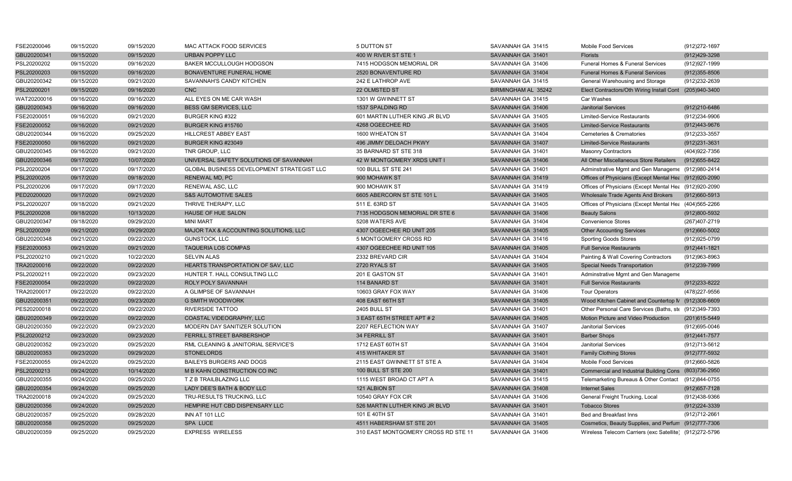| FSE20200046 | 09/15/2020 | 09/15/2020 | <b>MAC ATTACK FOOD SERVICES</b>            | 5 DUTTON ST                         | SAVANNAH GA 31415   | <b>Mobile Food Services</b>                             | (912) 272-1697    |
|-------------|------------|------------|--------------------------------------------|-------------------------------------|---------------------|---------------------------------------------------------|-------------------|
| GBU20200341 | 09/15/2020 | 09/15/2020 | <b>URBAN POPPY LLC</b>                     | 400 W RIVER ST STE 1                | SAVANNAH GA 31401   | <b>Florists</b>                                         | (912)429-3298     |
| PSL20200202 | 09/15/2020 | 09/16/2020 | BAKER MCCULLOUGH HODGSON                   | 7415 HODGSON MEMORIAL DR            | SAVANNAH GA 31406   | Funeral Homes & Funeral Services                        | (912) 927-1999    |
| PSL20200203 | 09/15/2020 | 09/16/2020 | BONAVENTURE FUNERAL HOME                   | 2520 BONAVENTURE RD                 | SAVANNAH GA 31404   | Funeral Homes & Funeral Services                        | $(912)355 - 8506$ |
| GBU20200342 | 09/15/2020 | 09/21/2020 | SAVANNAH'S CANDY KITCHEN                   | 242 E LATHROP AVE                   | SAVANNAH GA 31415   | General Warehousing and Storage                         | (912)232-2639     |
| PSL20200201 | 09/15/2020 | 09/16/2020 | <b>CNC</b>                                 | 22 OLMSTED ST                       | BIRMINGHAM AL 35242 | Elect Contractors/Oth Wiring Install Cont (205)940-3400 |                   |
| WAT20200016 | 09/16/2020 | 09/16/2020 | ALL EYES ON ME CAR WASH                    | 1301 W GWINNETT ST                  | SAVANNAH GA 31415   | Car Washes                                              |                   |
| GBU20200343 | 09/16/2020 | 09/16/2020 | <b>BESS GM SERVICES, LLC</b>               | 1537 SPALDING RD                    | SAVANNAH GA 31406   | <b>Janitorial Services</b>                              | (912)210-6486     |
| FSE20200051 | 09/16/2020 | 09/21/2020 | <b>BURGER KING #322</b>                    | 601 MARTIN LUTHER KING JR BLVD      | SAVANNAH GA 31405   | <b>Limited-Service Restaurants</b>                      | (912)234-9906     |
| FSE20200052 | 09/16/2020 | 09/21/2020 | BURGER KING #15760                         | 4268 OGEECHEE RD                    | SAVANNAH GA 31405   | <b>Limited-Service Restaurants</b>                      | (912)443-9676     |
| GBU20200344 | 09/16/2020 | 09/25/2020 | <b>HILLCREST ABBEY EAST</b>                | 1600 WHEATON ST                     | SAVANNAH GA 31404   | <b>Cemeteries &amp; Crematories</b>                     | (912) 233-3557    |
| FSE20200050 | 09/16/2020 | 09/21/2020 | BURGER KING #23049                         | 496 JIMMY DELOACH PKWY              | SAVANNAH GA 31407   | <b>Limited-Service Restaurants</b>                      | (912) 231-3631    |
| GBU20200345 | 09/16/2020 | 09/21/2020 | TNR GROUP, LLC                             | 35 BARNARD ST STE 318               | SAVANNAH GA 31401   | <b>Masonry Contractors</b>                              | (404) 922-7356    |
| GBU20200346 | 09/17/2020 | 10/07/2020 | UNIVERSAL SAFETY SOLUTIONS OF SAVANNAH     | 42 W MONTGOMERY XRDS UNIT I         | SAVANNAH GA 31406   | All Other Miscellaneous Store Retailers                 | (912) 655-8422    |
| PSL20200204 | 09/17/2020 | 09/17/2020 | GLOBAL BUSINESS DEVELOPMENT STRATEGIST LLC | 100 BULL ST STE 241                 | SAVANNAH GA 31401   | Adminstrative Mgmt and Gen Manageme (912)980-2414       |                   |
| PSL20200205 | 09/17/2020 | 09/18/2020 | <b>RENEWAL MD, PC</b>                      | 900 MOHAWK ST                       | SAVANNAH GA 31419   | Offices of Physicians (Except Mental Hea (912)920-2090  |                   |
| PSL20200206 | 09/17/2020 | 09/17/2020 | RENEWAL ASC, LLC                           | 900 MOHAWK ST                       | SAVANNAH GA 31419   | Offices of Physicians (Except Mental Hea (912)920-2090  |                   |
| PED20200020 | 09/17/2020 | 09/21/2020 | <b>S&amp;S AUTOMOTIVE SALES</b>            | 6605 ABERCORN ST STE 101 L          | SAVANNAH GA 31405   | Wholesale Trade Agents And Brokers                      | (912)660-5913     |
| PSL20200207 | 09/18/2020 | 09/21/2020 | THRIVE THERAPY, LLC                        | 511 E. 63RD ST                      | SAVANNAH GA 31405   | Offices of Physicians (Except Mental Hea (404)565-2266  |                   |
| PSL20200208 | 09/18/2020 | 10/13/2020 | <b>HAUSE OF HUE SALON</b>                  | 7135 HODGSON MEMORIAL DR STE 6      | SAVANNAH GA 31406   | <b>Beauty Salons</b>                                    | (912)800-5932     |
| GBU20200347 | 09/18/2020 | 09/29/2020 | <b>MINI MART</b>                           | 5208 WATERS AVE                     | SAVANNAH GA 31404   | <b>Convenience Stores</b>                               | (267)407-2719     |
| PSL20200209 | 09/21/2020 | 09/29/2020 | MAJOR TAX & ACCOUNTING SOLUTIONS, LLC      | 4307 OGEECHEE RD UNIT 205           | SAVANNAH GA 31405   | <b>Other Accounting Services</b>                        | $(912)660 - 5002$ |
| GBU20200348 | 09/21/2020 | 09/22/2020 | <b>GUNSTOCK, LLC</b>                       | 5 MONTGOMERY CROSS RD               | SAVANNAH GA 31416   | <b>Sporting Goods Stores</b>                            | (912) 925-0799    |
| FSE20200053 | 09/21/2020 | 09/21/2020 | <b>TAQUERIA LOS COMPAS</b>                 | 4307 OGEECHEE RD UNIT 105           | SAVANNAH GA 31405   | <b>Full Service Restaurants</b>                         | (912)441-1821     |
| PSL20200210 | 09/21/2020 | 10/22/2020 | <b>SELVIN ALAS</b>                         | 2332 BREVARD CIR                    | SAVANNAH GA 31404   | Painting & Wall Covering Contractors                    | (912) 963-8963    |
| TRA20200016 | 09/22/2020 | 09/22/2020 | HEARTS TRANSPORTATION OF SAV, LLC          | 2720 RYALS ST                       | SAVANNAH GA 31405   | Special Needs Transportation                            | (912)239-7999     |
| PSL20200211 | 09/22/2020 | 09/23/2020 | HUNTER T. HALL CONSULTING LLC              | 201 E GASTON ST                     | SAVANNAH GA 31401   | Adminstrative Mgmt and Gen Manageme                     |                   |
| FSE20200054 | 09/22/2020 | 09/22/2020 | ROLY POLY SAVANNAH                         | 114 BANARD ST                       | SAVANNAH GA 31401   | <b>Full Service Restaurants</b>                         | (912) 233-8222    |
| TRA20200017 | 09/22/2020 | 09/22/2020 | A GLIMPSE OF SAVANNAH                      | 10603 GRAY FOX WAY                  | SAVANNAH GA 31406   | <b>Tour Operators</b>                                   | (478) 227-9556    |
| GBU20200351 | 09/22/2020 | 09/23/2020 | <b>G SMITH WOODWORK</b>                    | 408 EAST 66TH ST                    | SAVANNAH GA 31405   | Wood Kitchen Cabinet and Countertop N (912)308-6609     |                   |
| PES20200018 | 09/22/2020 | 09/22/2020 | <b>RIVERSIDE TATTOO</b>                    | <b>2405 BULL ST</b>                 | SAVANNAH GA 31401   | Other Personal Care Services (Baths, ste (912)349-7393  |                   |
| GBU20200349 | 09/22/2020 | 09/22/2020 | COASTAL VIDEOGRAPHY, LLC                   | 3 EAST 65TH STREET APT #2           | SAVANNAH GA 31405   | Motion Picture and Video Production                     | (201) 615-5449    |
| GBU20200350 | 09/22/2020 | 09/23/2020 | MODERN DAY SANITIZER SOLUTION              | 2207 REFLECTION WAY                 | SAVANNAH GA 31407   | <b>Janitorial Services</b>                              | (912)695-0046     |
| PSL20200212 | 09/23/2020 | 09/23/2020 | FERRILL STREET BARBERSHOP                  | 34 FERRILL ST                       | SAVANNAH GA 31401   | <b>Barber Shops</b>                                     | (912) 441-7577    |
| GBU20200352 | 09/23/2020 | 09/25/2020 | RML CLEANING & JANITORIAL SERVICE'S        | 1712 EAST 60TH ST                   | SAVANNAH GA 31404   | <b>Janitorial Services</b>                              | (912)713-5612     |
| GBU20200353 | 09/23/2020 | 09/29/2020 | <b>STONELORDS</b>                          | <b>415 WHITAKER ST</b>              | SAVANNAH GA 31401   | <b>Family Clothing Stores</b>                           | (912) 777-5932    |
| FSE20200055 | 09/24/2020 | 09/25/2020 | <b>BAILEYS BURGERS AND DOGS</b>            | 2115 EAST GWINNETT ST STE A         | SAVANNAH GA 31404   | Mobile Food Services                                    | (912)660-5826     |
| PSL20200213 | 09/24/2020 | 10/14/2020 | M B KAHN CONSTRUCTION CO INC               | <b>100 BULL ST STE 200</b>          | SAVANNAH GA 31401   | Commercial and Industrial Building Cons (803)736-2950   |                   |
| GBU20200355 | 09/24/2020 | 09/25/2020 | T Z B TRAILBLAZING LLC                     | 1115 WEST BROAD CT APT A            | SAVANNAH GA 31415   | Telemarketing Bureaus & Other Contact (912)844-0755     |                   |
| GBU20200354 | 09/24/2020 | 09/25/2020 | LADY DEE'S BATH & BODY LLC                 | 121 ALBION ST                       | SAVANNAH GA 31408   | <b>Internet Sales</b>                                   | $(912)$ 657-7128  |
| TRA20200018 | 09/24/2020 | 09/25/2020 | TRU-RESULTS TRUCKING, LLC                  | 10540 GRAY FOX CIR                  | SAVANNAH GA 31406   | General Freight Trucking, Local                         | (912)438-9366     |
| GBU20200356 | 09/24/2020 | 09/25/2020 | HEMPIRE HUT CBD DISPENSARY LLC             | 526 MARTIN LUTHER KING JR BLVD      | SAVANNAH GA 31401   | <b>Tobacco Stores</b>                                   | (912) 224-3339    |
| GBU20200357 | 09/25/2020 | 09/28/2020 | INN AT 101 LLC                             | 101 E 40TH ST                       | SAVANNAH GA 31401   | Bed and Breakfast Inns                                  | (912)712-2661     |
| GBU20200358 | 09/25/2020 | 09/25/2020 | SPA LUCE                                   | 4511 HABERSHAM ST STE 201           | SAVANNAH GA 31405   | Cosmetics, Beauty Supplies, and Perfum (912)777-7306    |                   |
| GBU20200359 | 09/25/2020 | 09/25/2020 | <b>EXPRESS WIRELESS</b>                    | 310 EAST MONTGOMERY CROSS RD STE 11 | SAVANNAH GA 31406   | Wireless Telecom Carriers (exc Satellite) (912)272-5796 |                   |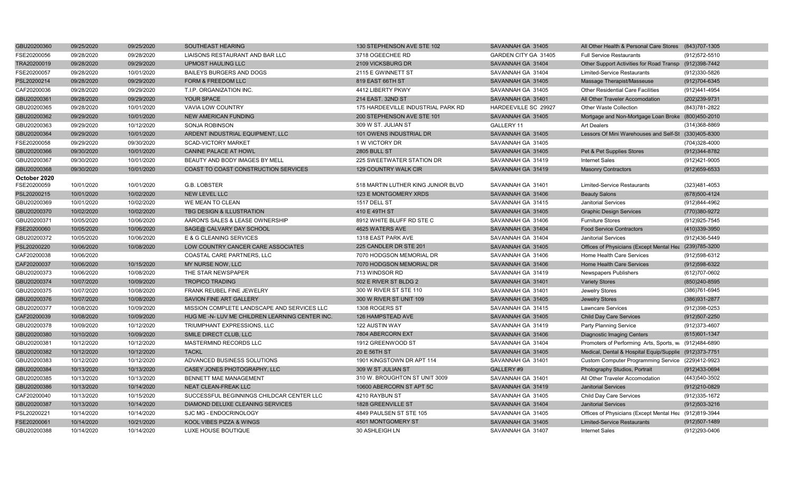| GBU20200360  | 09/25/2020 | 09/25/2020 | SOUTHEAST HEARING                               | 130 STEPHENSON AVE STE 102         | SAVANNAH GA 31405    | All Other Health & Personal Care Stores (843)707-1305  |                   |
|--------------|------------|------------|-------------------------------------------------|------------------------------------|----------------------|--------------------------------------------------------|-------------------|
| FSE20200056  | 09/28/2020 | 09/28/2020 | LIAISONS RESTAURANT AND BAR LLC                 | 3718 OGEECHEE RD                   | GARDEN CITY GA 31405 | <b>Full Service Restaurants</b>                        | (912) 572-5510    |
| TRA20200019  | 09/28/2020 | 09/29/2020 | <b>UPMOST HAULING LLC</b>                       | 2109 VICKSBURG DR                  | SAVANNAH GA 31404    | Other Support Activities for Road Transp (912)398-7442 |                   |
| FSE20200057  | 09/28/2020 | 10/01/2020 | BAILEYS BURGERS AND DOGS                        | 2115 E GWINNETT ST                 | SAVANNAH GA 31404    | <b>Limited-Service Restaurants</b>                     | (912)330-5826     |
| PSL20200214  | 09/28/2020 | 09/29/2020 | FORM & FREEDOM LLC                              | 819 EAST 66TH ST                   | SAVANNAH GA 31405    | Massage Therapist/Masseuse                             | (912)704-6345     |
| CAF20200036  | 09/28/2020 | 09/29/2020 | T.I.P. ORGANIZATION INC.                        | 4412 LIBERTY PKWY                  | SAVANNAH GA 31405    | <b>Other Residential Care Facilities</b>               | (912)441-4954     |
| GBU20200361  | 09/28/2020 | 09/29/2020 | YOUR SPACE                                      | 214 EAST. 32ND ST                  | SAVANNAH GA 31401    | All Other Traveler Accomodation                        | (202)239-9731     |
| GBU20200365  | 09/28/2020 | 10/01/2020 | VAVIA LOW COUNTRY                               | 175 HARDEEVILLE INDUSTRIAL PARK RD | HARDEEVILLE SC 29927 | Other Waste Collection                                 | (843) 781-2822    |
| GBU20200362  | 09/29/2020 | 10/01/2020 | NEW AMERICAN FUNDING                            | 200 STEPHENSON AVE STE 101         | SAVANNAH GA 31405    | Mortgage and Non-Mortgage Loan Broke (800)450-2010     |                   |
| GBU20200363  | 09/29/2020 | 10/12/2020 | SONJA ROBINSON                                  | 309 W ST. JULIAN ST                | GALLERY 11           | <b>Art Dealers</b>                                     | (314) 368-8869    |
| GBU20200364  | 09/29/2020 | 10/01/2020 | ARDENT INDUSTRIAL EQUIPMENT, LLC                | 101 OWENS INDUSTRIAL DR            | SAVANNAH GA 31405    | Lessors Of Mini Warehouses and Self-St (330)405-8300   |                   |
| FSE20200058  | 09/29/2020 | 09/30/2020 | <b>SCAD-VICTORY MARKET</b>                      | 1 W VICTORY DR                     | SAVANNAH GA 31405    |                                                        | (704)328-4000     |
| GBU20200366  | 09/30/2020 | 10/01/2020 | CANINE PALACE AT HOWL                           | <b>2805 BULL ST</b>                | SAVANNAH GA 31405    | Pet & Pet Supplies Stores                              | (912) 344-8782    |
| GBU20200367  | 09/30/2020 | 10/01/2020 | BEAUTY AND BODY IMAGES BY MELL                  | 225 SWEETWATER STATION DR          | SAVANNAH GA 31419    | Internet Sales                                         | (912)421-9005     |
| GBU20200368  | 09/30/2020 | 10/01/2020 | COAST TO COAST CONSTRUCTION SERVICES            | 129 COUNTRY WALK CIR               | SAVANNAH GA 31419    | <b>Masonry Contractors</b>                             | $(912)659-6533$   |
| October 2020 |            |            |                                                 |                                    |                      |                                                        |                   |
| FSE20200059  | 10/01/2020 | 10/01/2020 | G.B. LOBSTER                                    | 518 MARTIN LUTHER KING JUNIOR BLVD | SAVANNAH GA 31401    | <b>Limited-Service Restaurants</b>                     | (323)481-4053     |
| PSL20200215  | 10/01/2020 | 10/02/2020 | <b>NEW LEVEL LLC</b>                            | 123 E MONTGOMERY XRDS              | SAVANNAH GA 31406    | <b>Beauty Salons</b>                                   | (678) 500-4124    |
| GBU20200369  | 10/01/2020 | 10/02/2020 | WE MEAN TO CLEAN                                | 1517 DELL ST                       | SAVANNAH GA 31415    | <b>Janitorial Services</b>                             | (912)844-4962     |
| GBU20200370  | 10/02/2020 | 10/02/2020 | TBG DESIGN & ILLUSTRATION                       | 410 E 49TH ST                      | SAVANNAH GA 31405    | <b>Graphic Design Services</b>                         | (770)380-9272     |
| GBU20200371  | 10/05/2020 | 10/06/2020 | AARON'S SALES & LEASE OWNERSHIP                 | 8912 WHITE BLUFF RD STE C          | SAVANNAH GA 31406    | <b>Furniture Stores</b>                                | (912) 925-7545    |
| FSE20200060  | 10/05/2020 | 10/06/2020 | SAGE@ CALVARY DAY SCHOOL                        | 4625 WATERS AVE                    | SAVANNAH GA 31404    | <b>Food Service Contractors</b>                        | (410)339-3950     |
| GBU20200372  | 10/05/2020 | 10/06/2020 | E & G CLEANING SERVICES                         | 1318 EAST PARK AVE                 | SAVANNAH GA 31404    | <b>Janitorial Services</b>                             | (912)436-5449     |
| PSL20200220  | 10/06/2020 | 10/08/2020 | LOW COUNTRY CANCER CARE ASSOCIATES              | 225 CANDLER DR STE 201             | SAVANNAH GA 31405    | Offices of Physicians (Except Mental Hea (239)785-3200 |                   |
| CAF20200038  | 10/06/2020 |            | COASTAL CARE PARTNERS, LLC                      | 7070 HODGSON MEMORIAL DR           | SAVANNAH GA 31406    | Home Health Care Services                              | (912) 598-6312    |
| CAF20200037  | 10/06/2020 | 10/15/2020 | MY NURSE NOW, LLC                               | 7070 HODGSON MEMORIAL DR           | SAVANNAH GA 31406    | <b>Home Health Care Services</b>                       | (912) 598-6322    |
| GBU20200373  | 10/06/2020 | 10/08/2020 | THE STAR NEWSPAPER                              | 713 WINDSOR RD                     | SAVANNAH GA 31419    | Newspapers Publishers                                  | (612)707-0602     |
| GBU20200374  | 10/07/2020 | 10/09/2020 | <b>TROPICO TRADING</b>                          | 502 E RIVER ST BLDG 2              | SAVANNAH GA 31401    | <b>Variety Stores</b>                                  | (850) 240-8595    |
| GBU20200375  | 10/07/2020 | 10/08/2020 | FRANK REUBEL FINE JEWELRY                       | 300 W RIVER ST STE 110             | SAVANNAH GA 31401    | Jewelry Stores                                         | (386) 761-6945    |
| GBU20200376  | 10/07/2020 | 10/08/2020 | SAVION FINE ART GALLERY                         | 300 W RIVER ST UNIT 109            | SAVANNAH GA 31405    | <b>Jewelry Stores</b>                                  | (386) 931-2877    |
| GBU20200377  | 10/08/2020 | 10/09/2020 | MISSION COMPLETE LANDSCAPE AND SERVICES LLC     | 1308 ROGERS ST                     | SAVANNAH GA 31415    | <b>Lawncare Services</b>                               | (912)398-0253     |
| CAF20200039  | 10/08/2020 | 10/09/2020 | HUG ME -N- LUV ME CHILDREN LEARNING CENTER INC. | 126 HAMPSTEAD AVE                  | SAVANNAH GA 31405    | <b>Child Day Care Services</b>                         | (912)507-2250     |
| GBU20200378  | 10/09/2020 | 10/12/2020 | <b>TRIUMPHANT EXPRESSIONS, LLC</b>              | <b>122 AUSTIN WAY</b>              | SAVANNAH GA 31419    | <b>Party Planning Service</b>                          | (912)373-4607     |
| GBU20200380  | 10/10/2020 | 10/09/2020 | SMILE DIRECT CLUB, LLC                          | 7804 ABERCORN EXT                  | SAVANNAH GA 31406    | Diagnostic Imaging Centers                             | (615) 601-1347    |
| GBU20200381  | 10/12/2020 | 10/12/2020 | MASTERMIND RECORDS LLC                          | 1912 GREENWOOD ST                  | SAVANNAH GA 31404    | Promoters of Performing Arts, Sports, w. (912)484-6890 |                   |
| GBU20200382  | 10/12/2020 | 10/12/2020 | <b>TACKL</b>                                    | 20 E 56TH ST                       | SAVANNAH GA 31405    | Medical, Dental & Hospital Equip/Supplie (912)373-7751 |                   |
| GBU20200383  | 10/12/2020 | 10/12/2020 | ADVANCED BUSINESS SOLUTIONS                     | 1901 KINGSTOWN DR APT 114          | SAVANNAH GA 31401    | Custom Computer Programming Service (229)412-9923      |                   |
| GBU20200384  | 10/13/2020 | 10/13/2020 | CASEY JONES PHOTOGRAPHY, LLC                    | 309 W ST JULIAN ST                 | GALLERY #9           | Photography Studios, Portrait                          | (912)433-0694     |
| GBU20200385  | 10/13/2020 | 10/13/2020 | <b>BENNETT MAE MANAGEMENT</b>                   | 310 W. BROUGHTON ST UNIT 3009      | SAVANNAH GA 31401    | All Other Traveler Accomodation                        | (443)540-3502     |
| GBU20200386  | 10/13/2020 | 10/14/2020 | <b>NEAT CLEAN-FREAK LLC</b>                     | 10600 ABERCORN ST APT 5C           | SAVANNAH GA 31419    | <b>Janitorial Services</b>                             | (912)210-0829     |
| CAF20200040  | 10/13/2020 | 10/15/2020 | SUCCESSFUL BEGINNINGS CHILDCAR CENTER LLC       | 4210 RAYBUN ST                     | SAVANNAH GA 31405    | <b>Child Day Care Services</b>                         | (912) 335-1672    |
| GBU20200387  | 10/13/2020 | 10/14/2020 | DIAMOND DELUXE CLEANING SERVICES                | 1828 GREENVILLE ST                 | SAVANNAH GA 31404    | <b>Janitorial Services</b>                             | $(912)503 - 3216$ |
| PSL20200221  | 10/14/2020 | 10/14/2020 | SJC MG - ENDOCRINOLOGY                          | 4849 PAULSEN ST STE 105            | SAVANNAH GA 31405    | Offices of Physicians (Except Mental Hea (912)819-3944 |                   |
| FSE20200061  | 10/14/2020 | 10/21/2020 | KOOL VIBES PIZZA & WINGS                        | 4501 MONTGOMERY ST                 | SAVANNAH GA 31405    | <b>Limited-Service Restaurants</b>                     | (912)507-1489     |
| GBU20200388  | 10/14/2020 | 10/14/2020 | LUXE HOUSE BOUTIQUE                             | 30 ASHLEIGH LN                     | SAVANNAH GA 31407    | <b>Internet Sales</b>                                  | $(912)293-0406$   |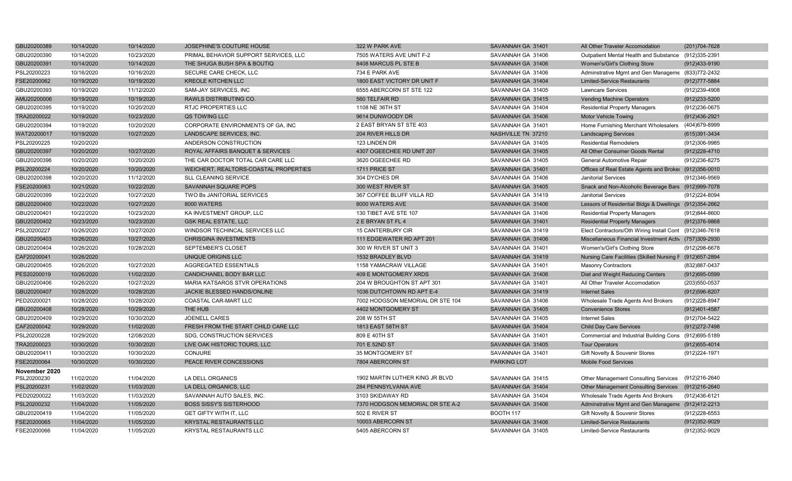| GBU20200389   | 10/14/2020 | 10/14/2020 | JOSEPHINE'S COUTURE HOUSE             | 322 W PARK AVE                   | SAVANNAH GA 31401  | All Other Traveler Accomodation                          | (201)704-7628     |
|---------------|------------|------------|---------------------------------------|----------------------------------|--------------------|----------------------------------------------------------|-------------------|
| GBU20200390   | 10/14/2020 | 10/23/2020 | PRIMAL BEHAVIOR SUPPORT SERVICES, LLC | 7505 WATERS AVE UNIT F-2         | SAVANNAH GA 31406  | Outpatient Mental Health and Substance                   | (912)335-2391     |
| GBU20200391   | 10/14/2020 | 10/14/2020 | THE SHUGA BUSH SPA & BOUTIQ           | 8408 MARCUS PL STE B             | SAVANNAH GA 31406  | Women's/Girl's Clothing Store                            | (912)433-9190     |
| PSL20200223   | 10/16/2020 | 10/16/2020 | SECURE CARE CHECK, LLC                | 734 E PARK AVE                   | SAVANNAH GA 31406  | Adminstrative Mgmt and Gen Manageme (833)772-2432        |                   |
| FSE20200062   | 10/19/2020 | 10/19/2020 | <b>KREOLE KITCHEN LLC</b>             | 1800 EAST VICTORY DR UNIT F      | SAVANNAH GA 31404  | <b>Limited-Service Restaurants</b>                       | (912) 777-5884    |
| GBU20200393   | 10/19/2020 | 11/12/2020 | SAM-JAY SERVICES, INC                 | 6555 ABERCORN ST STE 122         | SAVANNAH GA 31405  | <b>Lawncare Services</b>                                 | (912)239-4908     |
| AMU20200006   | 10/19/2020 | 10/19/2020 | <b>RAWLS DISTRIBUTING CO.</b>         | 560 TELFAIR RD                   | SAVANNAH GA 31415  | <b>Vending Machine Operators</b>                         | (912)233-5200     |
| GBU20200395   | 10/19/2020 | 10/20/2020 | RTJC PROPERTIES LLC                   | 1108 NE 36TH ST                  | SAVANNAH GA 31404  | <b>Residential Property Managers</b>                     | (912)236-0675     |
| TRA20200022   | 10/19/2020 | 10/23/2020 | QS TOWING LLC                         | 9614 DUNWOODY DR                 | SAVANNAH GA 31406  | <b>Motor Vehicle Towing</b>                              | (912)436-2921     |
| GBU20200394   | 10/19/2020 | 10/20/2020 | CORPORATE ENVIRONMENTS OF GA, INC     | 2 EAST BRYAN ST STE 403          | SAVANNAH GA 31401  | Home Furnishing Merchant Wholesalers                     | (404)679-8999     |
| WAT20200017   | 10/19/2020 | 10/27/2020 | LANDSCAPE SERVICES, INC.              | 204 RIVER HILLS DR               | NASHVILLE TN 37210 | <b>Landscaping Services</b>                              | (615)391-3434     |
| PSL20200225   | 10/20/2020 |            | ANDERSON CONSTRUCTION                 | 123 LINDEN DR                    | SAVANNAH GA 31405  | <b>Residential Remodelers</b>                            | (912)306-9985     |
| GBU20200397   | 10/20/2020 | 10/27/2020 | ROYAL AFFAIRS BANQUET & SERVICES      | 4307 OGEECHEE RD UNIT 207        | SAVANNAH GA 31405  | All Other Consumer Goods Rental                          | (912) 228-4710    |
| GBU20200396   | 10/20/2020 | 10/20/2020 | THE CAR DOCTOR TOTAL CAR CARE LLC     | 3620 OGEECHEE RD                 | SAVANNAH GA 31405  | General Automotive Repair                                | (912) 236-8275    |
| PSL20200224   | 10/20/2020 | 10/20/2020 | WEICHERT, REALTORS-COASTAL PROPERTIES | 1711 PRICE ST                    | SAVANNAH GA 31401  | Offices of Real Estate Agents and Broker (912)356-0010   |                   |
| GBU20200398   | 10/20/2020 | 11/12/2020 | <b>SLL CLEANING SERVICE</b>           | 304 DYCHES DR                    | SAVANNAH GA 31406  | <b>Janitorial Services</b>                               | (912)346-9569     |
| FSE20200063   | 10/21/2020 | 10/22/2020 | SAVANNAH SQUARE POPS                  | 300 WEST RIVER ST                | SAVANNAH GA 31405  | Snack and Non-Alcoholic Beverage Bars (912)999-7078      |                   |
| GBU20200399   | 10/22/2020 | 10/27/2020 | TWO Bs JANITORIAL SERVICES            | 367 COFFEE BLUFF VILLA RD        | SAVANNAH GA 31419  | <b>Janitorial Services</b>                               | (912) 224-8094    |
| GBU20200400   | 10/22/2020 | 10/27/2020 | 8000 WATERS                           | 8000 WATERS AVE                  | SAVANNAH GA 31406  | Lessors of Residential Bldgs & Dwellings (912)354-2662   |                   |
| GBU20200401   | 10/22/2020 | 10/23/2020 | KA INVESTMENT GROUP, LLC              | 130 TIBET AVE STE 107            | SAVANNAH GA 31406  | <b>Residential Property Managers</b>                     | (912)844-8600     |
| GBU20200402   | 10/23/2020 | 10/23/2020 | <b>GSK REAL ESTATE, LLC</b>           | 2 E BRYAN ST FL 4                | SAVANNAH GA 31401  | <b>Residential Property Managers</b>                     | (912)376-9868     |
| PSL20200227   | 10/26/2020 | 10/27/2020 | WINDSOR TECHINCAL SERVICES LLC        | <b>15 CANTERBURY CIR</b>         | SAVANNAH GA 31419  | Elect Contractors/Oth Wiring Install Cont (912)346-7618  |                   |
| GBU20200403   | 10/26/2020 | 10/27/2020 | <b>CHRISGINA INVESTMENTS</b>          | 111 EDGEWATER RD APT 201         | SAVANNAH GA 31406  | Miscellaneous Financial Investment Activ (757)309-2930   |                   |
| GBU20200404   | 10/26/2020 | 10/28/2020 | SEPTEMBER'S CLOSET                    | 300 W RIVER ST UNIT 3            | SAVANNAH GA 31401  | Women's/Girl's Clothing Store                            | (912)298-6678     |
| CAF20200041   | 10/26/2020 |            | UNIQUE ORIGINS LLC                    | 1532 BRADLEY BLVD                | SAVANNAH GA 31419  | Nursing Care Facilities (Skilled Nursing F (912)657-2894 |                   |
| GBU20200405   | 10/26/2020 | 10/27/2020 | AGGREGATED ESSENTIALS                 | 1158 YAMACRAW VILLAGE            | SAVANNAH GA 31401  | <b>Masonry Contractors</b>                               | (832) 887-0437    |
| PES20200019   | 10/26/2020 | 11/02/2020 | CANDICHANEL BODY BAR LLC              | 409 E MONTGOMERY XRDS            | SAVANNAH GA 31406  | Diet and Weight Reducing Centers                         | $(912)695 - 0599$ |
| GBU20200406   | 10/26/2020 | 10/27/2020 | MARIA KATSAROS STVR OPERATIONS        | 204 W BROUGHTON ST APT 301       | SAVANNAH GA 31401  | All Other Traveler Accomodation                          | (203) 550-0537    |
| GBU20200407   | 10/28/2020 | 10/28/2020 | JACKIE BLESSED HANDS/ONLINE           | 1036 DUTCHTOWN RD APT E-4        | SAVANNAH GA 31419  | <b>Internet Sales</b>                                    | (912) 596-8207    |
| PED20200021   | 10/28/2020 | 10/28/2020 | COASTAL CAR-MART LLC                  | 7002 HODGSON MEMORIAL DR STE 104 | SAVANNAH GA 31406  | Wholesale Trade Agents And Brokers                       | (912) 228-8947    |
| GBU20200408   | 10/28/2020 | 10/29/2020 | THE HUB                               | 4402 MONTGOMERY ST               | SAVANNAH GA 31405  | <b>Convenience Stores</b>                                | (912)401-4587     |
| GBU20200409   | 10/29/2020 | 10/30/2020 | JOENELL CARES                         | 208 W 55TH ST                    | SAVANNAH GA 31405  | <b>Internet Sales</b>                                    | (912)704-5422     |
| CAF20200042   | 10/29/2020 | 11/02/2020 | FRESH FROM THE START CHILD CARE LLC   | 1813 EAST 58TH ST                | SAVANNAH GA 31404  | <b>Child Day Care Services</b>                           | (912) 272-7498    |
| PSL20200228   | 10/29/2020 | 12/08/2020 | SDG, CONSTRUCTION SERVICES            | 809 E 40TH ST                    | SAVANNAH GA 31401  | Commercial and Industrial Building Cons (912)695-5189    |                   |
| TRA20200023   | 10/30/2020 | 10/30/2020 | LIVE OAK HISTORIC TOURS, LLC          | 701 E 52ND ST                    | SAVANNAH GA 31405  | <b>Tour Operators</b>                                    | $(912)655 - 4014$ |
| GBU20200411   | 10/30/2020 | 10/30/2020 | <b>CONJURE</b>                        | 35 MONTGOMERY ST                 | SAVANNAH GA 31401  | Gift Novelty & Souvenir Stores                           | (912) 224-1971    |
| FSE20200064   | 10/30/2020 | 10/30/2020 | PEACE RIVER CONCESSIONS               | 7804 ABERCORN ST                 | <b>PARKING LOT</b> | <b>Mobile Food Services</b>                              |                   |
| November 2020 |            |            |                                       |                                  |                    |                                                          |                   |
| PSL20200230   | 11/02/2020 | 11/04/2020 | LA DELL ORGANICS                      | 1902 MARTIN LUTHER KING JR BLVD  | SAVANNAH GA 31415  | Other Management Consulting Services                     | (912)216-2640     |
| PSL20200231   | 11/02/2020 | 11/03/2020 | LA DELL ORGANICS, LLC                 | 284 PENNSYLVANIA AVE             | SAVANNAH GA 31404  | Other Management Consulting Services (912)216-2640       |                   |
| PED20200022   | 11/03/2020 | 11/03/2020 | SAVANNAH AUTO SALES, INC.             | 3103 SKIDAWAY RD                 | SAVANNAH GA 31404  | Wholesale Trade Agents And Brokers                       | (912)436-6121     |
| PSL20200232   | 11/04/2020 | 11/05/2020 | <b>BOSS SISSY'S SISTERHOOD</b>        | 7370 HODGSON MEMORIAL DR STE A-2 | SAVANNAH GA 31406  | Adminstrative Mgmt and Gen Manageme (912)412-2213        |                   |
| GBU20200419   | 11/04/2020 | 11/05/2020 | <b>GET GIFTY WITH IT, LLC</b>         | 502 E RIVER ST                   | <b>BOOTH 117</b>   | Gift Novelty & Souvenir Stores                           | (912) 228-6553    |
| FSE20200065   | 11/04/2020 | 11/05/2020 | <b>KRYSTAL RESTAURANTS LLC</b>        | 10003 ABERCORN ST                | SAVANNAH GA 31406  | <b>Limited-Service Restaurants</b>                       | (912)352-9029     |
| FSE20200066   | 11/04/2020 | 11/05/2020 | KRYSTAL RESTAURANTS LLC               | 5405 ABERCORN ST                 | SAVANNAH GA 31405  | <b>Limited-Service Restaurants</b>                       | (912)352-9029     |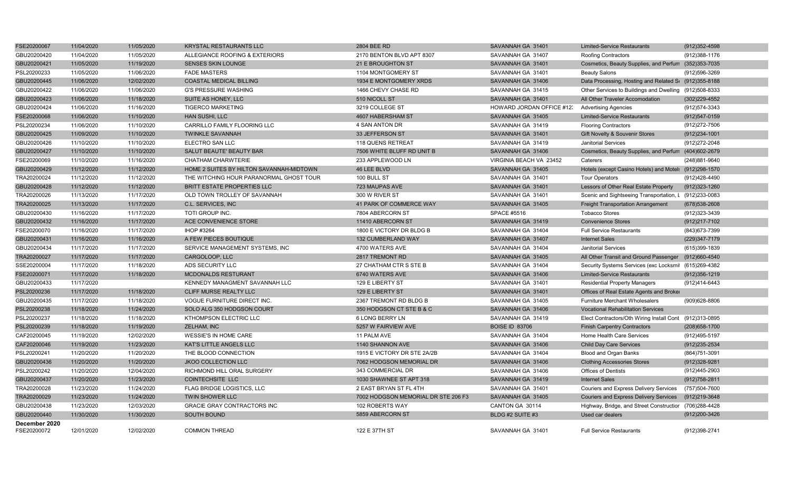| FSE20200067   | 11/04/2020 | 11/05/2020 | KRYSTAL RESTAURANTS LLC                  | 2804 BEE RD                         | SAVANNAH GA 31401        | <b>Limited-Service Restaurants</b>                      | (912) 352-4598    |
|---------------|------------|------------|------------------------------------------|-------------------------------------|--------------------------|---------------------------------------------------------|-------------------|
| GBU20200420   | 11/04/2020 | 11/05/2020 | ALLEGIANCE ROOFING & EXTERIORS           | 2170 BENTON BLVD APT 8307           | SAVANNAH GA 31407        | Roofing Contractors                                     | (912) 388-1176    |
| GBU20200421   | 11/05/2020 | 11/19/2020 | <b>SENSES SKIN LOUNGE</b>                | 21 E BROUGHTON ST                   | SAVANNAH GA 31401        | Cosmetics, Beauty Supplies, and Perfum (352)353-7035    |                   |
| PSL20200233   | 11/05/2020 | 11/06/2020 | <b>FADE MASTERS</b>                      | 1104 MONTGOMERY ST                  | SAVANNAH GA 31401        | <b>Beauty Salons</b>                                    | (912)596-3269     |
| GBU20200445   | 11/06/2020 | 12/02/2020 | COASTAL MEDICAL BILLING                  | 1934 E MONTGOMERY XRDS              | SAVANNAH GA 31406        | Data Processing, Hosting and Related S( (912) 355-8188  |                   |
| GBU20200422   | 11/06/2020 | 11/06/2020 | <b>G'S PRESSURE WASHING</b>              | 1466 CHEVY CHASE RD                 | SAVANNAH GA 31415        | Other Services to Buildings and Dwelling (912)508-8333  |                   |
| GBU20200423   | 11/06/2020 | 11/18/2020 | SUITE AS HONEY, LLC                      | 510 NICOLL ST                       | SAVANNAH GA 31401        | All Other Traveler Accomodation                         | (302) 229-4552    |
| GBU20200424   | 11/06/2020 | 11/16/2020 | <b>TIGERCO MARKETING</b>                 | 3219 COLLEGE ST                     | HOWARD JORDAN OFFICE #12 | <b>Advertising Agencies</b>                             | (912) 574-3343    |
| FSE20200068   | 11/06/2020 | 11/10/2020 | HAN SUSHI, LLC                           | 4607 HABERSHAM ST                   | SAVANNAH GA 31405        | <b>Limited-Service Restaurants</b>                      | (912) 547-0159    |
| PSL20200234   | 11/06/2020 | 11/10/2020 | CARRILLO FAMILY FLOORING LLC             | 4 SAN ANTON DR                      | SAVANNAH GA 31419        | <b>Flooring Contractors</b>                             | (912) 272-7506    |
| GBU20200425   | 11/09/2020 | 11/10/2020 | <b>TWINKLE SAVANNAH</b>                  | 33 JEFFERSON ST                     | SAVANNAH GA 31401        | Gift Novelty & Souvenir Stores                          | $(912)234 - 1001$ |
| GBU20200426   | 11/10/2020 | 11/10/2020 | ELECTRO SAN LLC                          | 118 QUENS RETREAT                   | SAVANNAH GA 31419        | <b>Janitorial Services</b>                              | (912) 272-2048    |
| GBU20200427   | 11/10/2020 | 11/10/2020 | SALUT BEAUTE' BEAUTY BAR                 | 7506 WHITE BLUFF RD UNIT B          | SAVANNAH GA 31406        | Cosmetics, Beauty Supplies, and Perfum (404)602-2679    |                   |
| FSE20200069   | 11/10/2020 | 11/16/2020 | CHATHAM CHARWTERIE                       | 233 APPLEWOOD LN                    | VIRGINIA BEACH VA 23452  | Caterers                                                | (248) 881-9640    |
| GBU20200429   | 11/12/2020 | 11/12/2020 | HOME 2 SUITES BY HILTON SAVANNAH-MIDTOWN | 46 LEE BLVD                         | SAVANNAH GA 31405        | Hotels (except Casino Hotels) and Motel: (912)298-1570  |                   |
| TRA20200024   | 11/12/2020 | 11/12/2020 | THE WITCHING HOUR PARANORMAL GHOST TOUR  | 100 BULL ST                         | SAVANNAH GA 31401        | <b>Tour Operators</b>                                   | (912)428-4490     |
| GBU20200428   | 11/12/2020 | 11/12/2020 | BRITT ESTATE PROPERTIES LLC              | 723 MAUPAS AVE                      | SAVANNAH GA 31401        | Lessors of Other Real Estate Property                   | (912)323-1260     |
| TRA20200026   | 11/13/2020 | 11/17/2020 | OLD TOWN TROLLEY OF SAVANNAH             | 300 W RIVER ST                      | SAVANNAH GA 31401        | Scenic and Sightseeing Transportation, L (912)233-0083  |                   |
| TRA20200025   | 11/13/2020 | 11/17/2020 | C.L. SERVICES, INC                       | 41 PARK OF COMMERCE WAY             | SAVANNAH GA 31405        | <b>Freight Transportation Arrangement</b>               | $(678)538 - 2608$ |
| GBU20200430   | 11/16/2020 | 11/17/2020 | TOTI GROUP INC.                          | 7804 ABERCORN ST                    | <b>SPACE #5516</b>       | <b>Tobacco Stores</b>                                   | (912) 323-3439    |
| GBU20200432   | 11/16/2020 | 11/17/2020 | ACE CONVENIENCE STORE                    | 11410 ABERCORN ST                   | SAVANNAH GA 31419        | <b>Convenience Stores</b>                               | (912) 217-7102    |
| FSE20200070   | 11/16/2020 | 11/17/2020 | IHOP #3264                               | 1800 E VICTORY DR BLDG B            | SAVANNAH GA 31404        | <b>Full Service Restaurants</b>                         | (843) 673-7399    |
| GBU20200431   | 11/16/2020 | 11/16/2020 | A FEW PIECES BOUTIQUE                    | 132 CUMBERLAND WAY                  | SAVANNAH GA 31407        | <b>Internet Sales</b>                                   | (229) 347-7179    |
| GBU20200434   | 11/17/2020 | 11/17/2020 | SERVICE MANAGEMENT SYSTEMS, INC          | 4700 WATERS AVE                     | SAVANNAH GA 31404        | <b>Janitorial Services</b>                              | (615)399-1839     |
| TRA20200027   | 11/17/2020 | 11/17/2020 | CARGOLOOP, LLC                           | 2817 TREMONT RD                     | SAVANNAH GA 31405        | All Other Transit and Ground Passenger (912)660-4540    |                   |
| SSE20200004   | 11/17/2020 | 11/18/2020 | ADS SECURITY LLC                         | 27 CHATHAM CTR S STE B              | SAVANNAH GA 31404        | Security Systems Services (exc Locksmit (615)269-4382   |                   |
| FSE20200071   | 11/17/2020 | 11/18/2020 | MCDONALDS RESTURANT                      | 6740 WATERS AVE                     | SAVANNAH GA 31406        | <b>Limited-Service Restaurants</b>                      | $(912)356-1219$   |
| GBU20200433   | 11/17/2020 |            | KENNEDY MANAGMENT SAVANNAH LLC           | 129 E LIBERTY ST                    | SAVANNAH GA 31401        | <b>Residential Property Managers</b>                    | (912)414-6443     |
| PSL20200236   | 11/17/2020 | 11/18/2020 | CLIFF MURSE REALTY LLC                   | 129 E LIBERTY ST                    | SAVANNAH GA 31401        | Offices of Real Estate Agents and Broker                |                   |
| GBU20200435   | 11/17/2020 | 11/18/2020 | VOGUE FURNITURE DIRECT INC.              | 2367 TREMONT RD BLDG B              | SAVANNAH GA 31405        | <b>Furniture Merchant Wholesalers</b>                   | (909)628-8806     |
| PSL20200238   | 11/18/2020 | 11/24/2020 | SOLO ALG 350 HODGSON COURT               | 350 HODGSON CT STE B & C            | SAVANNAH GA 31406        | <b>Vocational Rehabilitation Services</b>               |                   |
| PSL20200237   | 11/18/2020 | 11/18/2020 | KTHOMPSON ELECTRIC LLC                   | 6 LONG BERRY LN                     | SAVANNAH GA 31419        | Elect Contractors/Oth Wiring Install Cont (912)313-0895 |                   |
| PSL20200239   | 11/18/2020 | 11/19/2020 | ZELHAM, INC                              | 5257 W FAIRVIEW AVE                 | <b>BOISE ID 83706</b>    | <b>Finish Carpentry Contractors</b>                     | (208) 658-1700    |
| CAF20200045   | 11/19/2020 | 12/02/2020 | <b>WESSIE'S IN HOME CARE</b>             | 11 PALM AVE                         | SAVANNAH GA 31404        | Home Health Care Services                               | (912)495-5197     |
| CAF20200046   | 11/19/2020 | 11/23/2020 | KAT'S LITTLE ANGELS LLC                  | 1140 SHANNON AVE                    | SAVANNAH GA 31406        | <b>Child Day Care Services</b>                          | $(912)$ 235-2534  |
| PSL20200241   | 11/20/2020 | 11/20/2020 | THE BLOOD CONNECTION                     | 1915 E VICTORY DR STE 2A/2B         | SAVANNAH GA 31404        | Blood and Organ Banks                                   | (864) 751-3091    |
| GBU20200436   | 11/20/2020 | 11/20/2020 | <b>JKOO COLLECTION LLC</b>               | 7062 HODGSON MEMORIAL DR            | SAVANNAH GA 31406        | <b>Clothing Accessories Stores</b>                      | (912) 328-9281    |
| PSL20200242   | 11/20/2020 | 12/04/2020 | RICHMOND HILL ORAL SURGERY               | 343 COMMERCIAL DR                   | SAVANNAH GA 31406        | Offices of Dentists                                     | (912)445-2903     |
| GBU20200437   | 11/20/2020 | 11/23/2020 | <b>COINTECHSITE LLC</b>                  | 1030 SHAWNEE ST APT 318             | SAVANNAH GA 31419        | <b>Internet Sales</b>                                   | (912) 758-2811    |
| TRA20200028   | 11/23/2020 | 11/24/2020 | FLAG BRIDGE LOGISTICS, LLC               | 2 EAST BRYAN ST FL 4TH              | SAVANNAH GA 31401        | Couriers and Express Delivery Services                  | (757)504-7600     |
| TRA20200029   | 11/23/2020 | 11/24/2020 | TWIN SHOWER LLC                          | 7002 HODGSON MEMORIAL DR STE 206 F3 | SAVANNAH GA 31405        | Couriers and Express Delivery Services                  | (912)219-3648     |
| GBU20200438   | 11/23/2020 | 12/03/2020 | <b>GRACIE GRAY CONTRACTORS INC</b>       | 102 ROBERTS WAY                     | CANTON GA 30114          | Highway, Bridge, and Street Constructior (706)288-4428  |                   |
| GBU20200440   | 11/30/2020 | 11/30/2020 | SOUTH BOUND                              | 5859 ABERCORN ST                    | BLDG #2 SUITE #3         | Used car dealers                                        | (912) 200-3426    |
| December 2020 |            |            |                                          |                                     |                          |                                                         |                   |
| FSE20200072   | 12/01/2020 | 12/02/2020 | <b>COMMON THREAD</b>                     | 122 E 37TH ST                       | SAVANNAH GA 31401        | <b>Full Service Restaurants</b>                         | (912)398-2741     |